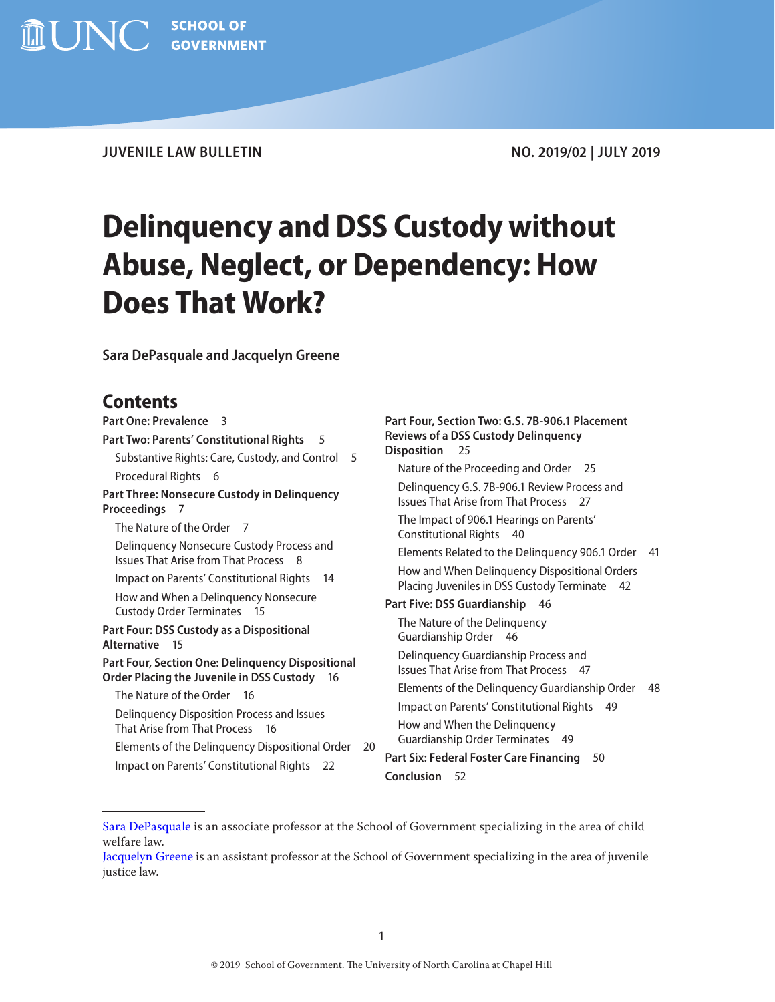$\widehat{m}$   $\text{UNC}$   $\mid$  school of

**JUVENILE LAW BULLETIN NO. 2019/02 | JULY 2019**

# **Delinquency and DSS Custody without Abuse, Neglect, or Dependency: How Does That Work?**

**Sara DePasquale and Jacquelyn Greene**

# **Contents**

| Part One: Prevalence 3                                                                                | Part Four, Section Two: G.S. 7B-906.1 Placement                                                |  |
|-------------------------------------------------------------------------------------------------------|------------------------------------------------------------------------------------------------|--|
| Part Two: Parents' Constitutional Rights<br>5                                                         | <b>Reviews of a DSS Custody Delinquency</b>                                                    |  |
| Substantive Rights: Care, Custody, and Control<br>5                                                   | <b>Disposition</b><br>25                                                                       |  |
| Procedural Rights 6                                                                                   | Nature of the Proceeding and Order 25                                                          |  |
| Part Three: Nonsecure Custody in Delinquency<br>Proceedings<br>- 7                                    | Delinquency G.S. 7B-906.1 Review Process and<br><b>Issues That Arise from That Process</b> 27  |  |
| The Nature of the Order 7                                                                             | The Impact of 906.1 Hearings on Parents'<br>Constitutional Rights 40                           |  |
| Delinquency Nonsecure Custody Process and<br><b>Issues That Arise from That Process 8</b>             | Elements Related to the Delinguency 906.1 Order<br>- 41                                        |  |
| Impact on Parents' Constitutional Rights<br>-14                                                       | How and When Delinquency Dispositional Orders<br>Placing Juveniles in DSS Custody Terminate 42 |  |
| How and When a Delinquency Nonsecure<br>Custody Order Terminates 15                                   | Part Five: DSS Guardianship<br>- 46                                                            |  |
| Part Four: DSS Custody as a Dispositional<br>Alternative 15                                           | The Nature of the Delinquency<br>Guardianship Order 46                                         |  |
| Part Four, Section One: Delinquency Dispositional<br>Order Placing the Juvenile in DSS Custody<br>-16 | Delinquency Guardianship Process and<br><b>Issues That Arise from That Process 47</b>          |  |
| The Nature of the Order 16                                                                            | Elements of the Delinquency Guardianship Order<br>48                                           |  |
| Delinquency Disposition Process and Issues                                                            | Impact on Parents' Constitutional Rights 49                                                    |  |
| That Arise from That Process<br>- 16                                                                  | How and When the Delinquency                                                                   |  |
| Elements of the Delinquency Dispositional Order<br>20                                                 | Guardianship Order Terminates 49                                                               |  |
| Impact on Parents' Constitutional Rights 22                                                           | Part Six: Federal Foster Care Financing<br>50<br><b>Conclusion</b><br>-52                      |  |
|                                                                                                       |                                                                                                |  |

[Sara DePasquale](https://www.sog.unc.edu/about/faculty-and-staff/sara-depasquale) is an associate professor at the School of Government specializing in the area of child welfare law.

[Jacquelyn Greene](https://www.sog.unc.edu/about/faculty-and-staff/jacquelyn-greene) is an assistant professor at the School of Government specializing in the area of juvenile justice law.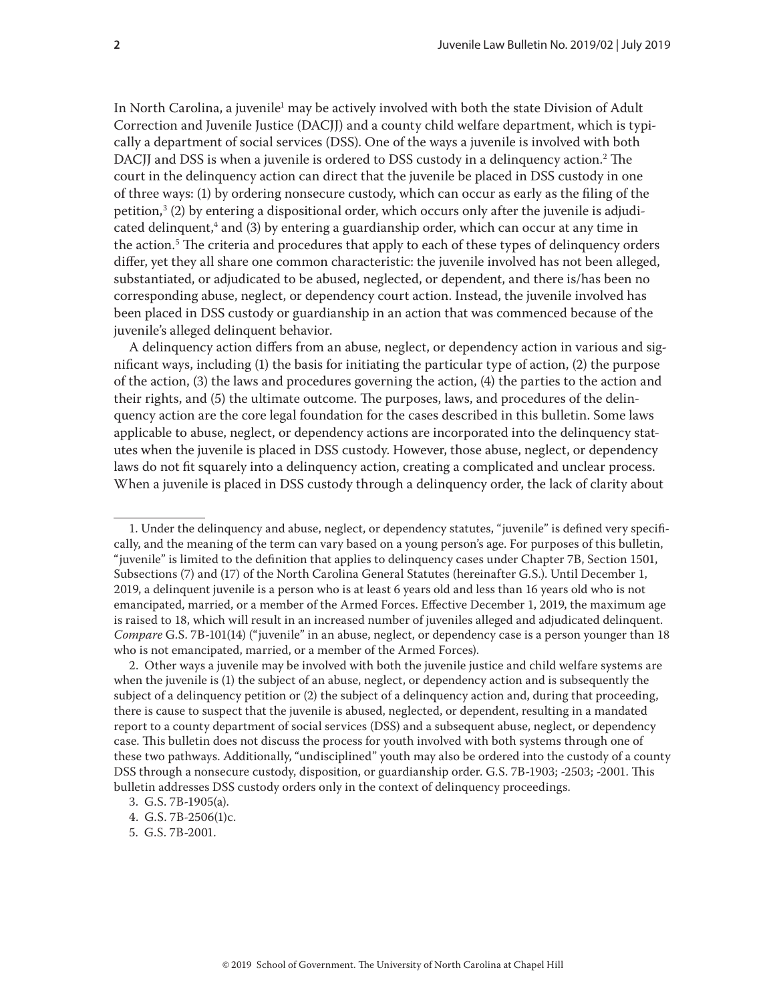In North Carolina, a juvenile<sup>1</sup> may be actively involved with both the state Division of Adult Correction and Juvenile Justice (DACJJ) and a county child welfare department, which is typically a department of social services (DSS). One of the ways a juvenile is involved with both DACJJ and DSS is when a juvenile is ordered to DSS custody in a delinquency action.2 The court in the delinquency action can direct that the juvenile be placed in DSS custody in one of three ways: (1) by ordering nonsecure custody, which can occur as early as the filing of the petition, $^3$  (2) by entering a dispositional order, which occurs only after the juvenile is adjudicated delinquent,<sup>4</sup> and (3) by entering a guardianship order, which can occur at any time in the action.5 The criteria and procedures that apply to each of these types of delinquency orders differ, yet they all share one common characteristic: the juvenile involved has not been alleged, substantiated, or adjudicated to be abused, neglected, or dependent, and there is/has been no corresponding abuse, neglect, or dependency court action. Instead, the juvenile involved has been placed in DSS custody or guardianship in an action that was commenced because of the juvenile's alleged delinquent behavior.

A delinquency action differs from an abuse, neglect, or dependency action in various and significant ways, including (1) the basis for initiating the particular type of action, (2) the purpose of the action, (3) the laws and procedures governing the action, (4) the parties to the action and their rights, and (5) the ultimate outcome. The purposes, laws, and procedures of the delinquency action are the core legal foundation for the cases described in this bulletin. Some laws applicable to abuse, neglect, or dependency actions are incorporated into the delinquency statutes when the juvenile is placed in DSS custody. However, those abuse, neglect, or dependency laws do not fit squarely into a delinquency action, creating a complicated and unclear process. When a juvenile is placed in DSS custody through a delinquency order, the lack of clarity about

<sup>1.</sup> Under the delinquency and abuse, neglect, or dependency statutes, "juvenile" is defined very specifically, and the meaning of the term can vary based on a young person's age. For purposes of this bulletin, "juvenile" is limited to the definition that applies to delinquency cases under Chapter 7B, Section 1501, Subsections (7) and (17) of the North Carolina General Statutes (hereinafter G.S.). Until December 1, 2019, a delinquent juvenile is a person who is at least 6 years old and less than 16 years old who is not emancipated, married, or a member of the Armed Forces. Effective December 1, 2019, the maximum age is raised to 18, which will result in an increased number of juveniles alleged and adjudicated delinquent. *Compare* G.S. 7B-101(14) ("juvenile" in an abuse, neglect, or dependency case is a person younger than 18 who is not emancipated, married, or a member of the Armed Forces).

<sup>2.</sup> Other ways a juvenile may be involved with both the juvenile justice and child welfare systems are when the juvenile is (1) the subject of an abuse, neglect, or dependency action and is subsequently the subject of a delinquency petition or (2) the subject of a delinquency action and, during that proceeding, there is cause to suspect that the juvenile is abused, neglected, or dependent, resulting in a mandated report to a county department of social services (DSS) and a subsequent abuse, neglect, or dependency case. This bulletin does not discuss the process for youth involved with both systems through one of these two pathways. Additionally, "undisciplined" youth may also be ordered into the custody of a county DSS through a nonsecure custody, disposition, or guardianship order. G.S. 7B-1903; -2503; -2001. This bulletin addresses DSS custody orders only in the context of delinquency proceedings.

<sup>3.</sup> G.S. 7B-1905(a).

<sup>4.</sup> G.S. 7B-2506(1)c.

<sup>5.</sup> G.S. 7B-2001.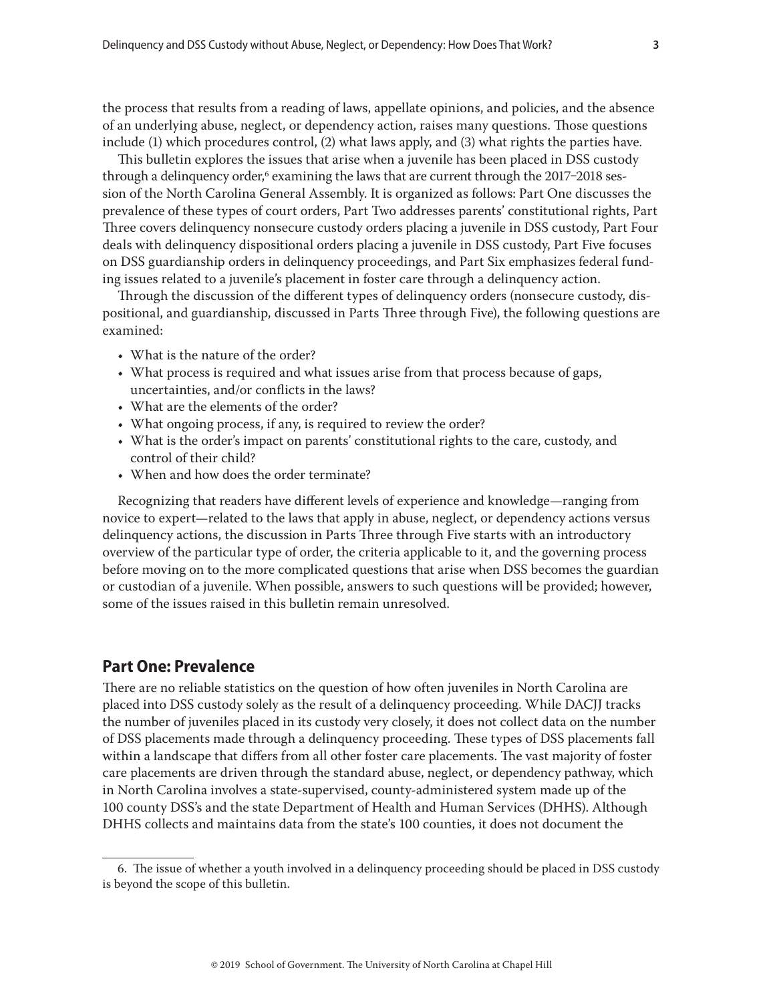<span id="page-2-0"></span>the process that results from a reading of laws, appellate opinions, and policies, and the absence of an underlying abuse, neglect, or dependency action, raises many questions. Those questions include (1) which procedures control, (2) what laws apply, and (3) what rights the parties have.

This bulletin explores the issues that arise when a juvenile has been placed in DSS custody through a delinquency order,<sup>6</sup> examining the laws that are current through the 2017–2018 session of the North Carolina General Assembly. It is organized as follows: Part One discusses the prevalence of these types of court orders, Part Two addresses parents' constitutional rights, Part Three covers delinquency nonsecure custody orders placing a juvenile in DSS custody, Part Four deals with delinquency dispositional orders placing a juvenile in DSS custody, Part Five focuses on DSS guardianship orders in delinquency proceedings, and Part Six emphasizes federal funding issues related to a juvenile's placement in foster care through a delinquency action.

Through the discussion of the different types of delinquency orders (nonsecure custody, dispositional, and guardianship, discussed in Parts Three through Five), the following questions are examined:

- What is the nature of the order?
- What process is required and what issues arise from that process because of gaps, uncertainties, and/or conflicts in the laws?
- What are the elements of the order?
- What ongoing process, if any, is required to review the order?
- What is the order's impact on parents' constitutional rights to the care, custody, and control of their child?
- When and how does the order terminate?

Recognizing that readers have different levels of experience and knowledge—ranging from novice to expert—related to the laws that apply in abuse, neglect, or dependency actions versus delinquency actions, the discussion in Parts Three through Five starts with an introductory overview of the particular type of order, the criteria applicable to it, and the governing process before moving on to the more complicated questions that arise when DSS becomes the guardian or custodian of a juvenile. When possible, answers to such questions will be provided; however, some of the issues raised in this bulletin remain unresolved.

# **Part One: Prevalence**

There are no reliable statistics on the question of how often juveniles in North Carolina are placed into DSS custody solely as the result of a delinquency proceeding. While DACJJ tracks the number of juveniles placed in its custody very closely, it does not collect data on the number of DSS placements made through a delinquency proceeding. These types of DSS placements fall within a landscape that differs from all other foster care placements. The vast majority of foster care placements are driven through the standard abuse, neglect, or dependency pathway, which in North Carolina involves a state-supervised, county-administered system made up of the 100 county DSS's and the state Department of Health and Human Services (DHHS). Although DHHS collects and maintains data from the state's 100 counties, it does not document the

<sup>6.</sup> The issue of whether a youth involved in a delinquency proceeding should be placed in DSS custody is beyond the scope of this bulletin.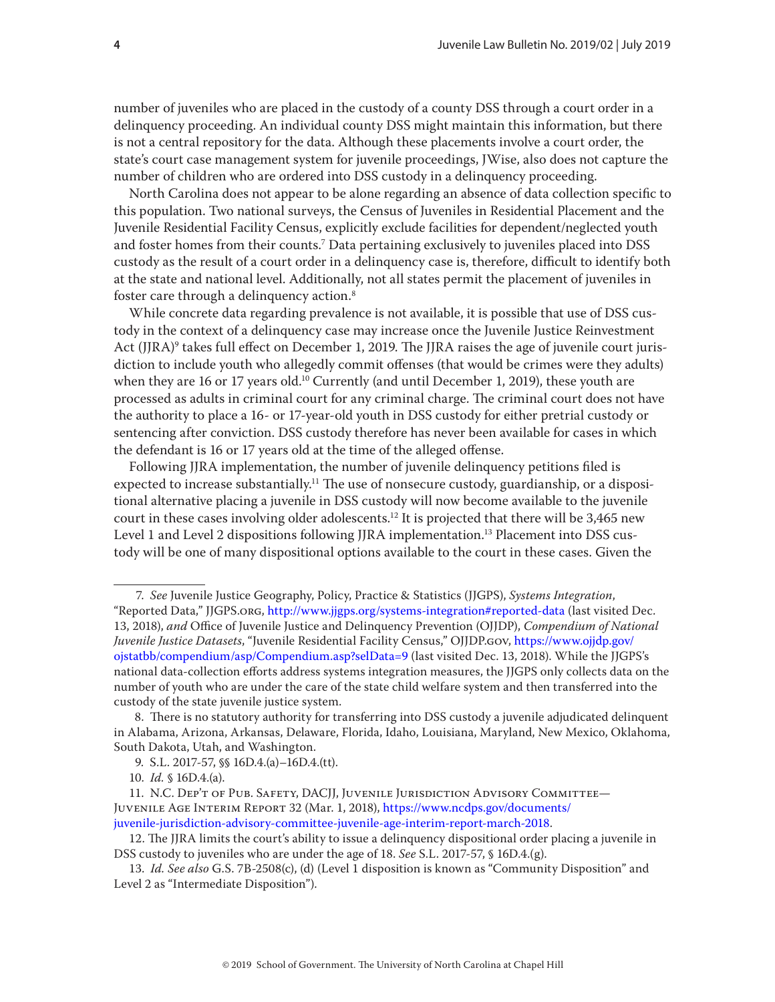number of juveniles who are placed in the custody of a county DSS through a court order in a delinquency proceeding. An individual county DSS might maintain this information, but there is not a central repository for the data. Although these placements involve a court order, the state's court case management system for juvenile proceedings, JWise, also does not capture the number of children who are ordered into DSS custody in a delinquency proceeding.

North Carolina does not appear to be alone regarding an absence of data collection specific to this population. Two national surveys, the Census of Juveniles in Residential Placement and the Juvenile Residential Facility Census, explicitly exclude facilities for dependent/neglected youth and foster homes from their counts.7 Data pertaining exclusively to juveniles placed into DSS custody as the result of a court order in a delinquency case is, therefore, difficult to identify both at the state and national level. Additionally, not all states permit the placement of juveniles in foster care through a delinquency action.<sup>8</sup>

While concrete data regarding prevalence is not available, it is possible that use of DSS custody in the context of a delinquency case may increase once the Juvenile Justice Reinvestment Act (JJRA)<sup>9</sup> takes full effect on December 1, 2019. The JJRA raises the age of juvenile court jurisdiction to include youth who allegedly commit offenses (that would be crimes were they adults) when they are 16 or 17 years old.<sup>10</sup> Currently (and until December 1, 2019), these youth are processed as adults in criminal court for any criminal charge. The criminal court does not have the authority to place a 16- or 17-year-old youth in DSS custody for either pretrial custody or sentencing after conviction. DSS custody therefore has never been available for cases in which the defendant is 16 or 17 years old at the time of the alleged offense.

Following JJRA implementation, the number of juvenile delinquency petitions filed is expected to increase substantially.<sup>11</sup> The use of nonsecure custody, guardianship, or a dispositional alternative placing a juvenile in DSS custody will now become available to the juvenile court in these cases involving older adolescents.<sup>12</sup> It is projected that there will be 3,465 new Level 1 and Level 2 dispositions following JJRA implementation.<sup>13</sup> Placement into DSS custody will be one of many dispositional options available to the court in these cases. Given the

 <sup>7.</sup> *See* Juvenile Justice Geography, Policy, Practice & Statistics (JJGPS), *Systems Integration*, "Reported Data," JJGPS.org, http://www.jjgps.org/systems-integration#reported-data (last visited Dec. 13, 2018), *and* Office of Juvenile Justice and Delinquency Prevention (OJJDP), *Compendium of National Juvenile Justice Datasets*, "Juvenile Residential Facility Census," OJJDP.gov, [https://www.ojjdp.gov/](https://www.ojjdp.gov/ojstatbb/compendium/asp/Compendium.asp?selData=9) [ojstatbb/compendium/asp/Compendium.asp?selData=9](https://www.ojjdp.gov/ojstatbb/compendium/asp/Compendium.asp?selData=9) (last visited Dec. 13, 2018). While the JJGPS's national data-collection efforts address systems integration measures, the JJGPS only collects data on the number of youth who are under the care of the state child welfare system and then transferred into the custody of the state juvenile justice system.

 <sup>8.</sup> There is no statutory authority for transferring into DSS custody a juvenile adjudicated delinquent in Alabama, Arizona, Arkansas, Delaware, Florida, Idaho, Louisiana, Maryland, New Mexico, Oklahoma, South Dakota, Utah, and Washington.

 <sup>9.</sup> S.L. 2017-57, §§ 16D.4.(a)–16D.4.(tt).

<sup>10.</sup> *Id.* § 16D.4.(a).

<sup>11.</sup> N.C. Dep't of Pub. Safety, DACJJ, Juvenile Jurisdiction Advisory Committee— Juvenile Age Interim Report 32 (Mar. 1, 2018), [https://www.ncdps.gov/documents/](https://www.ncdps.gov/documents/juvenile-jurisdiction-advisory-committee-juvenile-age-interim-report-march-2018) [juvenile-jurisdiction-advisory-committee-juvenile-age-interim-report-march-2018](https://www.ncdps.gov/documents/juvenile-jurisdiction-advisory-committee-juvenile-age-interim-report-march-2018).

<sup>12.</sup> The JJRA limits the court's ability to issue a delinquency dispositional order placing a juvenile in DSS custody to juveniles who are under the age of 18. *See* S.L. 2017-57, § 16D.4.(g).

<sup>13.</sup> *Id. See also* G.S. 7B-2508(c), (d) (Level 1 disposition is known as "Community Disposition" and Level 2 as "Intermediate Disposition").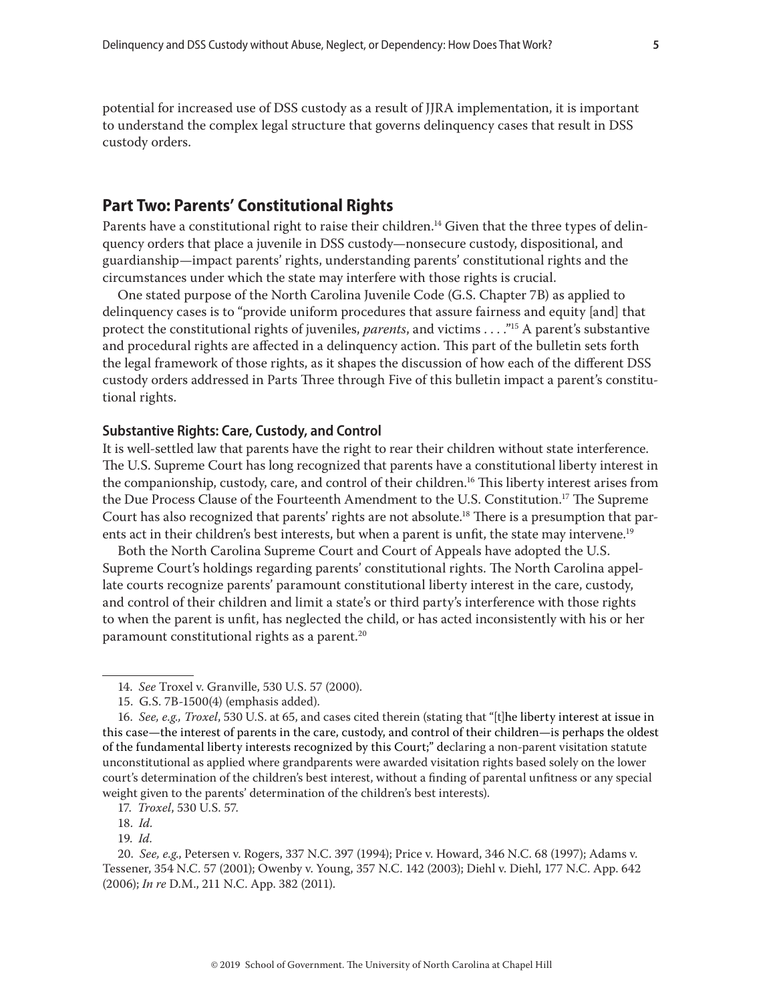<span id="page-4-0"></span>potential for increased use of DSS custody as a result of JJRA implementation, it is important to understand the complex legal structure that governs delinquency cases that result in DSS custody orders.

# **Part Two: Parents' Constitutional Rights**

Parents have a constitutional right to raise their children.<sup>14</sup> Given that the three types of delinquency orders that place a juvenile in DSS custody—nonsecure custody, dispositional, and guardianship—impact parents' rights, understanding parents' constitutional rights and the circumstances under which the state may interfere with those rights is crucial.

One stated purpose of the North Carolina Juvenile Code (G.S. Chapter 7B) as applied to delinquency cases is to "provide uniform procedures that assure fairness and equity [and] that protect the constitutional rights of juveniles, *parents*, and victims . . . ."15 A parent's substantive and procedural rights are affected in a delinquency action. This part of the bulletin sets forth the legal framework of those rights, as it shapes the discussion of how each of the different DSS custody orders addressed in Parts Three through Five of this bulletin impact a parent's constitutional rights.

#### **Substantive Rights: Care, Custody, and Control**

It is well-settled law that parents have the right to rear their children without state interference. The U.S. Supreme Court has long recognized that parents have a constitutional liberty interest in the companionship, custody, care, and control of their children.<sup>16</sup> This liberty interest arises from the Due Process Clause of the Fourteenth Amendment to the U.S. Constitution.17 The Supreme Court has also recognized that parents' rights are not absolute.<sup>18</sup> There is a presumption that parents act in their children's best interests, but when a parent is unfit, the state may intervene.<sup>19</sup>

Both the North Carolina Supreme Court and Court of Appeals have adopted the U.S. Supreme Court's holdings regarding parents' constitutional rights. The North Carolina appellate courts recognize parents' paramount constitutional liberty interest in the care, custody, and control of their children and limit a state's or third party's interference with those rights to when the parent is unfit, has neglected the child, or has acted inconsistently with his or her paramount constitutional rights as a parent.<sup>20</sup>

<sup>14.</sup> *See* Troxel v. Granville, 530 U.S. 57 (2000).

<sup>15.</sup> G.S. 7B-1500(4) (emphasis added).

<sup>16.</sup> *See, e.g., Troxel*, 530 U.S. at 65, and cases cited therein (stating that "[t]he liberty interest at issue in this case—the interest of parents in the care, custody, and control of their children—is perhaps the oldest of the fundamental liberty interests recognized by this Court;" declaring a non-parent visitation statute unconstitutional as applied where grandparents were awarded visitation rights based solely on the lower court's determination of the children's best interest, without a finding of parental unfitness or any special weight given to the parents' determination of the children's best interests).

<sup>17.</sup> *Troxel*, 530 U.S. 57.

<sup>18.</sup> *Id.*

<sup>19.</sup> *Id.*

<sup>20.</sup> *See, e.g*., Petersen v. Rogers, 337 N.C. 397 (1994); Price v. Howard, 346 N.C. 68 (1997); Adams v. Tessener, 354 N.C. 57 (2001); Owenby v. Young, 357 N.C. 142 (2003); Diehl v. Diehl, 177 N.C. App. 642 (2006); *In re* D.M., 211 N.C. App. 382 (2011).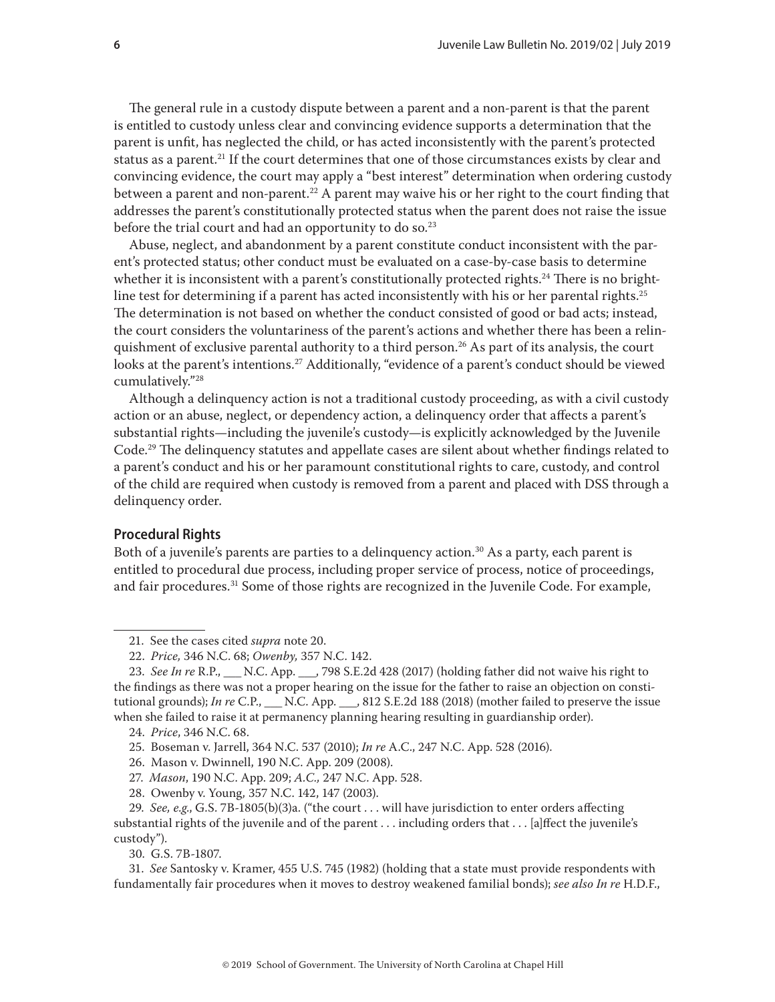<span id="page-5-0"></span>The general rule in a custody dispute between a parent and a non-parent is that the parent is entitled to custody unless clear and convincing evidence supports a determination that the parent is unfit, has neglected the child, or has acted inconsistently with the parent's protected status as a parent.<sup>21</sup> If the court determines that one of those circumstances exists by clear and convincing evidence, the court may apply a "best interest" determination when ordering custody between a parent and non-parent.<sup>22</sup> A parent may waive his or her right to the court finding that addresses the parent's constitutionally protected status when the parent does not raise the issue before the trial court and had an opportunity to do so. $23$ 

Abuse, neglect, and abandonment by a parent constitute conduct inconsistent with the parent's protected status; other conduct must be evaluated on a case-by-case basis to determine whether it is inconsistent with a parent's constitutionally protected rights.<sup>24</sup> There is no brightline test for determining if a parent has acted inconsistently with his or her parental rights.<sup>25</sup> The determination is not based on whether the conduct consisted of good or bad acts; instead, the court considers the voluntariness of the parent's actions and whether there has been a relinquishment of exclusive parental authority to a third person.<sup>26</sup> As part of its analysis, the court looks at the parent's intentions.<sup>27</sup> Additionally, "evidence of a parent's conduct should be viewed cumulatively."28

Although a delinquency action is not a traditional custody proceeding, as with a civil custody action or an abuse, neglect, or dependency action, a delinquency order that affects a parent's substantial rights—including the juvenile's custody—is explicitly acknowledged by the Juvenile Code.29 The delinquency statutes and appellate cases are silent about whether findings related to a parent's conduct and his or her paramount constitutional rights to care, custody, and control of the child are required when custody is removed from a parent and placed with DSS through a delinquency order.

# **Procedural Rights**

Both of a juvenile's parents are parties to a delinguency action.<sup>30</sup> As a party, each parent is entitled to procedural due process, including proper service of process, notice of proceedings, and fair procedures.<sup>31</sup> Some of those rights are recognized in the Juvenile Code. For example,

28. Owenby v. Young*,* 357 N.C. 142, 147 (2003).

30. G.S. 7B-1807.

<sup>21.</sup> See the cases cited *supra* note 20.

<sup>22.</sup> *Price,* 346 N.C. 68; *Owenby,* 357 N.C. 142.

<sup>23.</sup> *See In re* R.P., \_\_\_ N.C. App. \_\_\_, 798 S.E.2d 428 (2017) (holding father did not waive his right to the findings as there was not a proper hearing on the issue for the father to raise an objection on constitutional grounds); *In re* C.P., \_\_\_ N.C. App. \_\_\_, 812 S.E.2d 188 (2018) (mother failed to preserve the issue when she failed to raise it at permanency planning hearing resulting in guardianship order).

<sup>24.</sup> *Price*, 346 N.C. 68.

<sup>25.</sup> Boseman v. Jarrell, 364 N.C. 537 (2010); *In re* A.C., 247 N.C. App. 528 (2016).

<sup>26.</sup> Mason v. Dwinnell, 190 N.C. App. 209 (2008).

<sup>27.</sup> *Mason*, 190 N.C. App. 209; *A.C.,* 247 N.C. App. 528.

<sup>29.</sup> *See, e.g*., G.S. 7B-1805(b)(3)a. ("the court . . . will have jurisdiction to enter orders affecting substantial rights of the juvenile and of the parent . . . including orders that . . . [a]ffect the juvenile's custody").

<sup>31.</sup> *See* Santosky v. Kramer, 455 U.S. 745 (1982) (holding that a state must provide respondents with fundamentally fair procedures when it moves to destroy weakened familial bonds); *see also In re* H.D.F.,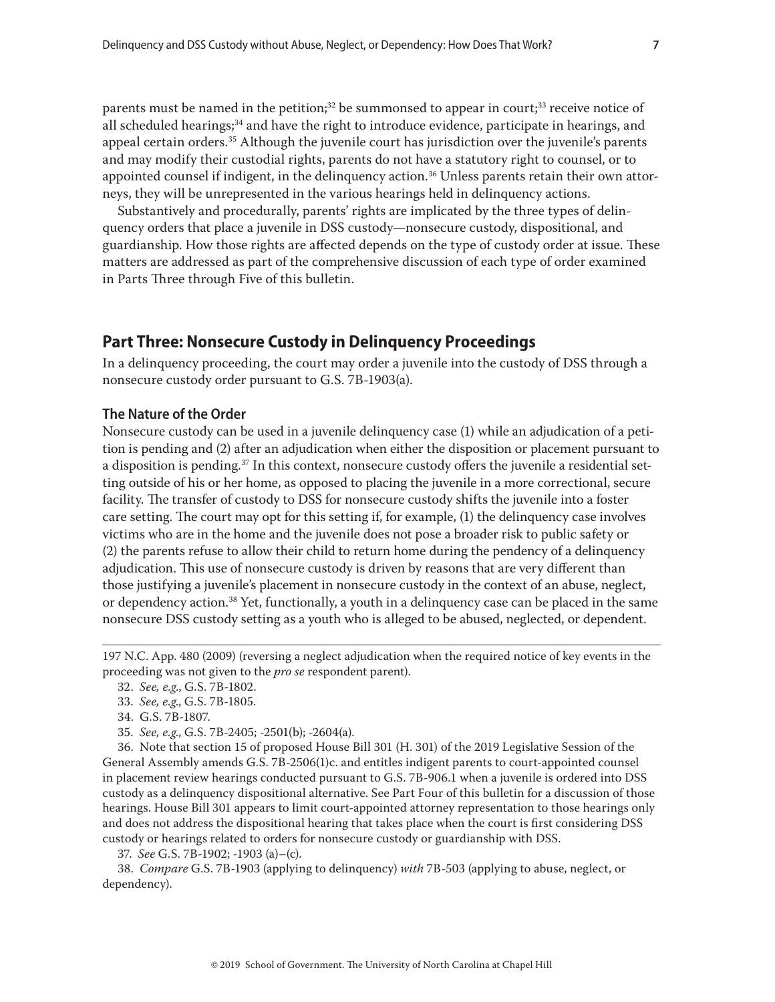<span id="page-6-0"></span>parents must be named in the petition;<sup>32</sup> be summonsed to appear in court;<sup>33</sup> receive notice of all scheduled hearings;<sup>34</sup> and have the right to introduce evidence, participate in hearings, and appeal certain orders.35 Although the juvenile court has jurisdiction over the juvenile's parents and may modify their custodial rights, parents do not have a statutory right to counsel, or to appointed counsel if indigent, in the delinguency action.<sup>36</sup> Unless parents retain their own attorneys, they will be unrepresented in the various hearings held in delinquency actions.

Substantively and procedurally, parents' rights are implicated by the three types of delinquency orders that place a juvenile in DSS custody—nonsecure custody, dispositional, and guardianship. How those rights are affected depends on the type of custody order at issue. These matters are addressed as part of the comprehensive discussion of each type of order examined in Parts Three through Five of this bulletin.

# **Part Three: Nonsecure Custody in Delinquency Proceedings**

In a delinquency proceeding, the court may order a juvenile into the custody of DSS through a nonsecure custody order pursuant to G.S. 7B-1903(a).

#### **The Nature of the Order**

Nonsecure custody can be used in a juvenile delinquency case (1) while an adjudication of a petition is pending and (2) after an adjudication when either the disposition or placement pursuant to a disposition is pending.<sup>37</sup> In this context, nonsecure custody offers the juvenile a residential setting outside of his or her home, as opposed to placing the juvenile in a more correctional, secure facility. The transfer of custody to DSS for nonsecure custody shifts the juvenile into a foster care setting. The court may opt for this setting if, for example, (1) the delinquency case involves victims who are in the home and the juvenile does not pose a broader risk to public safety or (2) the parents refuse to allow their child to return home during the pendency of a delinquency adjudication. This use of nonsecure custody is driven by reasons that are very different than those justifying a juvenile's placement in nonsecure custody in the context of an abuse, neglect, or dependency action.38 Yet, functionally, a youth in a delinquency case can be placed in the same nonsecure DSS custody setting as a youth who is alleged to be abused, neglected, or dependent.

36. Note that section 15 of proposed House Bill 301 (H. 301) of the 2019 Legislative Session of the General Assembly amends G.S. 7B-2506(1)c. and entitles indigent parents to court-appointed counsel in placement review hearings conducted pursuant to G.S. 7B-906.1 when a juvenile is ordered into DSS custody as a delinquency dispositional alternative. See Part Four of this bulletin for a discussion of those hearings. House Bill 301 appears to limit court-appointed attorney representation to those hearings only and does not address the dispositional hearing that takes place when the court is first considering DSS custody or hearings related to orders for nonsecure custody or guardianship with DSS.

37. *See* G.S. 7B-1902; -1903 (a)–(c).

38. *Compare* G.S. 7B-1903 (applying to delinquency) *with* 7B-503 (applying to abuse, neglect, or dependency).

<sup>197</sup> N.C. App. 480 (2009) (reversing a neglect adjudication when the required notice of key events in the proceeding was not given to the *pro se* respondent parent).

<sup>32.</sup> *See, e.g*., G.S. 7B-1802.

<sup>33.</sup> *See, e.g*., G.S. 7B-1805.

<sup>34.</sup> G.S. 7B-1807.

<sup>35.</sup> *See, e.g*., G.S. 7B-2405; -2501(b); -2604(a).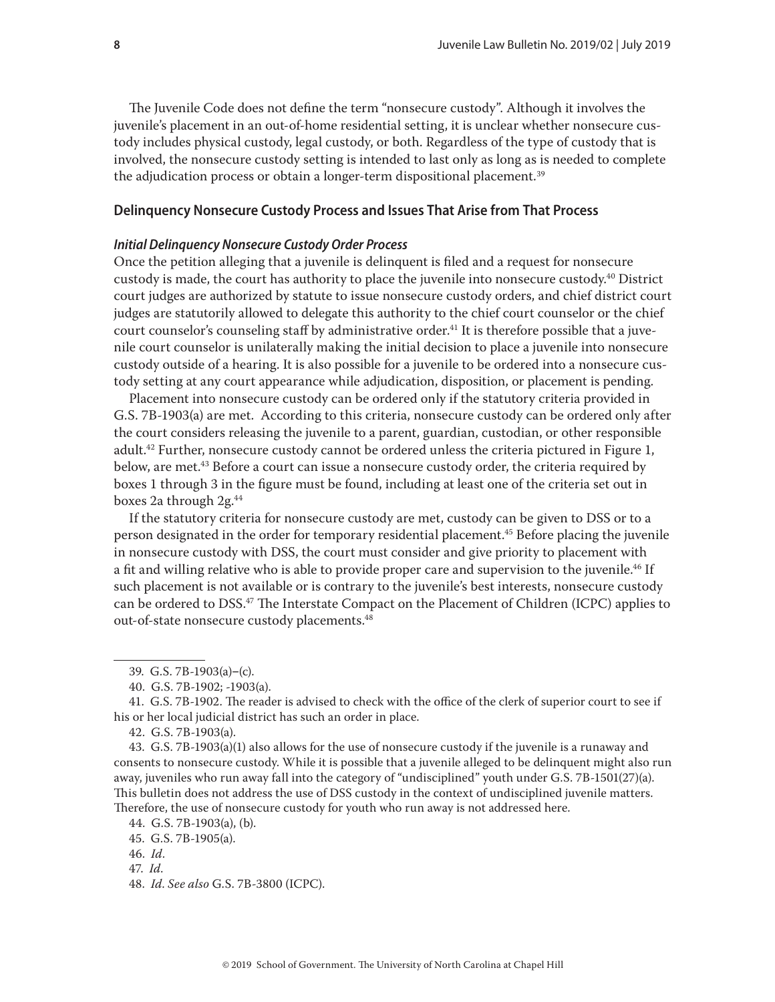<span id="page-7-0"></span>The Juvenile Code does not define the term "nonsecure custody". Although it involves the juvenile's placement in an out-of-home residential setting, it is unclear whether nonsecure custody includes physical custody, legal custody, or both. Regardless of the type of custody that is involved, the nonsecure custody setting is intended to last only as long as is needed to complete the adjudication process or obtain a longer-term dispositional placement.<sup>39</sup>

#### **Delinquency Nonsecure Custody Process and Issues That Arise from That Process**

#### *Initial Delinquency Nonsecure Custody Order Process*

Once the petition alleging that a juvenile is delinquent is filed and a request for nonsecure custody is made, the court has authority to place the juvenile into nonsecure custody.40 District court judges are authorized by statute to issue nonsecure custody orders, and chief district court judges are statutorily allowed to delegate this authority to the chief court counselor or the chief court counselor's counseling staff by administrative order.<sup>41</sup> It is therefore possible that a juvenile court counselor is unilaterally making the initial decision to place a juvenile into nonsecure custody outside of a hearing. It is also possible for a juvenile to be ordered into a nonsecure custody setting at any court appearance while adjudication, disposition, or placement is pending.

Placement into nonsecure custody can be ordered only if the statutory criteria provided in G.S. 7B-1903(a) are met. According to this criteria, nonsecure custody can be ordered only after the court considers releasing the juvenile to a parent, guardian, custodian, or other responsible adult.<sup>42</sup> Further, nonsecure custody cannot be ordered unless the criteria pictured in Figure 1, below, are met.<sup>43</sup> Before a court can issue a nonsecure custody order, the criteria required by boxes 1 through 3 in the figure must be found, including at least one of the criteria set out in boxes 2a through 2g.44

If the statutory criteria for nonsecure custody are met, custody can be given to DSS or to a person designated in the order for temporary residential placement.<sup>45</sup> Before placing the juvenile in nonsecure custody with DSS, the court must consider and give priority to placement with a fit and willing relative who is able to provide proper care and supervision to the juvenile.<sup>46</sup> If such placement is not available or is contrary to the juvenile's best interests, nonsecure custody can be ordered to DSS.<sup>47</sup> The Interstate Compact on the Placement of Children (ICPC) applies to out-of-state nonsecure custody placements.<sup>48</sup>

41. G.S. 7B-1902. The reader is advised to check with the office of the clerk of superior court to see if his or her local judicial district has such an order in place.

43. G.S. 7B-1903(a)(1) also allows for the use of nonsecure custody if the juvenile is a runaway and consents to nonsecure custody. While it is possible that a juvenile alleged to be delinquent might also run away, juveniles who run away fall into the category of "undisciplined" youth under G.S. 7B-1501(27)(a). This bulletin does not address the use of DSS custody in the context of undisciplined juvenile matters. Therefore, the use of nonsecure custody for youth who run away is not addressed here.

<sup>39.</sup> G.S.  $7B-1903(a)-(c)$ .

<sup>40.</sup> G.S. 7B-1902; -1903(a).

<sup>42.</sup> G.S. 7B-1903(a).

<sup>44.</sup> G.S. 7B-1903(a), (b).

<sup>45.</sup> G.S. 7B-1905(a).

<sup>46.</sup> *Id*.

<sup>47.</sup> *Id*.

<sup>48.</sup> *Id*. *See also* G.S. 7B-3800 (ICPC).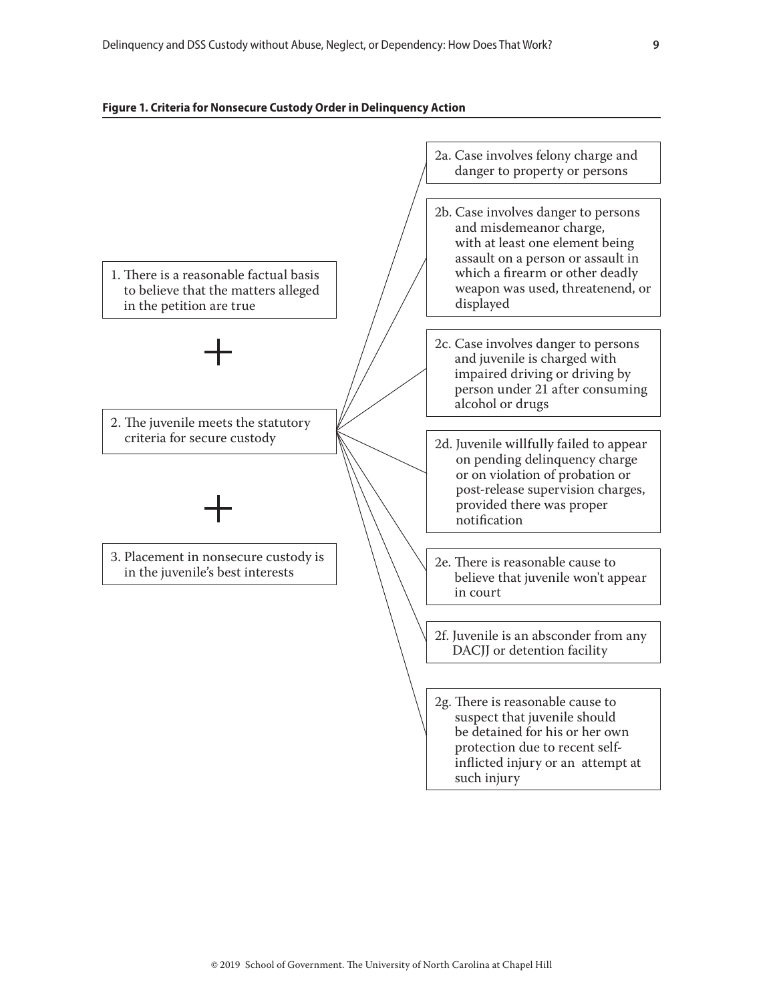#### **Figure 1. Criteria for Nonsecure Custody Order in Delinquency Action**

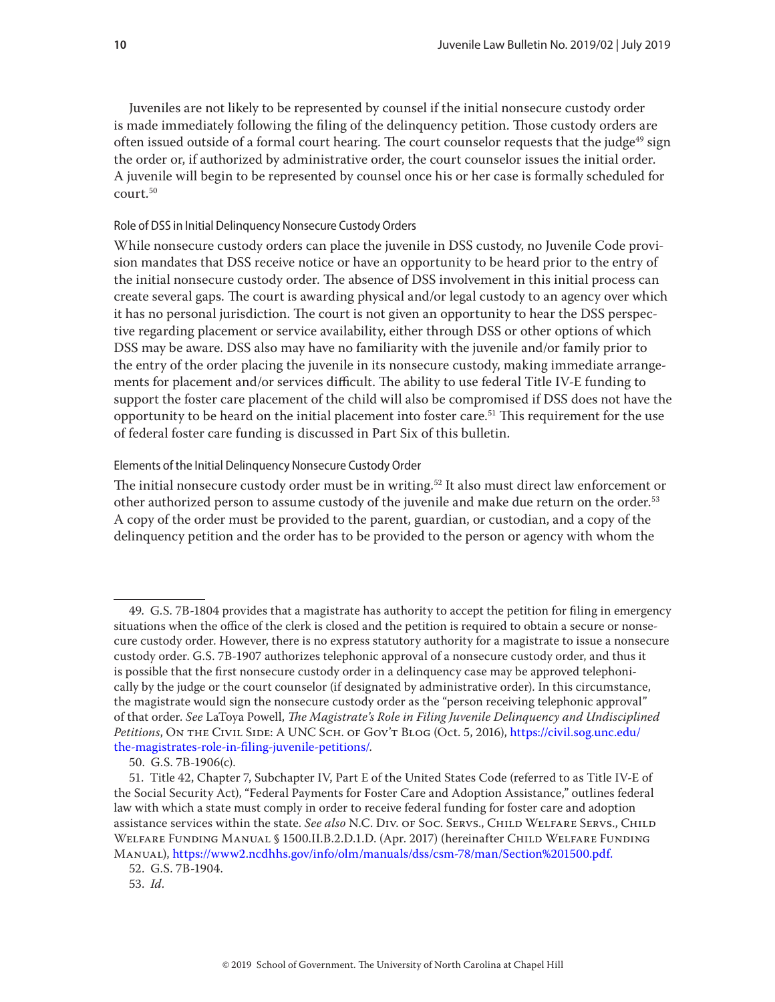Juveniles are not likely to be represented by counsel if the initial nonsecure custody order is made immediately following the filing of the delinquency petition. Those custody orders are often issued outside of a formal court hearing. The court counselor requests that the judge<sup>49</sup> sign the order or, if authorized by administrative order, the court counselor issues the initial order. A juvenile will begin to be represented by counsel once his or her case is formally scheduled for court.50

#### Role of DSS in Initial Delinquency Nonsecure Custody Orders

While nonsecure custody orders can place the juvenile in DSS custody, no Juvenile Code provision mandates that DSS receive notice or have an opportunity to be heard prior to the entry of the initial nonsecure custody order. The absence of DSS involvement in this initial process can create several gaps. The court is awarding physical and/or legal custody to an agency over which it has no personal jurisdiction. The court is not given an opportunity to hear the DSS perspective regarding placement or service availability, either through DSS or other options of which DSS may be aware. DSS also may have no familiarity with the juvenile and/or family prior to the entry of the order placing the juvenile in its nonsecure custody, making immediate arrangements for placement and/or services difficult. The ability to use federal Title IV-E funding to support the foster care placement of the child will also be compromised if DSS does not have the opportunity to be heard on the initial placement into foster care.<sup>51</sup> This requirement for the use of federal foster care funding is discussed in Part Six of this bulletin.

#### Elements of the Initial Delinquency Nonsecure Custody Order

The initial nonsecure custody order must be in writing.<sup>52</sup> It also must direct law enforcement or other authorized person to assume custody of the juvenile and make due return on the order.<sup>53</sup> A copy of the order must be provided to the parent, guardian, or custodian, and a copy of the delinquency petition and the order has to be provided to the person or agency with whom the

<sup>49.</sup> G.S. 7B-1804 provides that a magistrate has authority to accept the petition for filing in emergency situations when the office of the clerk is closed and the petition is required to obtain a secure or nonsecure custody order. However, there is no express statutory authority for a magistrate to issue a nonsecure custody order. G.S. 7B-1907 authorizes telephonic approval of a nonsecure custody order, and thus it is possible that the first nonsecure custody order in a delinquency case may be approved telephonically by the judge or the court counselor (if designated by administrative order). In this circumstance, the magistrate would sign the nonsecure custody order as the "person receiving telephonic approval" of that order. *See* LaToya Powell, *The Magistrate's Role in Filing Juvenile Delinquency and Undisciplined Petitions*, On the Civil Side: A UNC Sch. of Gov't Blog (Oct. 5, 2016), [https://civil.sog.unc.edu/](https://civil.sog.unc.edu/the-magistrates-role-in-filing-juvenile-petitions/) [the-magistrates-role-in-filing-juvenile-petitions/.](https://civil.sog.unc.edu/the-magistrates-role-in-filing-juvenile-petitions/)

<sup>50.</sup> G.S. 7B-1906(c).

<sup>51.</sup> Title 42, Chapter 7, Subchapter IV, Part E of the United States Code (referred to as Title IV-E of the Social Security Act), "Federal Payments for Foster Care and Adoption Assistance," outlines federal law with which a state must comply in order to receive federal funding for foster care and adoption assistance services within the state. *See also* N.C. DIV. of Soc. Servs., CHILD WELFARE SERVS., CHILD Welfare Funding Manual § 1500.II.B.2.D.1.D. (Apr. 2017) (hereinafter Child Welfare Funding Manual),<https://www2.ncdhhs.gov/info/olm/manuals/dss/csm-78/man/Section%201500.pdf>.

<sup>52.</sup> G.S. 7B-1904.

<sup>53.</sup> *Id*.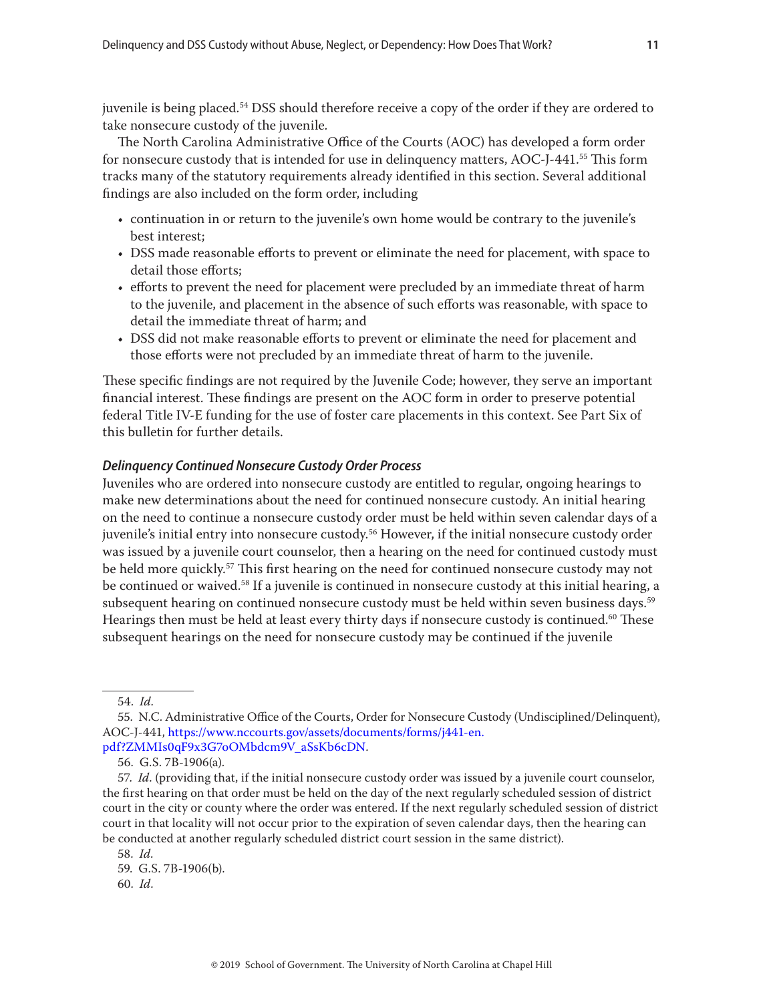juvenile is being placed.54 DSS should therefore receive a copy of the order if they are ordered to take nonsecure custody of the juvenile.

The North Carolina Administrative Office of the Courts (AOC) has developed a form order for nonsecure custody that is intended for use in delinquency matters,  $\text{AOC-I-441}.^\text{55}$  This form tracks many of the statutory requirements already identified in this section. Several additional findings are also included on the form order, including

- continuation in or return to the juvenile's own home would be contrary to the juvenile's best interest;
- DSS made reasonable efforts to prevent or eliminate the need for placement, with space to detail those efforts;
- efforts to prevent the need for placement were precluded by an immediate threat of harm to the juvenile, and placement in the absence of such efforts was reasonable, with space to detail the immediate threat of harm; and
- DSS did not make reasonable efforts to prevent or eliminate the need for placement and those efforts were not precluded by an immediate threat of harm to the juvenile.

These specific findings are not required by the Juvenile Code; however, they serve an important financial interest. These findings are present on the AOC form in order to preserve potential federal Title IV-E funding for the use of foster care placements in this context. See Part Six of this bulletin for further details.

#### *Delinquency Continued Nonsecure Custody Order Process*

Juveniles who are ordered into nonsecure custody are entitled to regular, ongoing hearings to make new determinations about the need for continued nonsecure custody. An initial hearing on the need to continue a nonsecure custody order must be held within seven calendar days of a juvenile's initial entry into nonsecure custody.<sup>56</sup> However, if the initial nonsecure custody order was issued by a juvenile court counselor, then a hearing on the need for continued custody must be held more quickly.<sup>57</sup> This first hearing on the need for continued nonsecure custody may not be continued or waived.<sup>58</sup> If a juvenile is continued in nonsecure custody at this initial hearing, a subsequent hearing on continued nonsecure custody must be held within seven business days.<sup>59</sup> Hearings then must be held at least every thirty days if nonsecure custody is continued.<sup>60</sup> These subsequent hearings on the need for nonsecure custody may be continued if the juvenile

58. *Id*.

<sup>54.</sup> *Id*.

<sup>55.</sup> N.C. Administrative Office of the Courts, Order for Nonsecure Custody (Undisciplined/Delinquent), AOC-J-441, [https://www.nccourts.gov/assets/documents/forms/j441-en.](https://www.nccourts.gov/assets/documents/forms/j441-en.pdf?ZMMIs0qF9x3G7oOMbdcm9V_aSsKb6cDN) [pdf?ZMMIs0qF9x3G7oOMbdcm9V\\_aSsKb6cDN.](https://www.nccourts.gov/assets/documents/forms/j441-en.pdf?ZMMIs0qF9x3G7oOMbdcm9V_aSsKb6cDN)

<sup>56.</sup> G.S. 7B-1906(a).

<sup>57.</sup> *Id*. (providing that, if the initial nonsecure custody order was issued by a juvenile court counselor, the first hearing on that order must be held on the day of the next regularly scheduled session of district court in the city or county where the order was entered. If the next regularly scheduled session of district court in that locality will not occur prior to the expiration of seven calendar days, then the hearing can be conducted at another regularly scheduled district court session in the same district).

<sup>59.</sup> G.S. 7B-1906(b).

<sup>60.</sup> *Id*.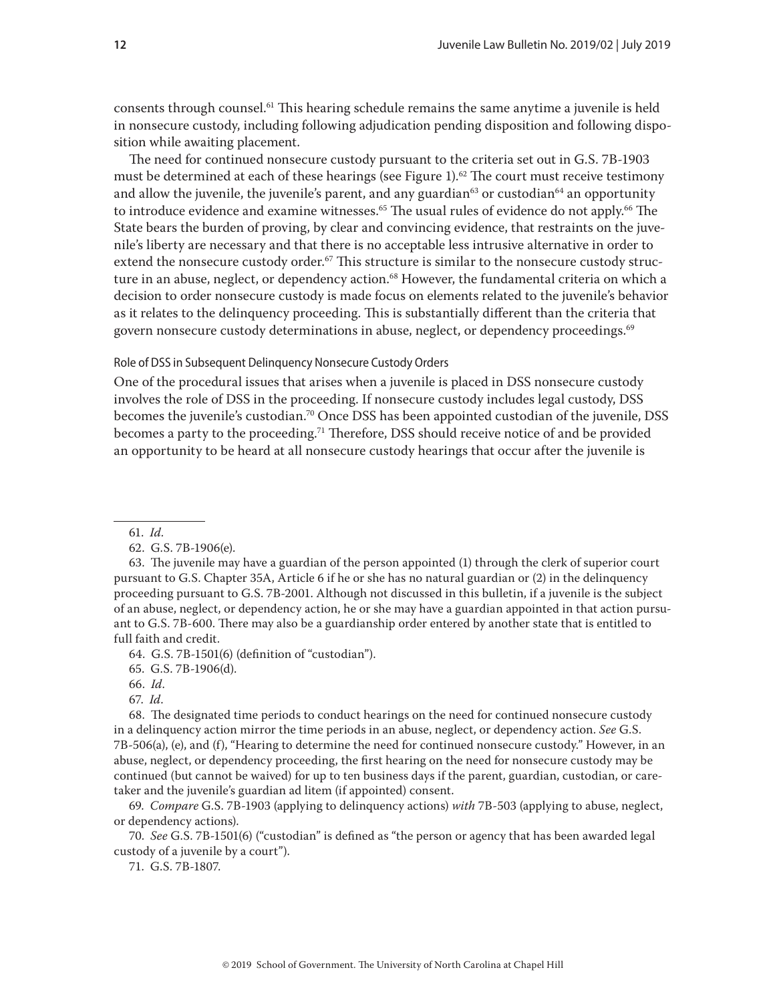consents through counsel.61 This hearing schedule remains the same anytime a juvenile is held in nonsecure custody, including following adjudication pending disposition and following disposition while awaiting placement.

The need for continued nonsecure custody pursuant to the criteria set out in G.S. 7B-1903 must be determined at each of these hearings (see Figure 1).<sup>62</sup> The court must receive testimony and allow the juvenile, the juvenile's parent, and any guardian $63$  or custodian $64$  an opportunity to introduce evidence and examine witnesses.<sup>65</sup> The usual rules of evidence do not apply.<sup>66</sup> The State bears the burden of proving, by clear and convincing evidence, that restraints on the juvenile's liberty are necessary and that there is no acceptable less intrusive alternative in order to extend the nonsecure custody order.<sup>67</sup> This structure is similar to the nonsecure custody structure in an abuse, neglect, or dependency action.<sup>68</sup> However, the fundamental criteria on which a decision to order nonsecure custody is made focus on elements related to the juvenile's behavior as it relates to the delinquency proceeding. This is substantially different than the criteria that govern nonsecure custody determinations in abuse, neglect, or dependency proceedings.<sup>69</sup>

#### Role of DSS in Subsequent Delinquency Nonsecure Custody Orders

One of the procedural issues that arises when a juvenile is placed in DSS nonsecure custody involves the role of DSS in the proceeding. If nonsecure custody includes legal custody, DSS becomes the juvenile's custodian.<sup>70</sup> Once DSS has been appointed custodian of the juvenile, DSS becomes a party to the proceeding.71 Therefore, DSS should receive notice of and be provided an opportunity to be heard at all nonsecure custody hearings that occur after the juvenile is

61. *Id*.

64. G.S. 7B-1501(6) (definition of "custodian").

65. G.S. 7B-1906(d).

66. *Id*.

67. *Id*.

70. *See* G.S. 7B-1501(6) ("custodian" is defined as "the person or agency that has been awarded legal custody of a juvenile by a court").

71. G.S. 7B-1807.

<sup>62.</sup> G.S. 7B-1906(e).

<sup>63.</sup> The juvenile may have a guardian of the person appointed (1) through the clerk of superior court pursuant to G.S. Chapter 35A, Article 6 if he or she has no natural guardian or (2) in the delinquency proceeding pursuant to G.S. 7B-2001. Although not discussed in this bulletin, if a juvenile is the subject of an abuse, neglect, or dependency action, he or she may have a guardian appointed in that action pursuant to G.S. 7B-600. There may also be a guardianship order entered by another state that is entitled to full faith and credit.

<sup>68.</sup> The designated time periods to conduct hearings on the need for continued nonsecure custody in a delinquency action mirror the time periods in an abuse, neglect, or dependency action. *See* G.S. 7B-506(a), (e), and (f), "Hearing to determine the need for continued nonsecure custody." However, in an abuse, neglect, or dependency proceeding, the first hearing on the need for nonsecure custody may be continued (but cannot be waived) for up to ten business days if the parent, guardian, custodian, or caretaker and the juvenile's guardian ad litem (if appointed) consent.

<sup>69.</sup> *Compare* G.S. 7B-1903 (applying to delinquency actions) *with* 7B-503 (applying to abuse, neglect, or dependency actions).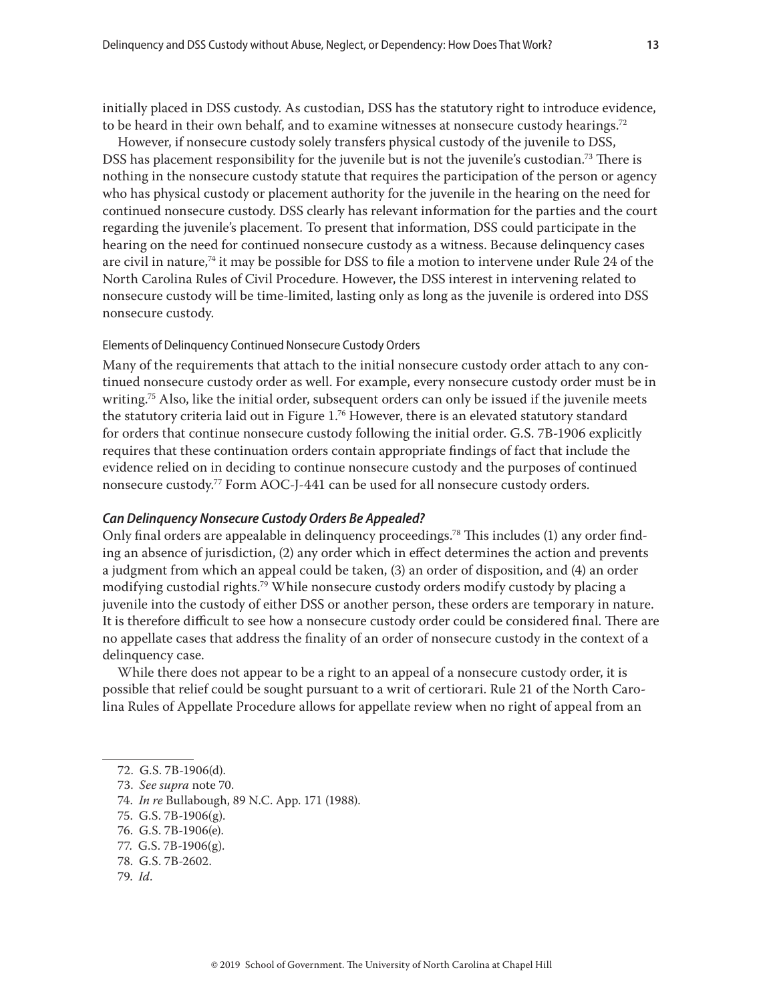initially placed in DSS custody. As custodian, DSS has the statutory right to introduce evidence, to be heard in their own behalf, and to examine witnesses at nonsecure custody hearings.<sup>72</sup>

However, if nonsecure custody solely transfers physical custody of the juvenile to DSS, DSS has placement responsibility for the juvenile but is not the juvenile's custodian.<sup>73</sup> There is nothing in the nonsecure custody statute that requires the participation of the person or agency who has physical custody or placement authority for the juvenile in the hearing on the need for continued nonsecure custody. DSS clearly has relevant information for the parties and the court regarding the juvenile's placement. To present that information, DSS could participate in the hearing on the need for continued nonsecure custody as a witness. Because delinquency cases are civil in nature,<sup>74</sup> it may be possible for DSS to file a motion to intervene under Rule 24 of the North Carolina Rules of Civil Procedure. However, the DSS interest in intervening related to nonsecure custody will be time-limited, lasting only as long as the juvenile is ordered into DSS nonsecure custody.

#### Elements of Delinquency Continued Nonsecure Custody Orders

Many of the requirements that attach to the initial nonsecure custody order attach to any continued nonsecure custody order as well. For example, every nonsecure custody order must be in writing.<sup>75</sup> Also, like the initial order, subsequent orders can only be issued if the juvenile meets the statutory criteria laid out in Figure  $1.76$  However, there is an elevated statutory standard for orders that continue nonsecure custody following the initial order. G.S. 7B-1906 explicitly requires that these continuation orders contain appropriate findings of fact that include the evidence relied on in deciding to continue nonsecure custody and the purposes of continued nonsecure custody.<sup>77</sup> Form AOC-J-441 can be used for all nonsecure custody orders.

#### *Can Delinquency Nonsecure Custody Orders Be Appealed?*

Only final orders are appealable in delinquency proceedings.<sup>78</sup> This includes (1) any order finding an absence of jurisdiction, (2) any order which in effect determines the action and prevents a judgment from which an appeal could be taken, (3) an order of disposition, and (4) an order modifying custodial rights.<sup>79</sup> While nonsecure custody orders modify custody by placing a juvenile into the custody of either DSS or another person, these orders are temporary in nature. It is therefore difficult to see how a nonsecure custody order could be considered final. There are no appellate cases that address the finality of an order of nonsecure custody in the context of a delinquency case.

While there does not appear to be a right to an appeal of a nonsecure custody order, it is possible that relief could be sought pursuant to a writ of certiorari. Rule 21 of the North Carolina Rules of Appellate Procedure allows for appellate review when no right of appeal from an

- 74. *In re* Bullabough, 89 N.C. App. 171 (1988).
- 75. G.S. 7B-1906(g).
- 76. G.S. 7B-1906(e).
- 77. G.S. 7B-1906(g).
- 78. G.S. 7B-2602.
- 79. *Id*.

<sup>72.</sup> G.S. 7B-1906(d).

<sup>73.</sup> *See supra* note 70.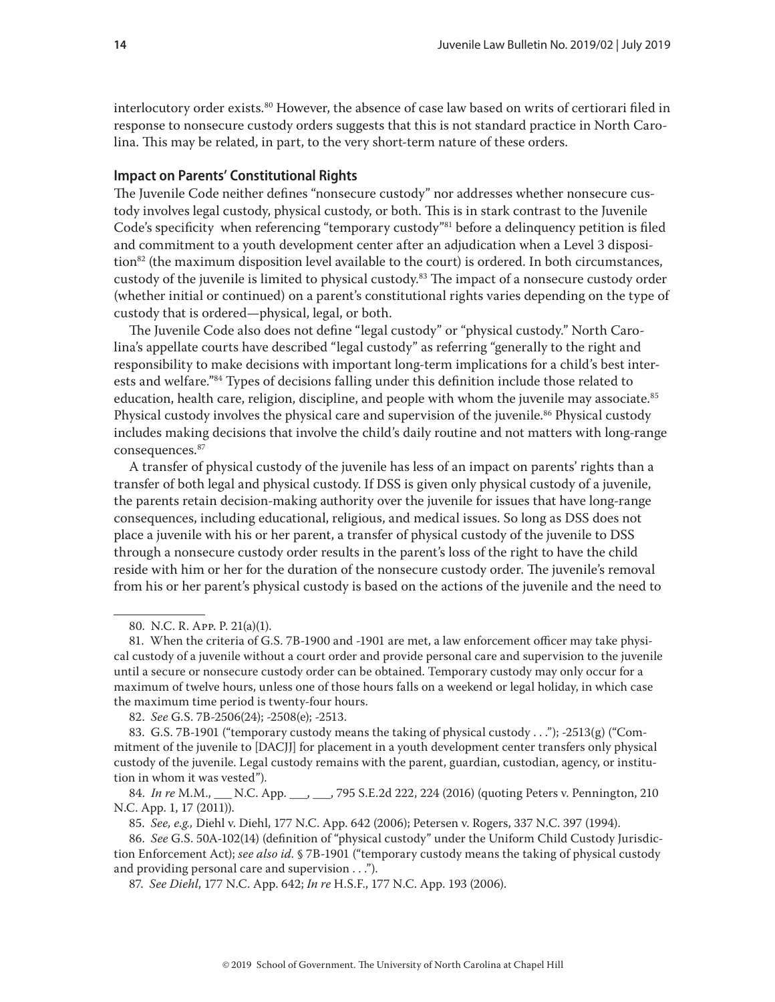<span id="page-13-0"></span>interlocutory order exists.<sup>80</sup> However, the absence of case law based on writs of certiorari filed in response to nonsecure custody orders suggests that this is not standard practice in North Carolina. This may be related, in part, to the very short-term nature of these orders.

#### **Impact on Parents' Constitutional Rights**

The Juvenile Code neither defines "nonsecure custody" nor addresses whether nonsecure custody involves legal custody, physical custody, or both. This is in stark contrast to the Juvenile Code's specificity when referencing "temporary custody"<sup>81</sup> before a delinquency petition is filed and commitment to a youth development center after an adjudication when a Level 3 disposi- $\frac{1}{2}$  (the maximum disposition level available to the court) is ordered. In both circumstances, custody of the juvenile is limited to physical custody.<sup>83</sup> The impact of a nonsecure custody order (whether initial or continued) on a parent's constitutional rights varies depending on the type of custody that is ordered—physical, legal, or both.

The Juvenile Code also does not define "legal custody" or "physical custody." North Carolina's appellate courts have described "legal custody" as referring "generally to the right and responsibility to make decisions with important long-term implications for a child's best interests and welfare."84 Types of decisions falling under this definition include those related to education, health care, religion, discipline, and people with whom the juvenile may associate.<sup>85</sup> Physical custody involves the physical care and supervision of the juvenile.<sup>86</sup> Physical custody includes making decisions that involve the child's daily routine and not matters with long-range consequences.87

A transfer of physical custody of the juvenile has less of an impact on parents' rights than a transfer of both legal and physical custody. If DSS is given only physical custody of a juvenile, the parents retain decision-making authority over the juvenile for issues that have long-range consequences, including educational, religious, and medical issues. So long as DSS does not place a juvenile with his or her parent, a transfer of physical custody of the juvenile to DSS through a nonsecure custody order results in the parent's loss of the right to have the child reside with him or her for the duration of the nonsecure custody order. The juvenile's removal from his or her parent's physical custody is based on the actions of the juvenile and the need to

<sup>80.</sup> N.C. R. App. P. 21(a)(1).

<sup>81.</sup> When the criteria of G.S. 7B-1900 and -1901 are met, a law enforcement officer may take physical custody of a juvenile without a court order and provide personal care and supervision to the juvenile until a secure or nonsecure custody order can be obtained. Temporary custody may only occur for a maximum of twelve hours, unless one of those hours falls on a weekend or legal holiday, in which case the maximum time period is twenty-four hours.

<sup>82.</sup> *See* G.S. 7B-2506(24); -2508(e); -2513.

<sup>83.</sup> G.S. 7B-1901 ("temporary custody means the taking of physical custody . . ."); -2513(g) ("Commitment of the juvenile to [DACJJ] for placement in a youth development center transfers only physical custody of the juvenile. Legal custody remains with the parent, guardian, custodian, agency, or institution in whom it was vested").

<sup>84.</sup> *In re* M.M., \_\_\_ N.C. App. \_\_\_, \_\_\_, 795 S.E.2d 222, 224 (2016) (quoting Peters v. Pennington, 210 N.C. App. 1, 17 (2011)).

<sup>85.</sup> *See, e.g.,* Diehl v. Diehl, 177 N.C. App. 642 (2006); Petersen v. Rogers, 337 N.C. 397 (1994).

<sup>86.</sup> *See* G.S. 50A-102(14) (definition of "physical custody" under the Uniform Child Custody Jurisdiction Enforcement Act); *see also id.* § 7B-1901 ("temporary custody means the taking of physical custody and providing personal care and supervision . . .").

<sup>87.</sup> *See Diehl*, 177 N.C. App. 642; *In re* H.S.F., 177 N.C. App. 193 (2006).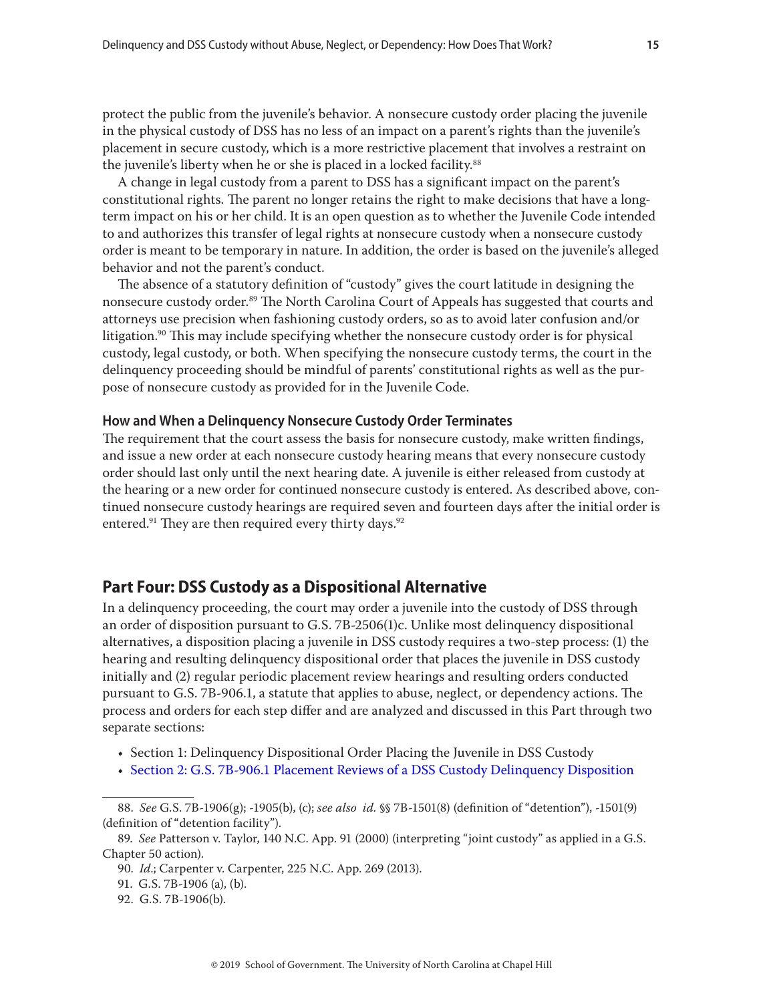<span id="page-14-0"></span>protect the public from the juvenile's behavior. A nonsecure custody order placing the juvenile in the physical custody of DSS has no less of an impact on a parent's rights than the juvenile's placement in secure custody, which is a more restrictive placement that involves a restraint on the juvenile's liberty when he or she is placed in a locked facility.<sup>88</sup>

A change in legal custody from a parent to DSS has a significant impact on the parent's constitutional rights. The parent no longer retains the right to make decisions that have a longterm impact on his or her child. It is an open question as to whether the Juvenile Code intended to and authorizes this transfer of legal rights at nonsecure custody when a nonsecure custody order is meant to be temporary in nature. In addition, the order is based on the juvenile's alleged behavior and not the parent's conduct.

The absence of a statutory definition of "custody" gives the court latitude in designing the nonsecure custody order.<sup>89</sup> The North Carolina Court of Appeals has suggested that courts and attorneys use precision when fashioning custody orders, so as to avoid later confusion and/or litigation.<sup>90</sup> This may include specifying whether the nonsecure custody order is for physical custody, legal custody, or both. When specifying the nonsecure custody terms, the court in the delinquency proceeding should be mindful of parents' constitutional rights as well as the purpose of nonsecure custody as provided for in the Juvenile Code.

#### **How and When a Delinquency Nonsecure Custody Order Terminates**

The requirement that the court assess the basis for nonsecure custody, make written findings, and issue a new order at each nonsecure custody hearing means that every nonsecure custody order should last only until the next hearing date. A juvenile is either released from custody at the hearing or a new order for continued nonsecure custody is entered. As described above, continued nonsecure custody hearings are required seven and fourteen days after the initial order is entered.<sup>91</sup> They are then required every thirty days.<sup>92</sup>

# **Part Four: DSS Custody as a Dispositional Alternative**

In a delinquency proceeding, the court may order a juvenile into the custody of DSS through an order of disposition pursuant to G.S. 7B-2506(1)c. Unlike most delinquency dispositional alternatives, a disposition placing a juvenile in DSS custody requires a two-step process: (1) the hearing and resulting delinquency dispositional order that places the juvenile in DSS custody initially and (2) regular periodic placement review hearings and resulting orders conducted pursuant to G.S. 7B-906.1, a statute that applies to abuse, neglect, or dependency actions. The process and orders for each step differ and are analyzed and discussed in this Part through two separate sections:

- Section 1: Delinquency Dispositional Order Placing the Juvenile in DSS Custody
- [Section 2: G.S. 7B-906.1 Placement Reviews of a DSS Custody Delinquency Disposition](#page-24-1)

<sup>88.</sup> *See* G.S. 7B-1906(g); -1905(b), (c); *see also id.* §§ 7B-1501(8) (definition of "detention"), -1501(9) (definition of "detention facility").

<sup>89.</sup> *See* Patterson v. Taylor, 140 N.C. App. 91 (2000) (interpreting "joint custody" as applied in a G.S. Chapter 50 action).

<sup>90.</sup> *Id*.; Carpenter v. Carpenter, 225 N.C. App. 269 (2013).

<sup>91.</sup> G.S. 7B-1906 (a), (b).

<sup>92.</sup> G.S. 7B-1906(b).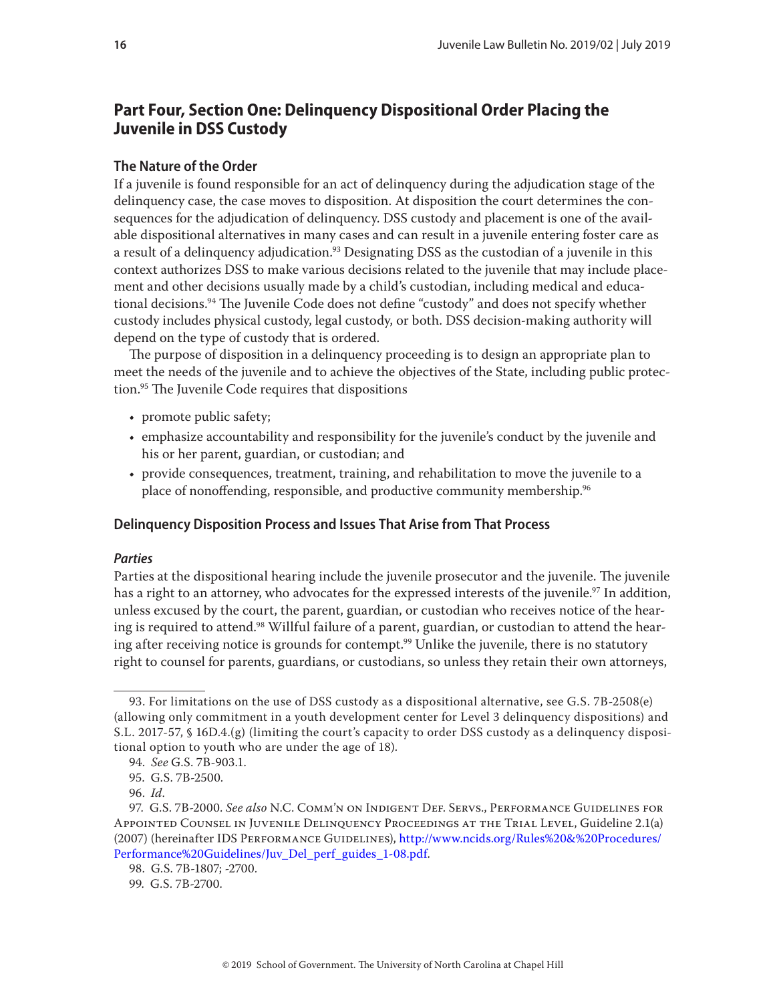# <span id="page-15-0"></span>**Part Four, Section One: Delinquency Dispositional Order Placing the Juvenile in DSS Custody**

## **The Nature of the Order**

If a juvenile is found responsible for an act of delinquency during the adjudication stage of the delinquency case, the case moves to disposition. At disposition the court determines the consequences for the adjudication of delinquency. DSS custody and placement is one of the available dispositional alternatives in many cases and can result in a juvenile entering foster care as a result of a delinquency adjudication.<sup>93</sup> Designating DSS as the custodian of a juvenile in this context authorizes DSS to make various decisions related to the juvenile that may include placement and other decisions usually made by a child's custodian, including medical and educational decisions.<sup>94</sup> The Juvenile Code does not define "custody" and does not specify whether custody includes physical custody, legal custody, or both. DSS decision-making authority will depend on the type of custody that is ordered.

The purpose of disposition in a delinquency proceeding is to design an appropriate plan to meet the needs of the juvenile and to achieve the objectives of the State, including public protection.95 The Juvenile Code requires that dispositions

- promote public safety;
- emphasize accountability and responsibility for the juvenile's conduct by the juvenile and his or her parent, guardian, or custodian; and
- provide consequences, treatment, training, and rehabilitation to move the juvenile to a place of nonoffending, responsible, and productive community membership.<sup>96</sup>

# **Delinquency Disposition Process and Issues That Arise from That Process**

#### *Parties*

Parties at the dispositional hearing include the juvenile prosecutor and the juvenile. The juvenile has a right to an attorney, who advocates for the expressed interests of the juvenile.<sup>97</sup> In addition, unless excused by the court, the parent, guardian, or custodian who receives notice of the hearing is required to attend.<sup>98</sup> Willful failure of a parent, guardian, or custodian to attend the hearing after receiving notice is grounds for contempt.<sup>99</sup> Unlike the juvenile, there is no statutory right to counsel for parents, guardians, or custodians, so unless they retain their own attorneys,

<sup>93.</sup> For limitations on the use of DSS custody as a dispositional alternative, see G.S. 7B-2508(e) (allowing only commitment in a youth development center for Level 3 delinquency dispositions) and S.L. 2017-57, § 16D.4.(g) (limiting the court's capacity to order DSS custody as a delinquency dispositional option to youth who are under the age of 18).

<sup>94.</sup> *See* G.S. 7B-903.1.

<sup>95.</sup> G.S. 7B-2500.

<sup>96.</sup> *Id*.

<sup>97.</sup> G.S. 7B-2000. *See also* N.C. Comm'n on Indigent Def. Servs., Performance Guidelines for Appointed Counsel in Juvenile Delinquency Proceedings at the Trial Level, Guideline 2.1(a) (2007) (hereinafter IDS PERFORMANCE GUIDELINES), [http://www.ncids.org/Rules%20&%20Procedures/](http://www.ncids.org/Rules%20&%20Procedures/Performance%20Guidelines/Juv_Del_perf_guides_1-08.pdf) [Performance%20Guidelines/Juv\\_Del\\_perf\\_guides\\_1-08.pdf.](http://www.ncids.org/Rules%20&%20Procedures/Performance%20Guidelines/Juv_Del_perf_guides_1-08.pdf)

<sup>98.</sup> G.S. 7B-1807; -2700.

<sup>99.</sup> G.S. 7B-2700.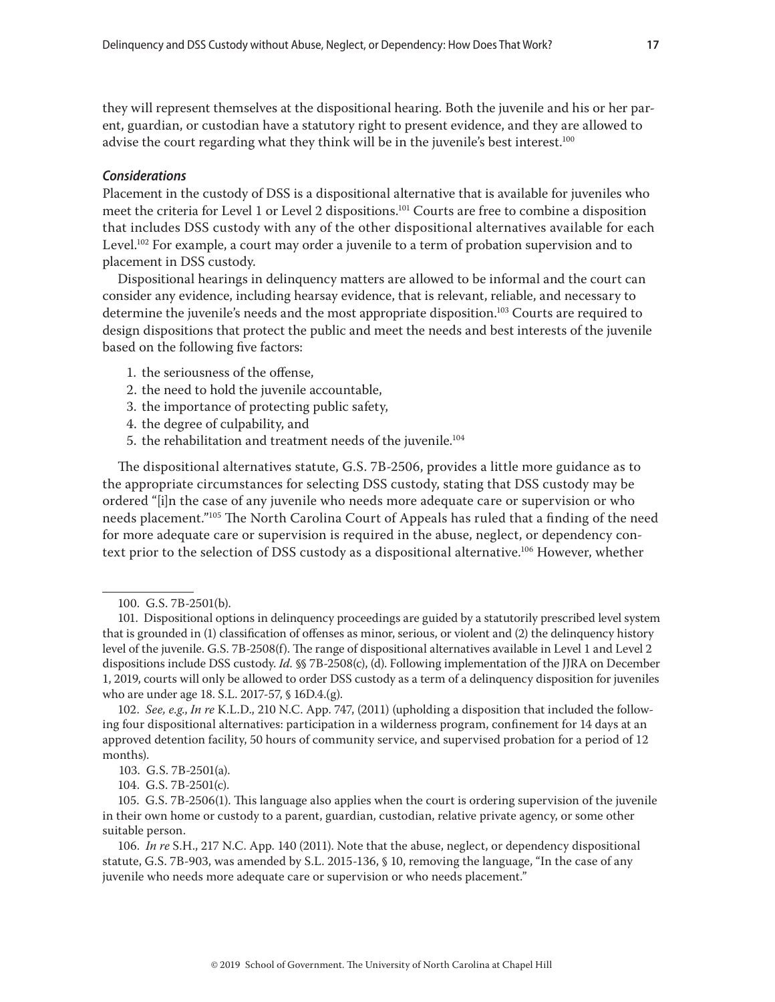they will represent themselves at the dispositional hearing. Both the juvenile and his or her parent, guardian, or custodian have a statutory right to present evidence, and they are allowed to advise the court regarding what they think will be in the juvenile's best interest.<sup>100</sup>

#### *Considerations*

Placement in the custody of DSS is a dispositional alternative that is available for juveniles who meet the criteria for Level 1 or Level 2 dispositions.101 Courts are free to combine a disposition that includes DSS custody with any of the other dispositional alternatives available for each Level.<sup>102</sup> For example, a court may order a juvenile to a term of probation supervision and to placement in DSS custody.

Dispositional hearings in delinquency matters are allowed to be informal and the court can consider any evidence, including hearsay evidence, that is relevant, reliable, and necessary to determine the juvenile's needs and the most appropriate disposition.<sup>103</sup> Courts are required to design dispositions that protect the public and meet the needs and best interests of the juvenile based on the following five factors:

- 1. the seriousness of the offense,
- 2. the need to hold the juvenile accountable,
- 3. the importance of protecting public safety,
- 4. the degree of culpability, and
- 5. the rehabilitation and treatment needs of the juvenile.<sup>104</sup>

The dispositional alternatives statute, G.S. 7B-2506, provides a little more guidance as to the appropriate circumstances for selecting DSS custody, stating that DSS custody may be ordered "[i]n the case of any juvenile who needs more adequate care or supervision or who needs placement."105 The North Carolina Court of Appeals has ruled that a finding of the need for more adequate care or supervision is required in the abuse, neglect, or dependency context prior to the selection of DSS custody as a dispositional alternative.106 However, whether

102. *See, e.g*., *In re* K.L.D., 210 N.C. App. 747, (2011) (upholding a disposition that included the following four dispositional alternatives: participation in a wilderness program, confinement for 14 days at an approved detention facility, 50 hours of community service, and supervised probation for a period of 12 months).

<sup>100.</sup> G.S. 7B-2501(b).

<sup>101.</sup> Dispositional options in delinquency proceedings are guided by a statutorily prescribed level system that is grounded in (1) classification of offenses as minor, serious, or violent and (2) the delinquency history level of the juvenile. G.S. 7B-2508(f). The range of dispositional alternatives available in Level 1 and Level 2 dispositions include DSS custody. *Id.* §§ 7B-2508(c), (d). Following implementation of the JJRA on December 1, 2019, courts will only be allowed to order DSS custody as a term of a delinquency disposition for juveniles who are under age 18. S.L. 2017-57, § 16D.4.(g).

 <sup>103.</sup> G.S. 7B-2501(a).

<sup>104.</sup> G.S. 7B-2501(c).

<sup>105.</sup> G.S. 7B-2506(1). This language also applies when the court is ordering supervision of the juvenile in their own home or custody to a parent, guardian, custodian, relative private agency, or some other suitable person.

<sup>106.</sup> *In re* S.H., 217 N.C. App. 140 (2011). Note that the abuse, neglect, or dependency dispositional statute, G.S. 7B-903, was amended by S.L. 2015-136, § 10, removing the language, "In the case of any juvenile who needs more adequate care or supervision or who needs placement."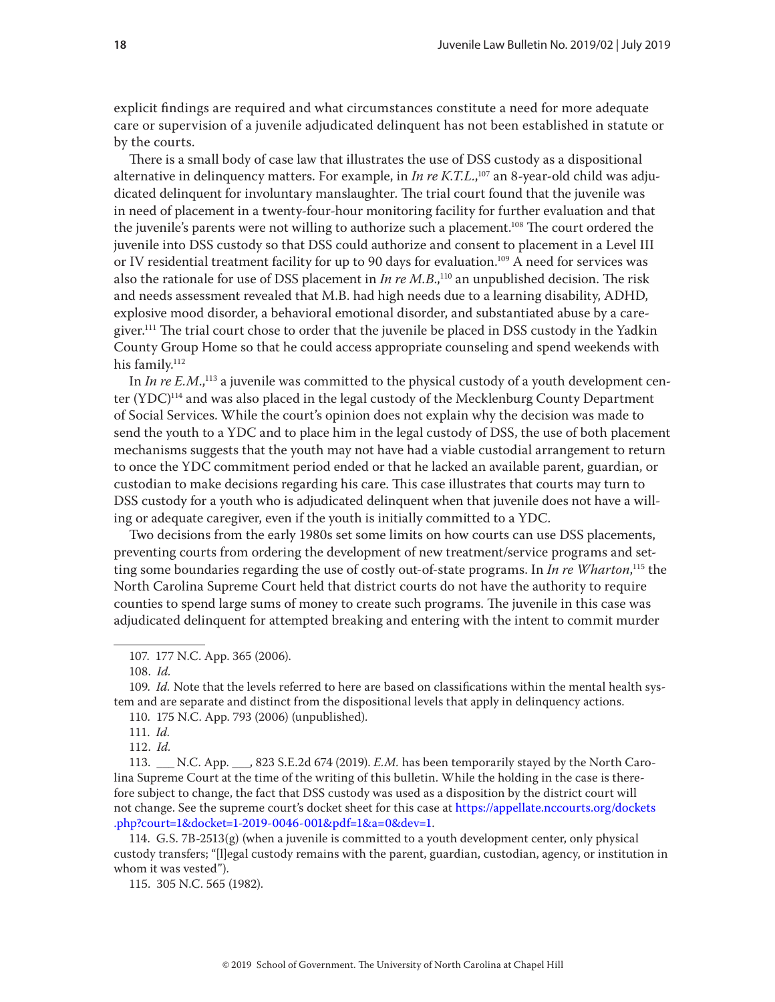explicit findings are required and what circumstances constitute a need for more adequate care or supervision of a juvenile adjudicated delinquent has not been established in statute or by the courts.

There is a small body of case law that illustrates the use of DSS custody as a dispositional alternative in delinquency matters. For example, in *In re K.T.L.*, 107 an 8-year-old child was adjudicated delinquent for involuntary manslaughter. The trial court found that the juvenile was in need of placement in a twenty-four-hour monitoring facility for further evaluation and that the juvenile's parents were not willing to authorize such a placement.108 The court ordered the juvenile into DSS custody so that DSS could authorize and consent to placement in a Level III or IV residential treatment facility for up to 90 days for evaluation.<sup>109</sup> A need for services was also the rationale for use of DSS placement in *In re M.B.*,<sup>110</sup> an unpublished decision. The risk and needs assessment revealed that M.B. had high needs due to a learning disability, ADHD, explosive mood disorder, a behavioral emotional disorder, and substantiated abuse by a caregiver.<sup>111</sup> The trial court chose to order that the juvenile be placed in DSS custody in the Yadkin County Group Home so that he could access appropriate counseling and spend weekends with his family.<sup>112</sup>

In *In re E.M.*,<sup>113</sup> a juvenile was committed to the physical custody of a youth development center  $(YDC)^{114}$  and was also placed in the legal custody of the Mecklenburg County Department of Social Services. While the court's opinion does not explain why the decision was made to send the youth to a YDC and to place him in the legal custody of DSS, the use of both placement mechanisms suggests that the youth may not have had a viable custodial arrangement to return to once the YDC commitment period ended or that he lacked an available parent, guardian, or custodian to make decisions regarding his care. This case illustrates that courts may turn to DSS custody for a youth who is adjudicated delinquent when that juvenile does not have a willing or adequate caregiver, even if the youth is initially committed to a YDC.

Two decisions from the early 1980s set some limits on how courts can use DSS placements, preventing courts from ordering the development of new treatment/service programs and setting some boundaries regarding the use of costly out-of-state programs. In *In re Wharton*, <sup>115</sup> the North Carolina Supreme Court held that district courts do not have the authority to require counties to spend large sums of money to create such programs. The juvenile in this case was adjudicated delinquent for attempted breaking and entering with the intent to commit murder

109. *Id.* Note that the levels referred to here are based on classifications within the mental health system and are separate and distinct from the dispositional levels that apply in delinquency actions.

112. *Id.*

113. \_\_\_ N.C. App. \_\_\_, 823 S.E.2d 674 (2019). *E.M.* has been temporarily stayed by the North Carolina Supreme Court at the time of the writing of this bulletin. While the holding in the case is therefore subject to change, the fact that DSS custody was used as a disposition by the district court will not change. See the supreme court's docket sheet for this case at [https://appellate.nccourts.org/dockets](https://appellate.nccourts.org/dockets.php?court=1&docket=1-2019-0046-001&pdf=1&a=0&dev=1)  [.php?court=1&docket=1-2019-0046-001&pdf=1&a=0&dev=1](https://appellate.nccourts.org/dockets.php?court=1&docket=1-2019-0046-001&pdf=1&a=0&dev=1).

114. G.S. 7B-2513(g) (when a juvenile is committed to a youth development center, only physical custody transfers; "[l]egal custody remains with the parent, guardian, custodian, agency, or institution in whom it was vested").

115. 305 N.C. 565 (1982).

<sup>107. 177</sup> N.C. App. 365 (2006).

<sup>108.</sup> *Id.*

<sup>110. 175</sup> N.C. App. 793 (2006) (unpublished).

<sup>111.</sup> *Id.*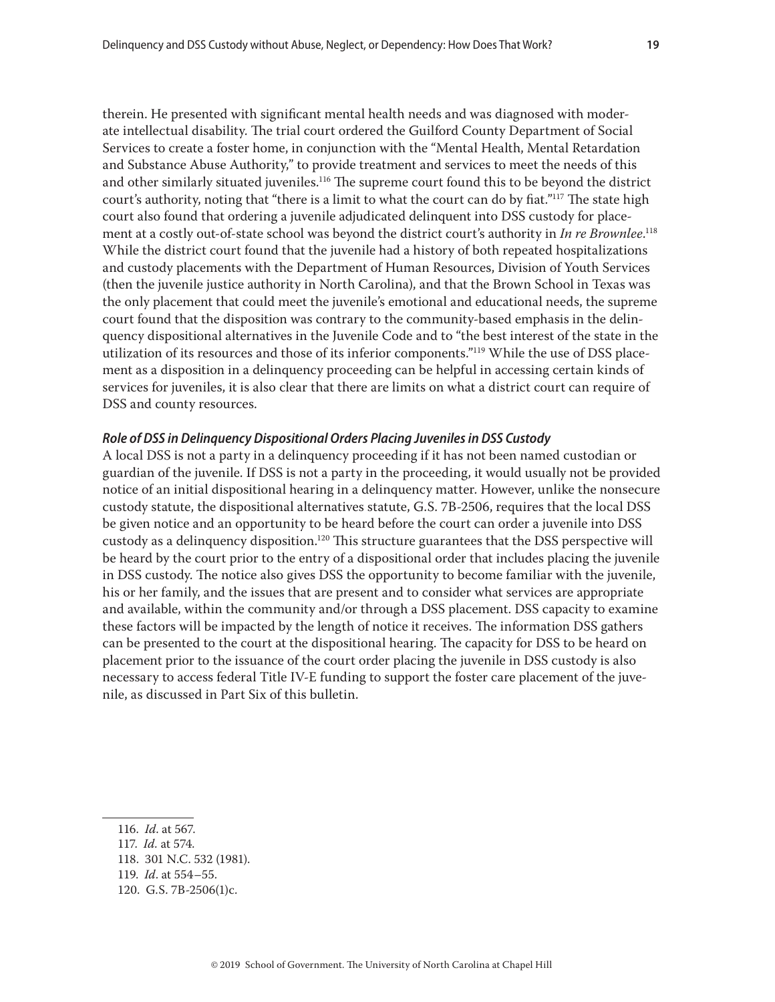therein. He presented with significant mental health needs and was diagnosed with moderate intellectual disability. The trial court ordered the Guilford County Department of Social Services to create a foster home, in conjunction with the "Mental Health, Mental Retardation and Substance Abuse Authority," to provide treatment and services to meet the needs of this and other similarly situated juveniles.<sup>116</sup> The supreme court found this to be beyond the district court's authority, noting that "there is a limit to what the court can do by fiat."<sup>117</sup> The state high court also found that ordering a juvenile adjudicated delinquent into DSS custody for placement at a costly out-of-state school was beyond the district court's authority in *In re Brownlee*. 118 While the district court found that the juvenile had a history of both repeated hospitalizations and custody placements with the Department of Human Resources, Division of Youth Services (then the juvenile justice authority in North Carolina), and that the Brown School in Texas was the only placement that could meet the juvenile's emotional and educational needs, the supreme court found that the disposition was contrary to the community-based emphasis in the delinquency dispositional alternatives in the Juvenile Code and to "the best interest of the state in the utilization of its resources and those of its inferior components."<sup>119</sup> While the use of DSS placement as a disposition in a delinquency proceeding can be helpful in accessing certain kinds of services for juveniles, it is also clear that there are limits on what a district court can require of DSS and county resources.

# *Role of DSS in Delinquency Dispositional Orders Placing Juveniles in DSS Custody*

A local DSS is not a party in a delinquency proceeding if it has not been named custodian or guardian of the juvenile. If DSS is not a party in the proceeding, it would usually not be provided notice of an initial dispositional hearing in a delinquency matter. However, unlike the nonsecure custody statute, the dispositional alternatives statute, G.S. 7B-2506, requires that the local DSS be given notice and an opportunity to be heard before the court can order a juvenile into DSS custody as a delinquency disposition.<sup>120</sup> This structure guarantees that the DSS perspective will be heard by the court prior to the entry of a dispositional order that includes placing the juvenile in DSS custody. The notice also gives DSS the opportunity to become familiar with the juvenile, his or her family, and the issues that are present and to consider what services are appropriate and available, within the community and/or through a DSS placement. DSS capacity to examine these factors will be impacted by the length of notice it receives. The information DSS gathers can be presented to the court at the dispositional hearing. The capacity for DSS to be heard on placement prior to the issuance of the court order placing the juvenile in DSS custody is also necessary to access federal Title IV-E funding to support the foster care placement of the juvenile, as discussed in Part Six of this bulletin.

<sup>116.</sup> *Id*. at 567.

<sup>117.</sup> *Id.* at 574*.*

<sup>118. 301</sup> N.C. 532 (1981).

<sup>119.</sup> *Id*. at 554–55.

<sup>120.</sup> G.S. 7B-2506(1)c.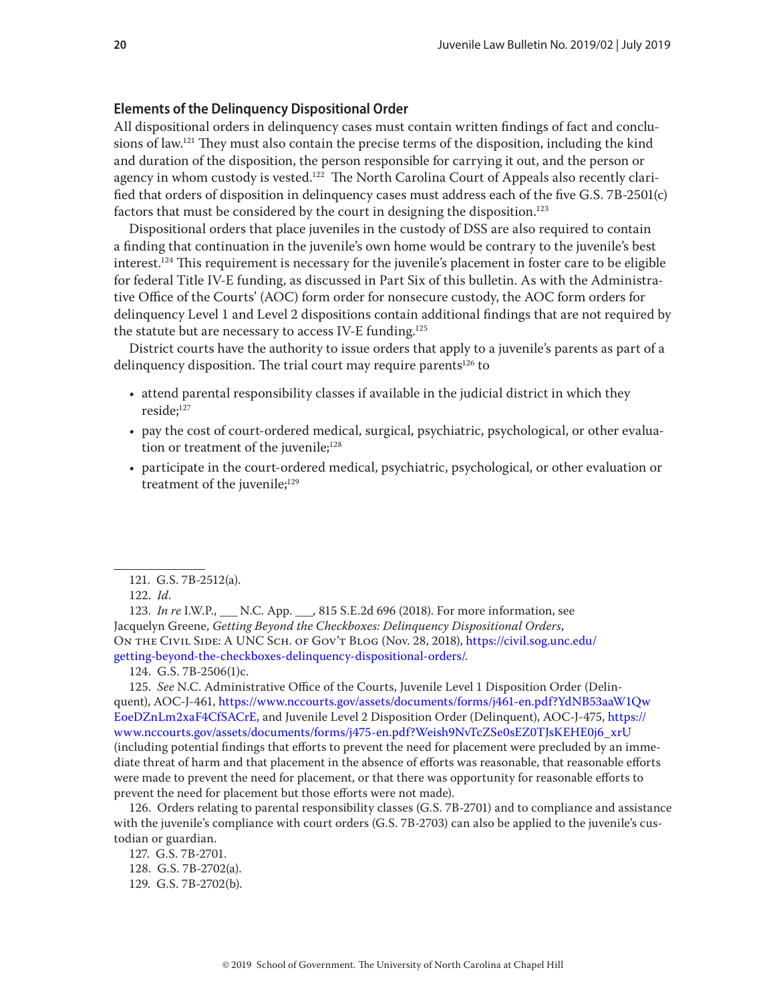#### <span id="page-19-0"></span>**Elements of the Delinquency Dispositional Order**

All dispositional orders in delinquency cases must contain written findings of fact and conclusions of law.<sup>121</sup> They must also contain the precise terms of the disposition, including the kind and duration of the disposition, the person responsible for carrying it out, and the person or agency in whom custody is vested.<sup>122</sup> The North Carolina Court of Appeals also recently clarified that orders of disposition in delinquency cases must address each of the five G.S. 7B-2501(c) factors that must be considered by the court in designing the disposition.<sup>123</sup>

Dispositional orders that place juveniles in the custody of DSS are also required to contain a finding that continuation in the juvenile's own home would be contrary to the juvenile's best interest.<sup>124</sup> This requirement is necessary for the juvenile's placement in foster care to be eligible for federal Title IV-E funding, as discussed in Part Six of this bulletin. As with the Administrative Office of the Courts' (AOC) form order for nonsecure custody, the AOC form orders for delinquency Level 1 and Level 2 dispositions contain additional findings that are not required by the statute but are necessary to access IV-E funding.<sup>125</sup>

District courts have the authority to issue orders that apply to a juvenile's parents as part of a delinquency disposition. The trial court may require parents<sup>126</sup> to

- attend parental responsibility classes if available in the judicial district in which they reside;<sup>127</sup>
- pay the cost of court-ordered medical, surgical, psychiatric, psychological, or other evaluation or treatment of the juvenile; $128$
- participate in the court-ordered medical, psychiatric, psychological, or other evaluation or treatment of the juvenile;<sup>129</sup>

123. *In re* I.W.P., \_\_\_ N.C. App. \_\_\_, 815 S.E.2d 696 (2018). For more information, see Jacquelyn Greene, *[Getting Beyond the Checkboxes: Delinquency Dispositional Orders](https://civil.sog.unc.edu/getting-beyond-the-checkboxes-delinquency-dispositional-orders/)*, On the Civil Side: A UNC Sch. of Gov't Blog (Nov. 28, 2018), [https://civil.sog.unc.edu/](https://civil.sog.unc.edu/getting-beyond-the-checkboxes-delinquency-dispositional-orders/) [getting-beyond-the-checkboxes-delinquency-dispositional-orders/.](https://civil.sog.unc.edu/getting-beyond-the-checkboxes-delinquency-dispositional-orders/)

124. G.S. 7B-2506(1)c.

125. *See* N.C. Administrative Office of the Courts, Juvenile Level 1 Disposition Order (Delinquent), AOC-J-461, [https://www.nccourts.gov/assets/documents/forms/j461-en.pdf?YdNB53aaW1Qw](https://www.nccourts.gov/assets/documents/forms/j461-en.pdf?YdNB53aaW1QwEoeDZnLm2xaF4CfSACrE) [EoeDZnLm2xaF4CfSACrE,](https://www.nccourts.gov/assets/documents/forms/j461-en.pdf?YdNB53aaW1QwEoeDZnLm2xaF4CfSACrE) and Juvenile Level 2 Disposition Order (Delinquent), AOC-J-475, [https://](https://www.nccourts.gov/assets/documents/forms/j475-en.pdf?Weish9NvTcZSe0sEZ0TJsKEHE0j6_xrU) [www.nccourts.gov/assets/documents/forms/j475-en.pdf?Weish9NvTcZSe0sEZ0TJsKEHE0j6\\_xrU](https://www.nccourts.gov/assets/documents/forms/j475-en.pdf?Weish9NvTcZSe0sEZ0TJsKEHE0j6_xrU) (including potential findings that efforts to prevent the need for placement were precluded by an immediate threat of harm and that placement in the absence of efforts was reasonable, that reasonable efforts were made to prevent the need for placement, or that there was opportunity for reasonable efforts to prevent the need for placement but those efforts were not made).

126. Orders relating to parental responsibility classes (G.S. 7B-2701) and to compliance and assistance with the juvenile's compliance with court orders (G.S. 7B-2703) can also be applied to the juvenile's custodian or guardian.

127. G.S. 7B-2701. 128. G.S. 7B-2702(a). 129. G.S. 7B-2702(b).

<sup>121.</sup> G.S. 7B-2512(a).

<sup>122.</sup> *Id*.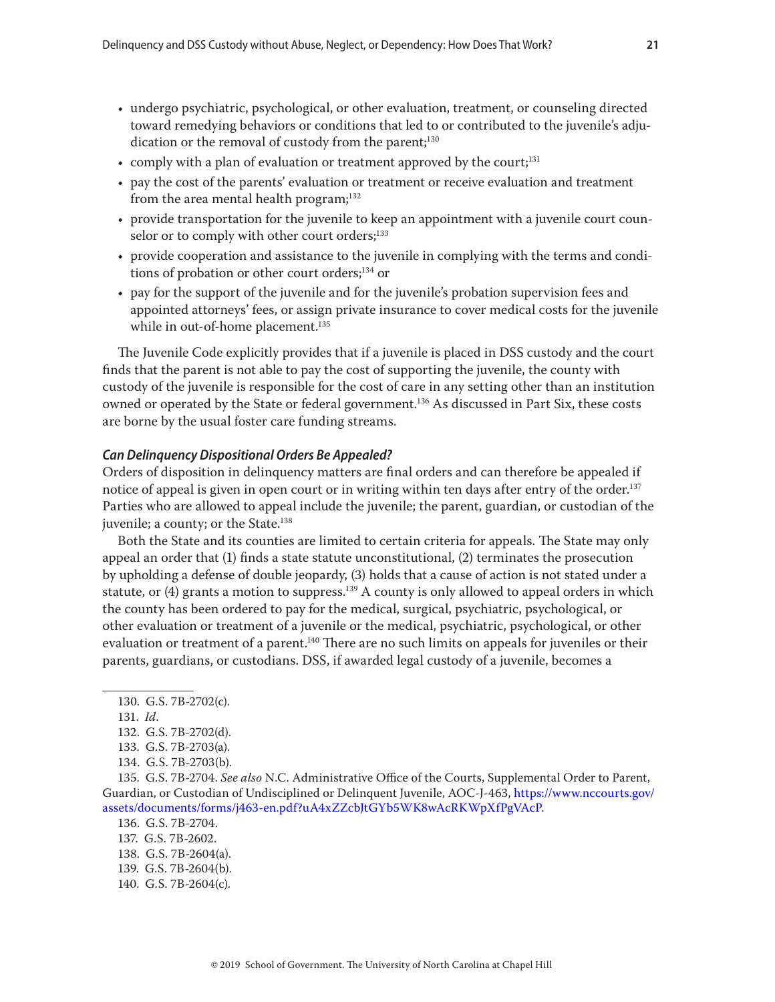- undergo psychiatric, psychological, or other evaluation, treatment, or counseling directed toward remedying behaviors or conditions that led to or contributed to the juvenile's adjudication or the removal of custody from the parent;<sup>130</sup>
- comply with a plan of evaluation or treatment approved by the court;<sup>131</sup>
- pay the cost of the parents' evaluation or treatment or receive evaluation and treatment from the area mental health program;<sup>132</sup>
- provide transportation for the juvenile to keep an appointment with a juvenile court counselor or to comply with other court orders;<sup>133</sup>
- provide cooperation and assistance to the juvenile in complying with the terms and conditions of probation or other court orders;<sup>134</sup> or
- pay for the support of the juvenile and for the juvenile's probation supervision fees and appointed attorneys' fees, or assign private insurance to cover medical costs for the juvenile while in out-of-home placement.<sup>135</sup>

The Juvenile Code explicitly provides that if a juvenile is placed in DSS custody and the court finds that the parent is not able to pay the cost of supporting the juvenile, the county with custody of the juvenile is responsible for the cost of care in any setting other than an institution owned or operated by the State or federal government.136 As discussed in Part Six, these costs are borne by the usual foster care funding streams.

### *Can Delinquency Dispositional Orders Be Appealed?*

Orders of disposition in delinquency matters are final orders and can therefore be appealed if notice of appeal is given in open court or in writing within ten days after entry of the order.<sup>137</sup> Parties who are allowed to appeal include the juvenile; the parent, guardian, or custodian of the juvenile; a county; or the State.<sup>138</sup>

Both the State and its counties are limited to certain criteria for appeals. The State may only appeal an order that (1) finds a state statute unconstitutional, (2) terminates the prosecution by upholding a defense of double jeopardy, (3) holds that a cause of action is not stated under a statute, or (4) grants a motion to suppress.<sup>139</sup> A county is only allowed to appeal orders in which the county has been ordered to pay for the medical, surgical, psychiatric, psychological, or other evaluation or treatment of a juvenile or the medical, psychiatric, psychological, or other evaluation or treatment of a parent.<sup>140</sup> There are no such limits on appeals for juveniles or their parents, guardians, or custodians. DSS, if awarded legal custody of a juvenile, becomes a

134. G.S. 7B-2703(b).

135. G.S. 7B-2704. *See also* N.C. Administrative Office of the Courts, Supplemental Order to Parent, Guardian, or Custodian of Undisciplined or Delinquent Juvenile, AOC-J-463, [https://www.nccourts.gov/](https://www.nccourts.gov/assets/documents/forms/j463-en.pdf?uA4xZZcbJtGYb5WK8wAcRKWpXfPgVAcP) [assets/documents/forms/j463-en.pdf?uA4xZZcbJtGYb5WK8wAcRKWpXfPgVAcP.](https://www.nccourts.gov/assets/documents/forms/j463-en.pdf?uA4xZZcbJtGYb5WK8wAcRKWpXfPgVAcP)

- 137. G.S. 7B-2602.
- 138. G.S. 7B-2604(a).
- 139. G.S. 7B-2604(b).
- 140. G.S. 7B-2604(c).

<sup>130.</sup> G.S. 7B-2702(c).

<sup>131.</sup> *Id*.

<sup>132.</sup> G.S. 7B-2702(d).

<sup>133.</sup> G.S. 7B-2703(a).

<sup>136.</sup> G.S. 7B-2704.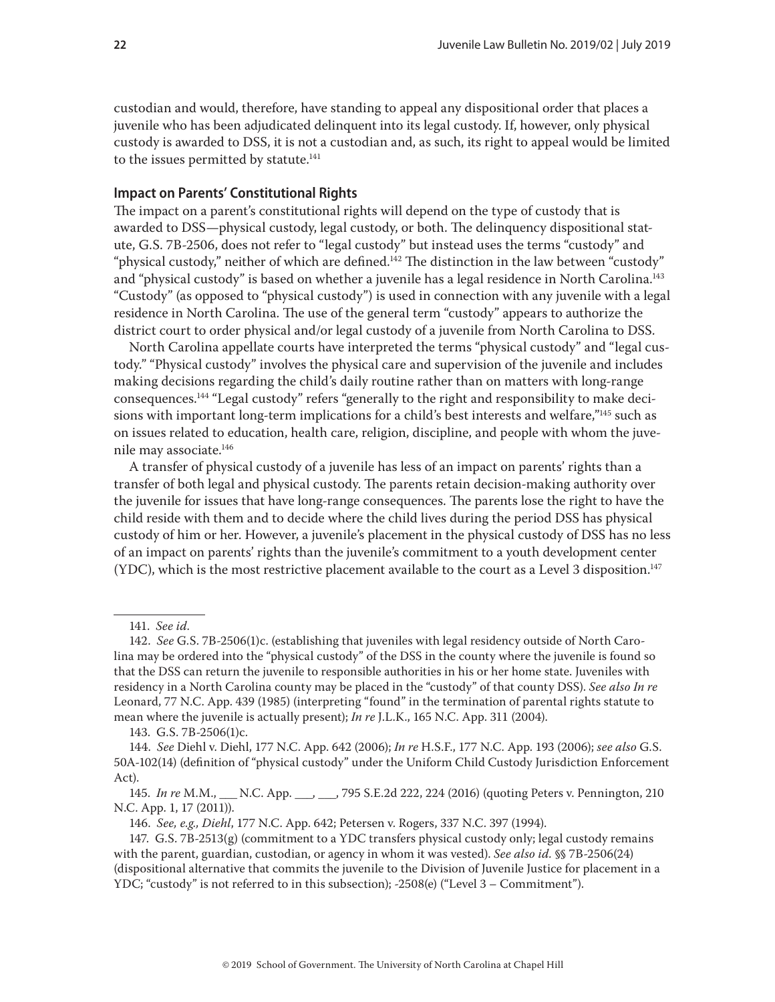<span id="page-21-0"></span>custodian and would, therefore, have standing to appeal any dispositional order that places a juvenile who has been adjudicated delinquent into its legal custody. If, however, only physical custody is awarded to DSS, it is not a custodian and, as such, its right to appeal would be limited to the issues permitted by statute.<sup>141</sup>

#### **Impact on Parents' Constitutional Rights**

The impact on a parent's constitutional rights will depend on the type of custody that is awarded to DSS—physical custody, legal custody, or both. The delinquency dispositional statute, G.S. 7B-2506, does not refer to "legal custody" but instead uses the terms "custody" and "physical custody," neither of which are defined.142 The distinction in the law between "custody" and "physical custody" is based on whether a juvenile has a legal residence in North Carolina.<sup>143</sup> "Custody" (as opposed to "physical custody") is used in connection with any juvenile with a legal residence in North Carolina. The use of the general term "custody" appears to authorize the district court to order physical and/or legal custody of a juvenile from North Carolina to DSS.

North Carolina appellate courts have interpreted the terms "physical custody" and "legal custody." "Physical custody" involves the physical care and supervision of the juvenile and includes making decisions regarding the child's daily routine rather than on matters with long-range consequences.144 "Legal custody" refers "generally to the right and responsibility to make decisions with important long-term implications for a child's best interests and welfare,"145 such as on issues related to education, health care, religion, discipline, and people with whom the juvenile may associate.146

A transfer of physical custody of a juvenile has less of an impact on parents' rights than a transfer of both legal and physical custody. The parents retain decision-making authority over the juvenile for issues that have long-range consequences. The parents lose the right to have the child reside with them and to decide where the child lives during the period DSS has physical custody of him or her. However, a juvenile's placement in the physical custody of DSS has no less of an impact on parents' rights than the juvenile's commitment to a youth development center  $(YDC)$ , which is the most restrictive placement available to the court as a Level 3 disposition.<sup>147</sup>

143. G.S. 7B-2506(1)c.

<sup>141.</sup> *See id*.

<sup>142.</sup> *See* G.S. 7B-2506(1)c. (establishing that juveniles with legal residency outside of North Carolina may be ordered into the "physical custody" of the DSS in the county where the juvenile is found so that the DSS can return the juvenile to responsible authorities in his or her home state. Juveniles with residency in a North Carolina county may be placed in the "custody" of that county DSS). *See also In re*  Leonard, 77 N.C. App. 439 (1985) (interpreting "found" in the termination of parental rights statute to mean where the juvenile is actually present); *In re* J.L.K., 165 N.C. App. 311 (2004).

<sup>144.</sup> *See* Diehl v. Diehl, 177 N.C. App. 642 (2006); *In re* H.S.F., 177 N.C. App. 193 (2006); *see also* G.S. 50A-102(14) (definition of "physical custody" under the Uniform Child Custody Jurisdiction Enforcement Act).

<sup>145.</sup> *In re* M.M., \_\_\_ N.C. App. \_\_\_, \_\_\_, 795 S.E.2d 222, 224 (2016) (quoting Peters v. Pennington, 210 N.C. App. 1, 17 (2011)).

<sup>146.</sup> *See, e.g., Diehl*, 177 N.C. App. 642; Petersen v. Rogers, 337 N.C. 397 (1994).

<sup>147.</sup> G.S. 7B-2513(g) (commitment to a YDC transfers physical custody only; legal custody remains with the parent, guardian, custodian, or agency in whom it was vested). *See also id.* §§ 7B-2506(24) (dispositional alternative that commits the juvenile to the Division of Juvenile Justice for placement in a YDC; "custody" is not referred to in this subsection); -2508(e) ("Level 3 – Commitment").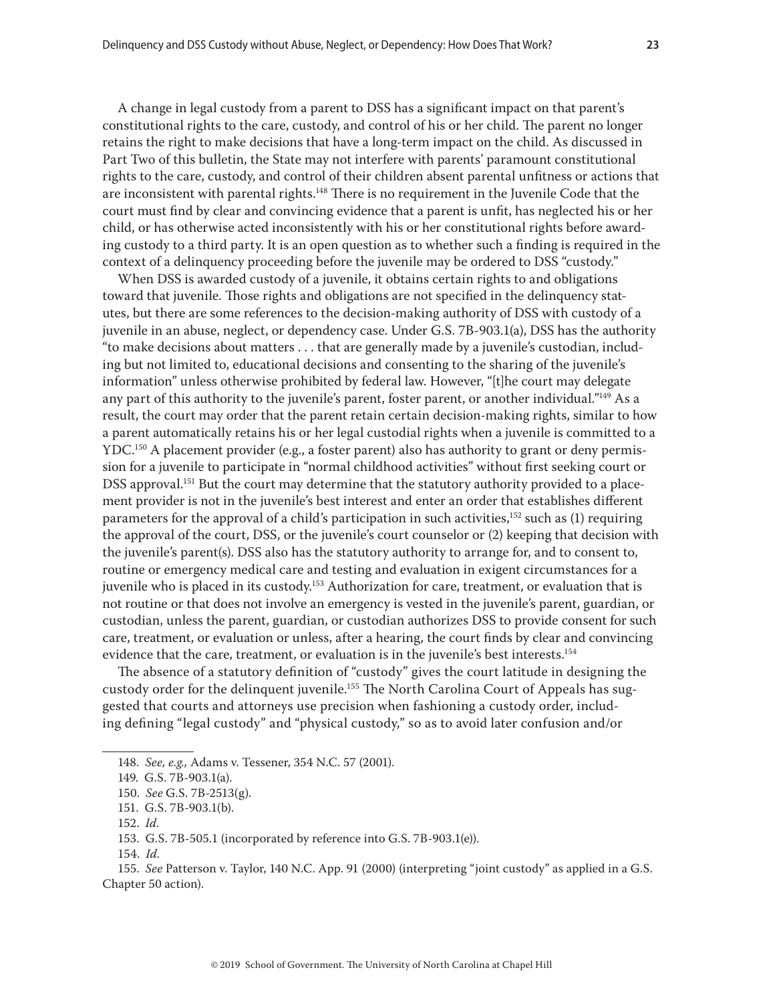A change in legal custody from a parent to DSS has a significant impact on that parent's constitutional rights to the care, custody, and control of his or her child. The parent no longer retains the right to make decisions that have a long-term impact on the child. As discussed in Part Two of this bulletin, the State may not interfere with parents' paramount constitutional rights to the care, custody, and control of their children absent parental unfitness or actions that are inconsistent with parental rights.<sup>148</sup> There is no requirement in the Juvenile Code that the court must find by clear and convincing evidence that a parent is unfit, has neglected his or her child, or has otherwise acted inconsistently with his or her constitutional rights before awarding custody to a third party. It is an open question as to whether such a finding is required in the context of a delinquency proceeding before the juvenile may be ordered to DSS "custody."

When DSS is awarded custody of a juvenile, it obtains certain rights to and obligations toward that juvenile. Those rights and obligations are not specified in the delinquency statutes, but there are some references to the decision-making authority of DSS with custody of a juvenile in an abuse, neglect, or dependency case. Under G.S. 7B-903.1(a), DSS has the authority "to make decisions about matters . . . that are generally made by a juvenile's custodian, including but not limited to, educational decisions and consenting to the sharing of the juvenile's information" unless otherwise prohibited by federal law. However, "[t]he court may delegate any part of this authority to the juvenile's parent, foster parent, or another individual."<sup>149</sup> As a result, the court may order that the parent retain certain decision-making rights, similar to how a parent automatically retains his or her legal custodial rights when a juvenile is committed to a  $YDC<sup>150</sup>$  A placement provider (e.g., a foster parent) also has authority to grant or deny permission for a juvenile to participate in "normal childhood activities" without first seeking court or DSS approval.<sup>151</sup> But the court may determine that the statutory authority provided to a placement provider is not in the juvenile's best interest and enter an order that establishes different parameters for the approval of a child's participation in such activities, $152$  such as (1) requiring the approval of the court, DSS, or the juvenile's court counselor or (2) keeping that decision with the juvenile's parent(s). DSS also has the statutory authority to arrange for, and to consent to, routine or emergency medical care and testing and evaluation in exigent circumstances for a juvenile who is placed in its custody.153 Authorization for care, treatment, or evaluation that is not routine or that does not involve an emergency is vested in the juvenile's parent, guardian, or custodian, unless the parent, guardian, or custodian authorizes DSS to provide consent for such care, treatment, or evaluation or unless, after a hearing, the court finds by clear and convincing evidence that the care, treatment, or evaluation is in the juvenile's best interests.154

The absence of a statutory definition of "custody" gives the court latitude in designing the custody order for the delinquent juvenile.<sup>155</sup> The North Carolina Court of Appeals has suggested that courts and attorneys use precision when fashioning a custody order, including defining "legal custody" and "physical custody," so as to avoid later confusion and/or

154. *Id.*

155. *See* Patterson v. Taylor, 140 N.C. App. 91 (2000) (interpreting "joint custody" as applied in a G.S. Chapter 50 action).

<sup>148.</sup> *See, e.g.,* Adams v. Tessener, 354 N.C. 57 (2001).

<sup>149.</sup> G.S. 7B-903.1(a).

<sup>150.</sup> *See* G.S. 7B-2513(g).

<sup>151.</sup> G.S. 7B-903.1(b).

<sup>152.</sup> *Id.*

<sup>153.</sup> G.S. 7B-505.1 (incorporated by reference into G.S. 7B-903.1(e)).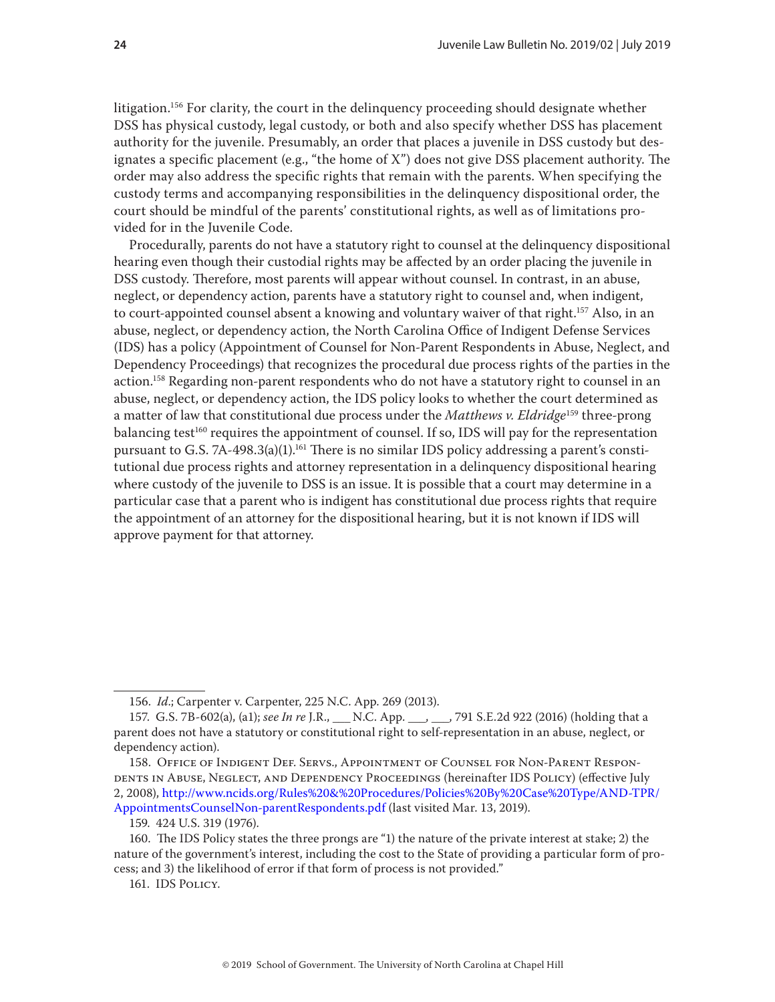litigation.<sup>156</sup> For clarity, the court in the delinquency proceeding should designate whether DSS has physical custody, legal custody, or both and also specify whether DSS has placement authority for the juvenile. Presumably, an order that places a juvenile in DSS custody but designates a specific placement (e.g., "the home of X") does not give DSS placement authority. The order may also address the specific rights that remain with the parents. When specifying the custody terms and accompanying responsibilities in the delinquency dispositional order, the court should be mindful of the parents' constitutional rights, as well as of limitations provided for in the Juvenile Code.

Procedurally, parents do not have a statutory right to counsel at the delinquency dispositional hearing even though their custodial rights may be affected by an order placing the juvenile in DSS custody. Therefore, most parents will appear without counsel. In contrast, in an abuse, neglect, or dependency action, parents have a statutory right to counsel and, when indigent, to court-appointed counsel absent a knowing and voluntary waiver of that right.<sup>157</sup> Also, in an abuse, neglect, or dependency action, the North Carolina Office of Indigent Defense Services (IDS) has a policy (Appointment of Counsel for Non-Parent Respondents in Abuse, Neglect, and Dependency Proceedings) that recognizes the procedural due process rights of the parties in the action.158 Regarding non-parent respondents who do not have a statutory right to counsel in an abuse, neglect, or dependency action, the IDS policy looks to whether the court determined as a matter of law that constitutional due process under the *Matthews v. Eldridge*159 three-prong balancing test<sup>160</sup> requires the appointment of counsel. If so, IDS will pay for the representation pursuant to G.S. 7A-498.3(a)(1).<sup>161</sup> There is no similar IDS policy addressing a parent's constitutional due process rights and attorney representation in a delinquency dispositional hearing where custody of the juvenile to DSS is an issue. It is possible that a court may determine in a particular case that a parent who is indigent has constitutional due process rights that require the appointment of an attorney for the dispositional hearing, but it is not known if IDS will approve payment for that attorney.

<sup>156.</sup> *Id*.; Carpenter v. Carpenter, 225 N.C. App. 269 (2013).

<sup>157.</sup> G.S. 7B-602(a), (a1); *see In re* J.R., \_\_\_ N.C. App. \_\_\_, \_\_\_, 791 S.E.2d 922 (2016) (holding that a parent does not have a statutory or constitutional right to self-representation in an abuse, neglect, or dependency action).

<sup>158.</sup> Office of Indigent Def. Servs., Appointment of Counsel for Non-Parent Respondents in Abuse, Neglect, and Dependency Proceedings (hereinafter IDS Policy) (effective July 2, 2008), [http://www.ncids.org/Rules%20&%20Procedures/Policies%20By%20Case%20Type/AND-TPR/](http://www.ncids.org/Rules%20&%20Procedures/Policies%20By%20Case%20Type/AND-TPR/AppointmentsCounselNon-parentRespondents.pdf) [AppointmentsCounselNon-parentRespondents.pdf](http://www.ncids.org/Rules%20&%20Procedures/Policies%20By%20Case%20Type/AND-TPR/AppointmentsCounselNon-parentRespondents.pdf) (last visited Mar. 13, 2019).

<sup>159. 424</sup> U.S. 319 (1976).

<sup>160.</sup> The IDS Policy states the three prongs are "1) the nature of the private interest at stake; 2) the nature of the government's interest, including the cost to the State of providing a particular form of process; and 3) the likelihood of error if that form of process is not provided."

<sup>161.</sup> IDS Policy.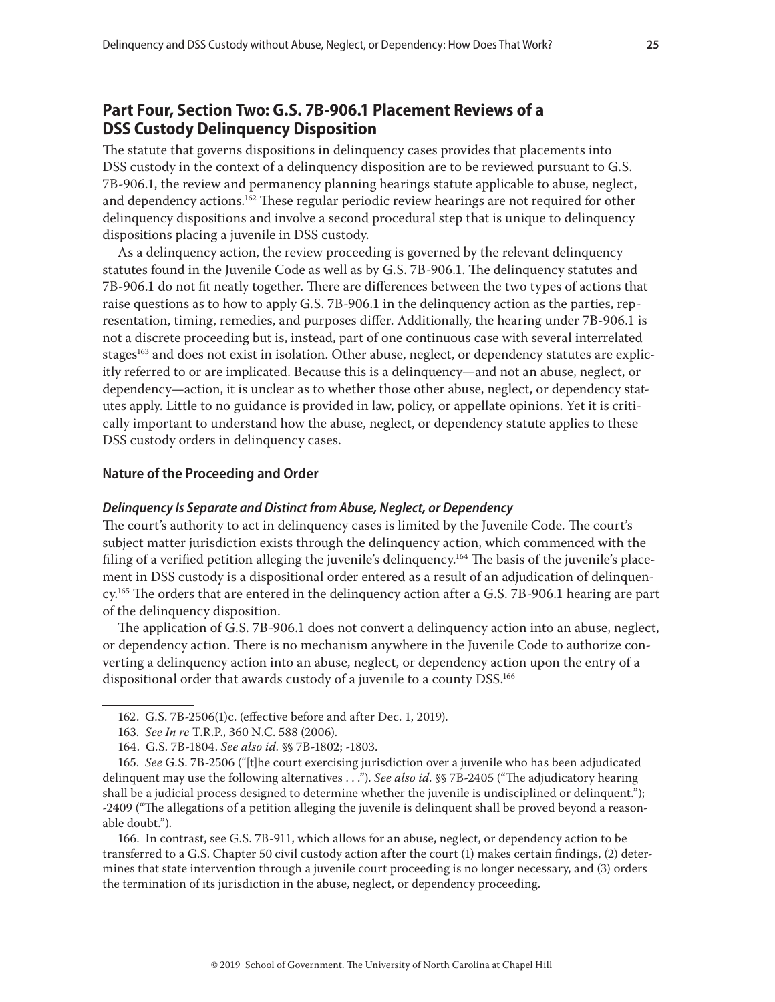# <span id="page-24-1"></span><span id="page-24-0"></span>**Part Four, Section Two: G.S. 7B-906.1 Placement Reviews of a DSS Custody Delinquency Disposition**

The statute that governs dispositions in delinquency cases provides that placements into DSS custody in the context of a delinquency disposition are to be reviewed pursuant to G.S. 7B-906.1, the review and permanency planning hearings statute applicable to abuse, neglect, and dependency actions.<sup>162</sup> These regular periodic review hearings are not required for other delinquency dispositions and involve a second procedural step that is unique to delinquency dispositions placing a juvenile in DSS custody.

As a delinquency action, the review proceeding is governed by the relevant delinquency statutes found in the Juvenile Code as well as by G.S. 7B-906.1. The delinquency statutes and 7B-906.1 do not fit neatly together. There are differences between the two types of actions that raise questions as to how to apply G.S. 7B-906.1 in the delinquency action as the parties, representation, timing, remedies, and purposes differ. Additionally, the hearing under 7B-906.1 is not a discrete proceeding but is, instead, part of one continuous case with several interrelated stages<sup>163</sup> and does not exist in isolation. Other abuse, neglect, or dependency statutes are explicitly referred to or are implicated. Because this is a delinquency—and not an abuse, neglect, or dependency—action, it is unclear as to whether those other abuse, neglect, or dependency statutes apply. Little to no guidance is provided in law, policy, or appellate opinions. Yet it is critically important to understand how the abuse, neglect, or dependency statute applies to these DSS custody orders in delinquency cases.

#### **Nature of the Proceeding and Order**

#### *Delinquency Is Separate and Distinct from Abuse, Neglect, or Dependency*

The court's authority to act in delinquency cases is limited by the Juvenile Code. The court's subject matter jurisdiction exists through the delinquency action, which commenced with the filing of a verified petition alleging the juvenile's delinquency.<sup>164</sup> The basis of the juvenile's placement in DSS custody is a dispositional order entered as a result of an adjudication of delinquency.165 The orders that are entered in the delinquency action after a G.S. 7B-906.1 hearing are part of the delinquency disposition.

The application of G.S. 7B-906.1 does not convert a delinquency action into an abuse, neglect, or dependency action. There is no mechanism anywhere in the Juvenile Code to authorize converting a delinquency action into an abuse, neglect, or dependency action upon the entry of a dispositional order that awards custody of a juvenile to a county DSS.166

166. In contrast, see G.S. 7B-911, which allows for an abuse, neglect, or dependency action to be transferred to a G.S. Chapter 50 civil custody action after the court (1) makes certain findings, (2) determines that state intervention through a juvenile court proceeding is no longer necessary, and (3) orders the termination of its jurisdiction in the abuse, neglect, or dependency proceeding.

<sup>162.</sup> G.S. 7B-2506(1)c. (effective before and after Dec. 1, 2019).

<sup>163.</sup> *See In re* T.R.P., 360 N.C. 588 (2006).

<sup>164.</sup> G.S. 7B-1804. *See also id.* §§ 7B-1802; -1803.

<sup>165.</sup> *See* G.S. 7B-2506 ("[t]he court exercising jurisdiction over a juvenile who has been adjudicated delinquent may use the following alternatives . . ."). *See also id.* §§ 7B-2405 ("The adjudicatory hearing shall be a judicial process designed to determine whether the juvenile is undisciplined or delinquent."); -2409 ("The allegations of a petition alleging the juvenile is delinquent shall be proved beyond a reasonable doubt.").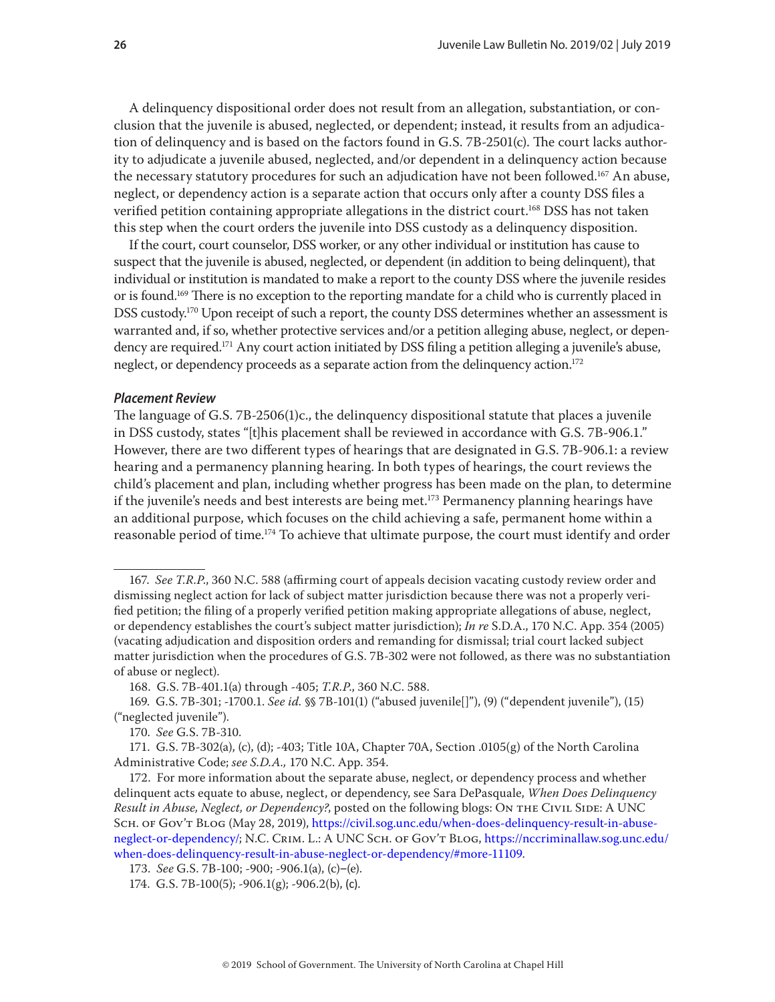A delinquency dispositional order does not result from an allegation, substantiation, or conclusion that the juvenile is abused, neglected, or dependent; instead, it results from an adjudication of delinquency and is based on the factors found in G.S. 7B-2501(c). The court lacks authority to adjudicate a juvenile abused, neglected, and/or dependent in a delinquency action because the necessary statutory procedures for such an adjudication have not been followed.<sup>167</sup> An abuse, neglect, or dependency action is a separate action that occurs only after a county DSS files a verified petition containing appropriate allegations in the district court.<sup>168</sup> DSS has not taken this step when the court orders the juvenile into DSS custody as a delinquency disposition.

If the court, court counselor, DSS worker, or any other individual or institution has cause to suspect that the juvenile is abused, neglected, or dependent (in addition to being delinquent), that individual or institution is mandated to make a report to the county DSS where the juvenile resides or is found.169 There is no exception to the reporting mandate for a child who is currently placed in DSS custody.<sup>170</sup> Upon receipt of such a report, the county DSS determines whether an assessment is warranted and, if so, whether protective services and/or a petition alleging abuse, neglect, or dependency are required.<sup>171</sup> Any court action initiated by DSS filing a petition alleging a juvenile's abuse, neglect, or dependency proceeds as a separate action from the delinquency action.<sup>172</sup>

#### *Placement Review*

The language of G.S. 7B-2506(1)c., the delinquency dispositional statute that places a juvenile in DSS custody, states "[t]his placement shall be reviewed in accordance with G.S. 7B-906.1." However, there are two different types of hearings that are designated in G.S. 7B-906.1: a review hearing and a permanency planning hearing. In both types of hearings, the court reviews the child's placement and plan, including whether progress has been made on the plan, to determine if the juvenile's needs and best interests are being met.<sup>173</sup> Permanency planning hearings have an additional purpose, which focuses on the child achieving a safe, permanent home within a reasonable period of time.<sup>174</sup> To achieve that ultimate purpose, the court must identify and order

168. G.S. 7B-401.1(a) through -405; *T.R.P*., 360 N.C. 588.

<sup>167.</sup> *See T.R.P*., 360 N.C. 588 (affirming court of appeals decision vacating custody review order and dismissing neglect action for lack of subject matter jurisdiction because there was not a properly verified petition; the filing of a properly verified petition making appropriate allegations of abuse, neglect, or dependency establishes the court's subject matter jurisdiction); *In re* S.D.A., 170 N.C. App. 354 (2005) (vacating adjudication and disposition orders and remanding for dismissal; trial court lacked subject matter jurisdiction when the procedures of G.S. 7B-302 were not followed, as there was no substantiation of abuse or neglect).

<sup>169.</sup> G.S. 7B-301; -1700.1. *See id.* §§ 7B-101(1) ("abused juvenile[]"), (9) ("dependent juvenile"), (15) ("neglected juvenile").

<sup>170.</sup> *See* G.S. 7B-310.

<sup>171.</sup> G.S. 7B-302(a), (c), (d); -403; Title 10A, Chapter 70A, Section .0105(g) of the North Carolina Administrative Code; *see S.D.A.,* 170 N.C. App. 354.

<sup>172.</sup> For more information about the separate abuse, neglect, or dependency process and whether delinquent acts equate to abuse, neglect, or dependency, see Sara DePasquale, *When Does Delinquency Result in Abuse, Neglect, or Dependency?*, posted on the following blogs: On THE CIVIL SIDE: A UNC Sch. of Gov't Blog (May 28, 2019), [https://civil.sog.unc.edu/when-does-delinquency-result-in-abuse](https://civil.sog.unc.edu/when-does-delinquency-result-in-abuse-neglect-or-dependency/)[neglect-or-dependency/;](https://civil.sog.unc.edu/when-does-delinquency-result-in-abuse-neglect-or-dependency/) N.C. Crim. L.: A UNC Sch. of Gov't Blog, [https://nccriminallaw.sog.unc.edu/](https://nccriminallaw.sog.unc.edu/when-does-delinquency-result-in-abuse-neglect-or-dependency/#more-11109) [when-does-delinquency-result-in-abuse-neglect-or-dependency/#more-11109.](https://nccriminallaw.sog.unc.edu/when-does-delinquency-result-in-abuse-neglect-or-dependency/#more-11109)

<sup>173.</sup> *See* G.S. 7B-100; -900; -906.1(a), (c)‒(e).

<sup>174.</sup> G.S. 7B-100(5); -906.1(g); -906.2(b), (c).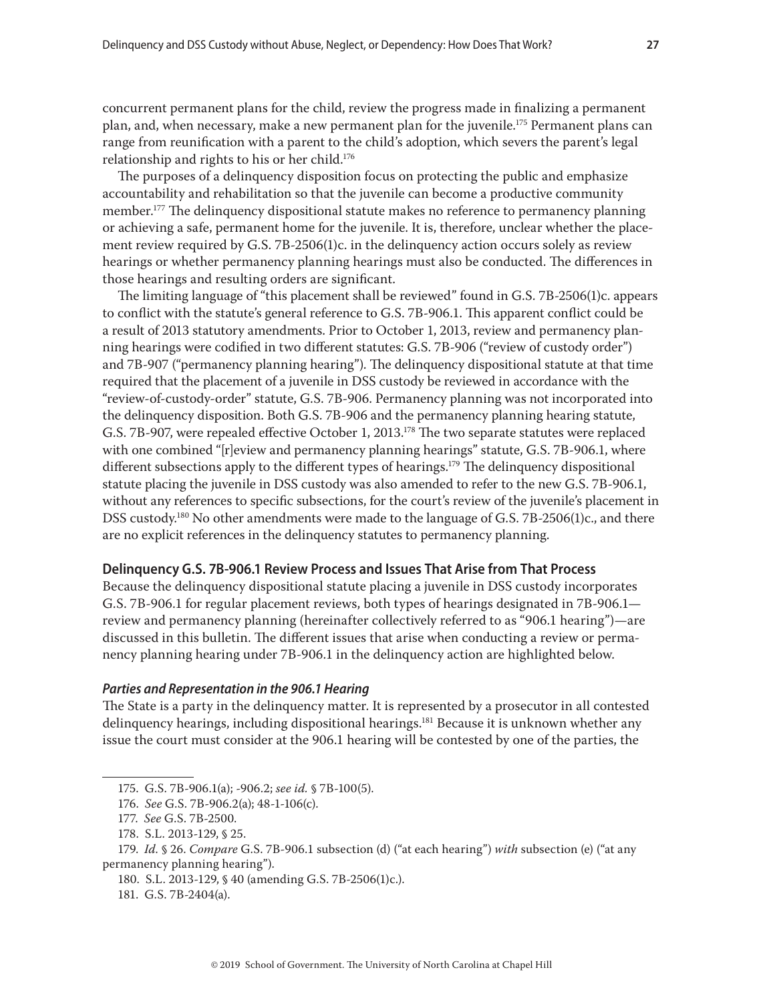<span id="page-26-0"></span>concurrent permanent plans for the child, review the progress made in finalizing a permanent plan, and, when necessary, make a new permanent plan for the juvenile.<sup>175</sup> Permanent plans can range from reunification with a parent to the child's adoption, which severs the parent's legal relationship and rights to his or her child.<sup>176</sup>

The purposes of a delinquency disposition focus on protecting the public and emphasize accountability and rehabilitation so that the juvenile can become a productive community member.<sup>177</sup> The delinquency dispositional statute makes no reference to permanency planning or achieving a safe, permanent home for the juvenile. It is, therefore, unclear whether the placement review required by G.S. 7B-2506(1)c. in the delinquency action occurs solely as review hearings or whether permanency planning hearings must also be conducted. The differences in those hearings and resulting orders are significant.

The limiting language of "this placement shall be reviewed" found in G.S. 7B-2506(1)c. appears to conflict with the statute's general reference to G.S. 7B-906.1. This apparent conflict could be a result of 2013 statutory amendments. Prior to October 1, 2013, review and permanency planning hearings were codified in two different statutes: G.S. 7B-906 ("review of custody order") and 7B-907 ("permanency planning hearing"). The delinquency dispositional statute at that time required that the placement of a juvenile in DSS custody be reviewed in accordance with the "review-of-custody-order" statute, G.S. 7B-906. Permanency planning was not incorporated into the delinquency disposition. Both G.S. 7B-906 and the permanency planning hearing statute, G.S. 7B-907, were repealed effective October 1, 2013.178 The two separate statutes were replaced with one combined "[r]eview and permanency planning hearings" statute, G.S. 7B-906.1, where different subsections apply to the different types of hearings.<sup>179</sup> The delinquency dispositional statute placing the juvenile in DSS custody was also amended to refer to the new G.S. 7B-906.1, without any references to specific subsections, for the court's review of the juvenile's placement in DSS custody.<sup>180</sup> No other amendments were made to the language of G.S. 7B-2506(1)c., and there are no explicit references in the delinquency statutes to permanency planning.

#### **Delinquency G.S. 7B-906.1 Review Process and Issues That Arise from That Process**

Because the delinquency dispositional statute placing a juvenile in DSS custody incorporates G.S. 7B-906.1 for regular placement reviews, both types of hearings designated in 7B-906.1 review and permanency planning (hereinafter collectively referred to as "906.1 hearing")—are discussed in this bulletin. The different issues that arise when conducting a review or permanency planning hearing under 7B-906.1 in the delinquency action are highlighted below.

#### *Parties and Representation in the 906.1 Hearing*

The State is a party in the delinquency matter. It is represented by a prosecutor in all contested delinquency hearings, including dispositional hearings.<sup>181</sup> Because it is unknown whether any issue the court must consider at the 906.1 hearing will be contested by one of the parties, the

<sup>175.</sup> G.S. 7B-906.1(a); -906.2; *see id.* § 7B-100(5).

<sup>176.</sup> *See* G.S. 7B-906.2(a); 48-1-106(c).

<sup>177.</sup> *See* G.S. 7B-2500.

<sup>178.</sup> S.L. 2013-129, § 25.

<sup>179.</sup> *Id.* § 26. *Compare* G.S. 7B-906.1 subsection (d) ("at each hearing") *with* subsection (e) ("at any permanency planning hearing").

<sup>180.</sup> S.L. 2013-129, § 40 (amending G.S. 7B-2506(1)c.).

<sup>181.</sup> G.S. 7B-2404(a).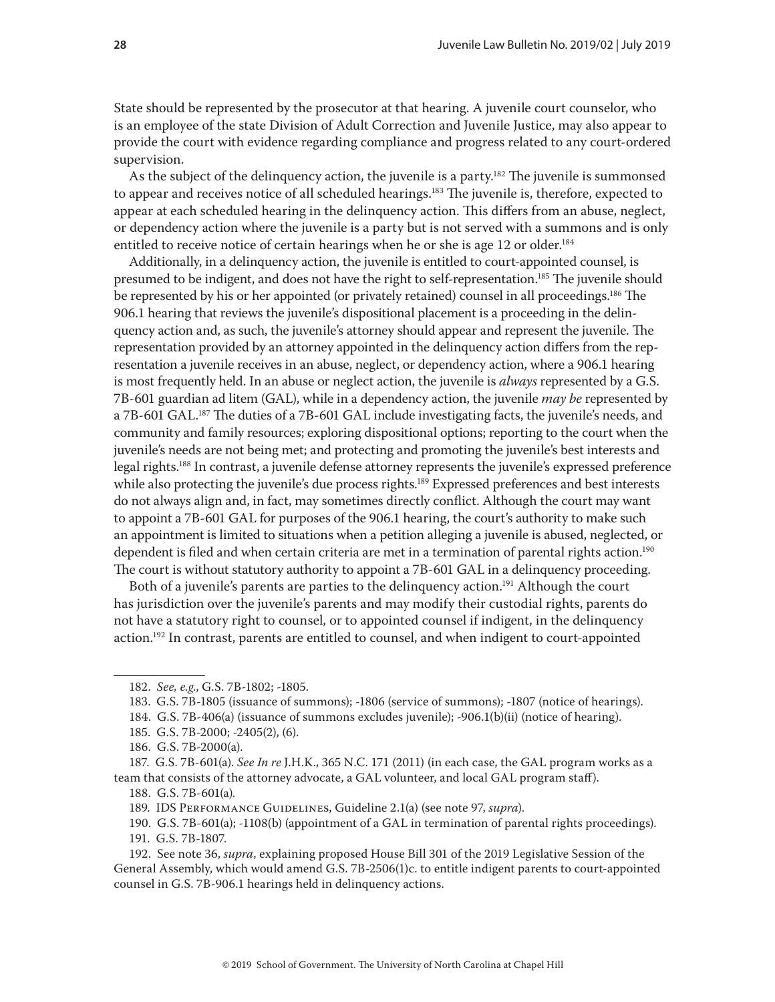State should be represented by the prosecutor at that hearing. A juvenile court counselor, who is an employee of the state Division of Adult Correction and Juvenile Justice, may also appear to provide the court with evidence regarding compliance and progress related to any court-ordered supervision.

As the subject of the delinguency action, the juvenile is a party.<sup>182</sup> The juvenile is summonsed to appear and receives notice of all scheduled hearings.<sup>183</sup> The juvenile is, therefore, expected to appear at each scheduled hearing in the delinquency action. This differs from an abuse, neglect, or dependency action where the juvenile is a party but is not served with a summons and is only entitled to receive notice of certain hearings when he or she is age 12 or older.<sup>184</sup>

Additionally, in a delinquency action, the juvenile is entitled to court-appointed counsel, is presumed to be indigent, and does not have the right to self-representation.<sup>185</sup> The juvenile should be represented by his or her appointed (or privately retained) counsel in all proceedings.186 The 906.1 hearing that reviews the juvenile's dispositional placement is a proceeding in the delinquency action and, as such, the juvenile's attorney should appear and represent the juvenile. The representation provided by an attorney appointed in the delinquency action differs from the representation a juvenile receives in an abuse, neglect, or dependency action, where a 906.1 hearing is most frequently held. In an abuse or neglect action, the juvenile is *always* represented by a G.S. 7B-601 guardian ad litem (GAL), while in a dependency action, the juvenile *may be* represented by a 7B-601 GAL.<sup>187</sup> The duties of a 7B-601 GAL include investigating facts, the juvenile's needs, and community and family resources; exploring dispositional options; reporting to the court when the juvenile's needs are not being met; and protecting and promoting the juvenile's best interests and legal rights.188 In contrast, a juvenile defense attorney represents the juvenile's expressed preference while also protecting the juvenile's due process rights.<sup>189</sup> Expressed preferences and best interests do not always align and, in fact, may sometimes directly conflict. Although the court may want to appoint a 7B-601 GAL for purposes of the 906.1 hearing, the court's authority to make such an appointment is limited to situations when a petition alleging a juvenile is abused, neglected, or dependent is filed and when certain criteria are met in a termination of parental rights action.<sup>190</sup> The court is without statutory authority to appoint a 7B-601 GAL in a delinquency proceeding.

Both of a juvenile's parents are parties to the delinguency action.<sup>191</sup> Although the court has jurisdiction over the juvenile's parents and may modify their custodial rights, parents do not have a statutory right to counsel, or to appointed counsel if indigent, in the delinquency action.<sup>192</sup> In contrast, parents are entitled to counsel, and when indigent to court-appointed

184. G.S. 7B-406(a) (issuance of summons excludes juvenile); -906.1(b)(ii) (notice of hearing).

<sup>182.</sup> *See, e.g*., G.S. 7B-1802; -1805.

<sup>183.</sup> G.S. 7B-1805 (issuance of summons); -1806 (service of summons); -1807 (notice of hearings).

<sup>185.</sup> G.S. 7B-2000; -2405(2), (6).

<sup>186.</sup> G.S. 7B-2000(a).

<sup>187.</sup> G.S. 7B-601(a). *See In re* J.H.K., 365 N.C. 171 (2011) (in each case, the GAL program works as a team that consists of the attorney advocate, a GAL volunteer, and local GAL program staff).

<sup>188.</sup> G.S. 7B-601(a)*.*

<sup>189.</sup> IDS Performance Guidelines, Guideline 2.1(a) (see note 97, *supra*).

<sup>190.</sup> G.S. 7B-601(a); -1108(b) (appointment of a GAL in termination of parental rights proceedings). 191. G.S. 7B-1807.

<sup>192.</sup> See note 36, *supra*, explaining proposed House Bill 301 of the 2019 Legislative Session of the General Assembly, which would amend G.S. 7B-2506(1)c. to entitle indigent parents to court-appointed counsel in G.S. 7B-906.1 hearings held in delinquency actions.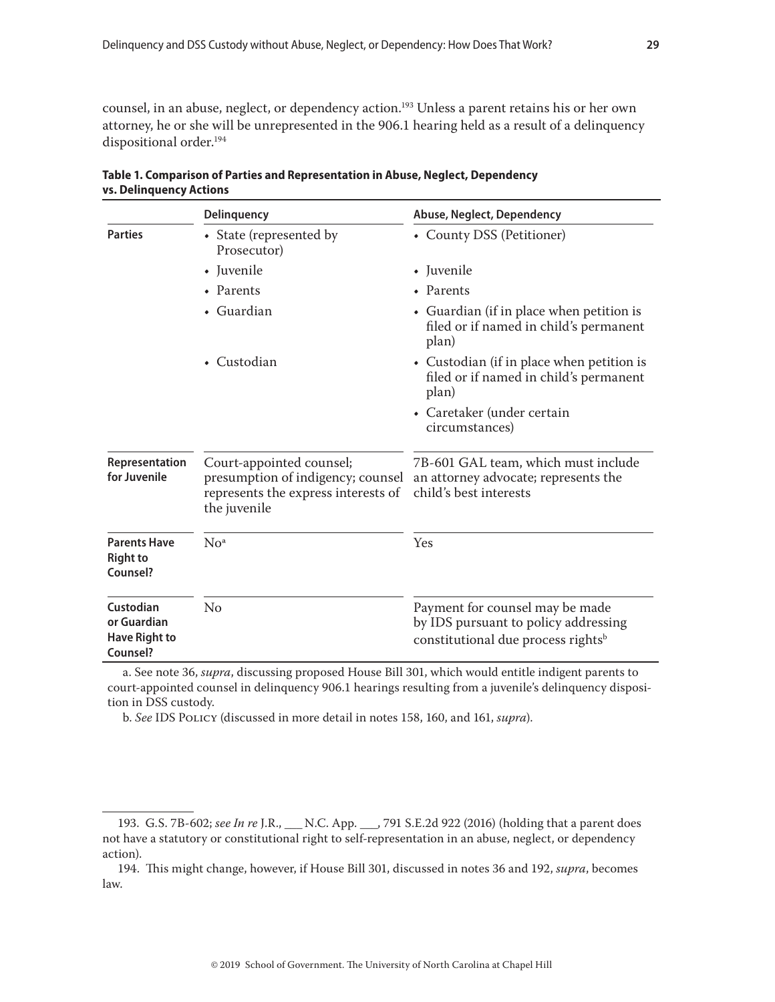counsel, in an abuse, neglect, or dependency action.<sup>193</sup> Unless a parent retains his or her own attorney, he or she will be unrepresented in the 906.1 hearing held as a result of a delinquency dispositional order.<sup>194</sup>

|                                                                                                                                                        | Delinquency                            | Abuse, Neglect, Dependency                                                                                                |  |
|--------------------------------------------------------------------------------------------------------------------------------------------------------|----------------------------------------|---------------------------------------------------------------------------------------------------------------------------|--|
| <b>Parties</b>                                                                                                                                         | • State (represented by<br>Prosecutor) | • County DSS (Petitioner)                                                                                                 |  |
|                                                                                                                                                        | • Juvenile                             | • Juvenile                                                                                                                |  |
|                                                                                                                                                        | • Parents                              | • Parents                                                                                                                 |  |
|                                                                                                                                                        | • Guardian                             | • Guardian (if in place when petition is<br>filed or if named in child's permanent<br>plan)                               |  |
|                                                                                                                                                        | $\bullet$ Custodian                    | • Custodian (if in place when petition is<br>filed or if named in child's permanent<br>plan)                              |  |
|                                                                                                                                                        |                                        | • Caretaker (under certain<br>circumstances)                                                                              |  |
| Court-appointed counsel;<br>Representation<br>for Juvenile<br>presumption of indigency; counsel<br>represents the express interests of<br>the juvenile |                                        | 7B-601 GAL team, which must include<br>an attorney advocate; represents the<br>child's best interests                     |  |
| <b>Parents Have</b><br>No <sup>a</sup><br><b>Right to</b><br>Counsel?                                                                                  |                                        | Yes                                                                                                                       |  |
| Custodian<br>or Guardian<br><b>Have Right to</b><br>Counsel?                                                                                           | No                                     | Payment for counsel may be made<br>by IDS pursuant to policy addressing<br>constitutional due process rights <sup>b</sup> |  |

| Table 1. Comparison of Parties and Representation in Abuse, Neglect, Dependency |  |
|---------------------------------------------------------------------------------|--|
| <b>vs. Delinguency Actions</b>                                                  |  |

a. See note 36, *supra*, discussing proposed House Bill 301, which would entitle indigent parents to court-appointed counsel in delinquency 906.1 hearings resulting from a juvenile's delinquency disposition in DSS custody.

b. *See* IDS Policy (discussed in more detail in notes 158, 160, and 161, *supra*).

<sup>193.</sup> G.S. 7B-602; *see In re* J.R., \_\_\_ N.C. App. \_\_\_, 791 S.E.2d 922 (2016) (holding that a parent does not have a statutory or constitutional right to self-representation in an abuse, neglect, or dependency action).

<sup>194.</sup> This might change, however, if House Bill 301, discussed in notes 36 and 192, *supra*, becomes law.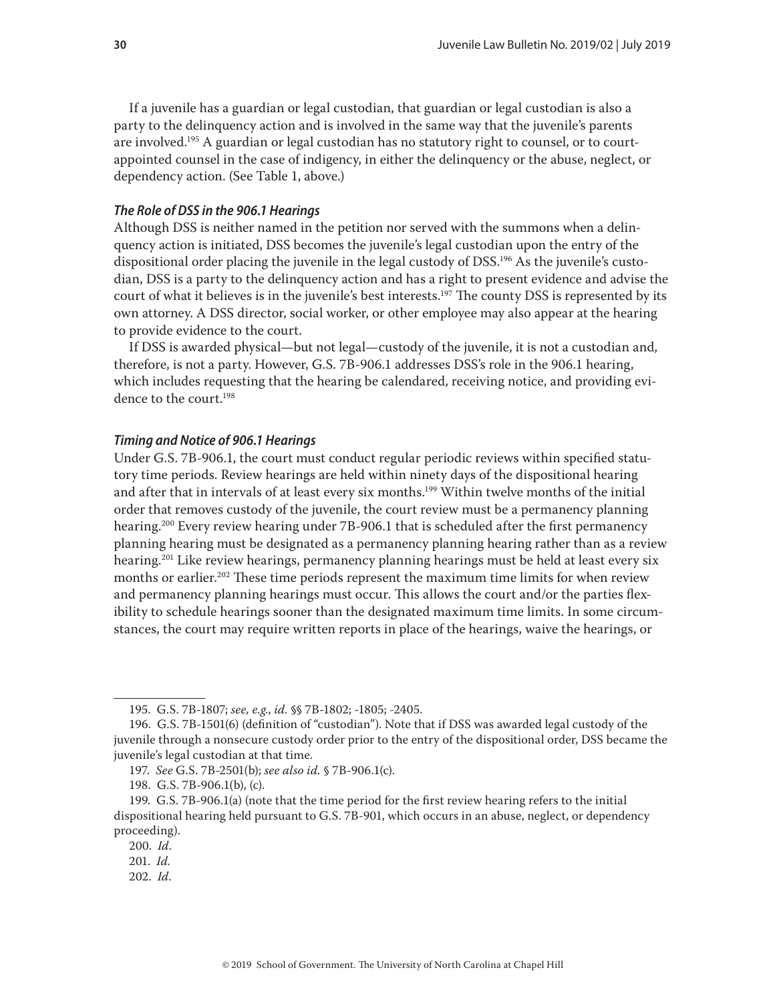If a juvenile has a guardian or legal custodian, that guardian or legal custodian is also a party to the delinquency action and is involved in the same way that the juvenile's parents are involved.<sup>195</sup> A guardian or legal custodian has no statutory right to counsel, or to courtappointed counsel in the case of indigency, in either the delinquency or the abuse, neglect, or dependency action. (See Table 1, above.)

#### *The Role of DSS in the 906.1 Hearings*

Although DSS is neither named in the petition nor served with the summons when a delinquency action is initiated, DSS becomes the juvenile's legal custodian upon the entry of the dispositional order placing the juvenile in the legal custody of DSS.<sup>196</sup> As the juvenile's custodian, DSS is a party to the delinquency action and has a right to present evidence and advise the court of what it believes is in the juvenile's best interests.<sup>197</sup> The county DSS is represented by its own attorney. A DSS director, social worker, or other employee may also appear at the hearing to provide evidence to the court.

If DSS is awarded physical—but not legal—custody of the juvenile, it is not a custodian and, therefore, is not a party. However, G.S. 7B-906.1 addresses DSS's role in the 906.1 hearing, which includes requesting that the hearing be calendared, receiving notice, and providing evidence to the court.<sup>198</sup>

#### *Timing and Notice of 906.1 Hearings*

Under G.S. 7B-906.1, the court must conduct regular periodic reviews within specified statutory time periods. Review hearings are held within ninety days of the dispositional hearing and after that in intervals of at least every six months.199 Within twelve months of the initial order that removes custody of the juvenile, the court review must be a permanency planning hearing.<sup>200</sup> Every review hearing under 7B-906.1 that is scheduled after the first permanency planning hearing must be designated as a permanency planning hearing rather than as a review hearing.201 Like review hearings, permanency planning hearings must be held at least every six months or earlier.<sup>202</sup> These time periods represent the maximum time limits for when review and permanency planning hearings must occur. This allows the court and/or the parties flexibility to schedule hearings sooner than the designated maximum time limits. In some circumstances, the court may require written reports in place of the hearings, waive the hearings, or

202. *Id*.

<sup>195.</sup> G.S. 7B-1807; *see, e.g*., *id.* §§ 7B-1802; -1805; -2405.

<sup>196.</sup> G.S. 7B-1501(6) (definition of "custodian"). Note that if DSS was awarded legal custody of the juvenile through a nonsecure custody order prior to the entry of the dispositional order, DSS became the juvenile's legal custodian at that time.

<sup>197.</sup> *See* G.S. 7B-2501(b); *see also id.* § 7B-906.1(c).

<sup>198.</sup> G.S. 7B-906.1(b), (c).

<sup>199.</sup> G.S. 7B-906.1(a) (note that the time period for the first review hearing refers to the initial dispositional hearing held pursuant to G.S. 7B-901, which occurs in an abuse, neglect, or dependency proceeding).

<sup>200.</sup> *Id*.

<sup>201.</sup> *Id.*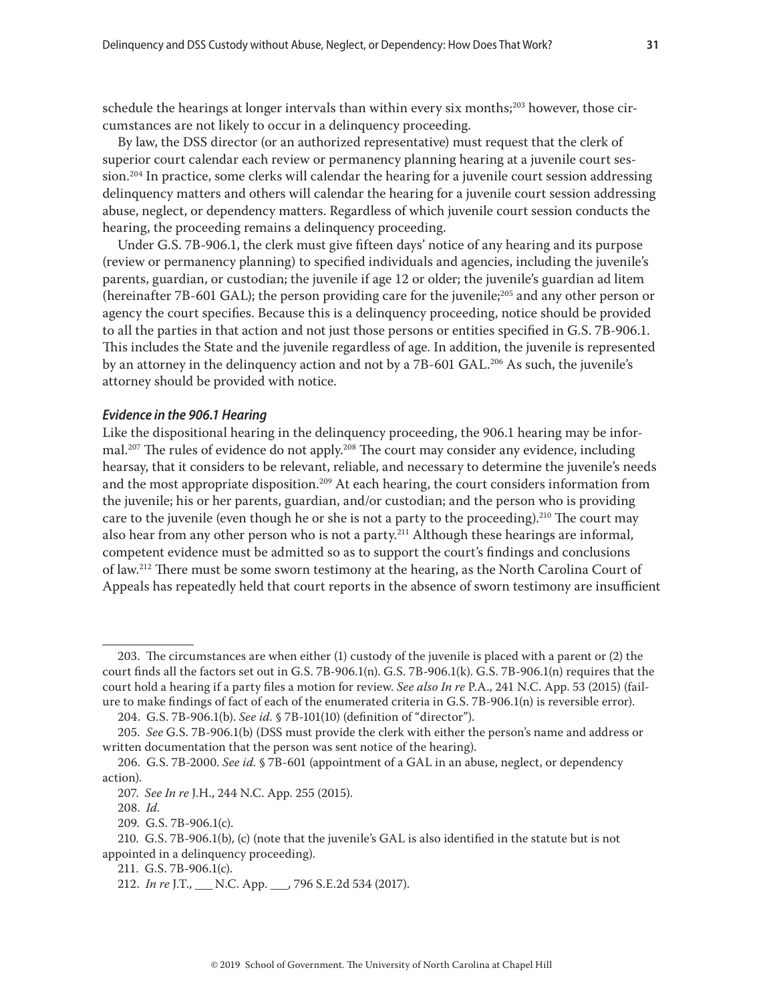schedule the hearings at longer intervals than within every six months; $2^{03}$  however, those circumstances are not likely to occur in a delinquency proceeding.

By law, the DSS director (or an authorized representative) must request that the clerk of superior court calendar each review or permanency planning hearing at a juvenile court session.<sup>204</sup> In practice, some clerks will calendar the hearing for a juvenile court session addressing delinquency matters and others will calendar the hearing for a juvenile court session addressing abuse, neglect, or dependency matters. Regardless of which juvenile court session conducts the hearing, the proceeding remains a delinquency proceeding.

Under G.S. 7B-906.1, the clerk must give fifteen days' notice of any hearing and its purpose (review or permanency planning) to specified individuals and agencies, including the juvenile's parents, guardian, or custodian; the juvenile if age 12 or older; the juvenile's guardian ad litem (hereinafter 7B-601 GAL); the person providing care for the juvenile;<sup>205</sup> and any other person or agency the court specifies. Because this is a delinquency proceeding, notice should be provided to all the parties in that action and not just those persons or entities specified in G.S. 7B-906.1. This includes the State and the juvenile regardless of age. In addition, the juvenile is represented by an attorney in the delinquency action and not by a 7B-601 GAL.<sup>206</sup> As such, the juvenile's attorney should be provided with notice.

#### *Evidence in the 906.1 Hearing*

Like the dispositional hearing in the delinquency proceeding, the 906.1 hearing may be informal.<sup>207</sup> The rules of evidence do not apply.<sup>208</sup> The court may consider any evidence, including hearsay, that it considers to be relevant, reliable, and necessary to determine the juvenile's needs and the most appropriate disposition.<sup>209</sup> At each hearing, the court considers information from the juvenile; his or her parents, guardian, and/or custodian; and the person who is providing care to the juvenile (even though he or she is not a party to the proceeding).<sup>210</sup> The court may also hear from any other person who is not a party.<sup>211</sup> Although these hearings are informal, competent evidence must be admitted so as to support the court's findings and conclusions of law.<sup>212</sup> There must be some sworn testimony at the hearing, as the North Carolina Court of Appeals has repeatedly held that court reports in the absence of sworn testimony are insufficient

<sup>203.</sup> The circumstances are when either (1) custody of the juvenile is placed with a parent or (2) the court finds all the factors set out in G.S. 7B-906.1(n). G.S. 7B-906.1(k). G.S. 7B-906.1(n) requires that the court hold a hearing if a party files a motion for review. *See also In re* P.A., 241 N.C. App. 53 (2015) (failure to make findings of fact of each of the enumerated criteria in G.S. 7B-906.1(n) is reversible error).

<sup>204.</sup> G.S. 7B-906.1(b). *See id.* § 7B-101(10) (definition of "director").

<sup>205.</sup> *See* G.S. 7B-906.1(b) (DSS must provide the clerk with either the person's name and address or written documentation that the person was sent notice of the hearing).

<sup>206.</sup> G.S. 7B-2000. *See id.* § 7B-601 (appointment of a GAL in an abuse, neglect, or dependency action).

<sup>207.</sup> *See In re* J.H., 244 N.C. App. 255 (2015).

<sup>208.</sup> *Id.*

<sup>209.</sup> G.S. 7B-906.1(c).

<sup>210.</sup> G.S. 7B-906.1(b), (c) (note that the juvenile's GAL is also identified in the statute but is not appointed in a delinquency proceeding).

<sup>211.</sup> G.S. 7B-906.1(c).

<sup>212.</sup> *In re* J.T., \_\_\_ N.C. App. \_\_\_, 796 S.E.2d 534 (2017).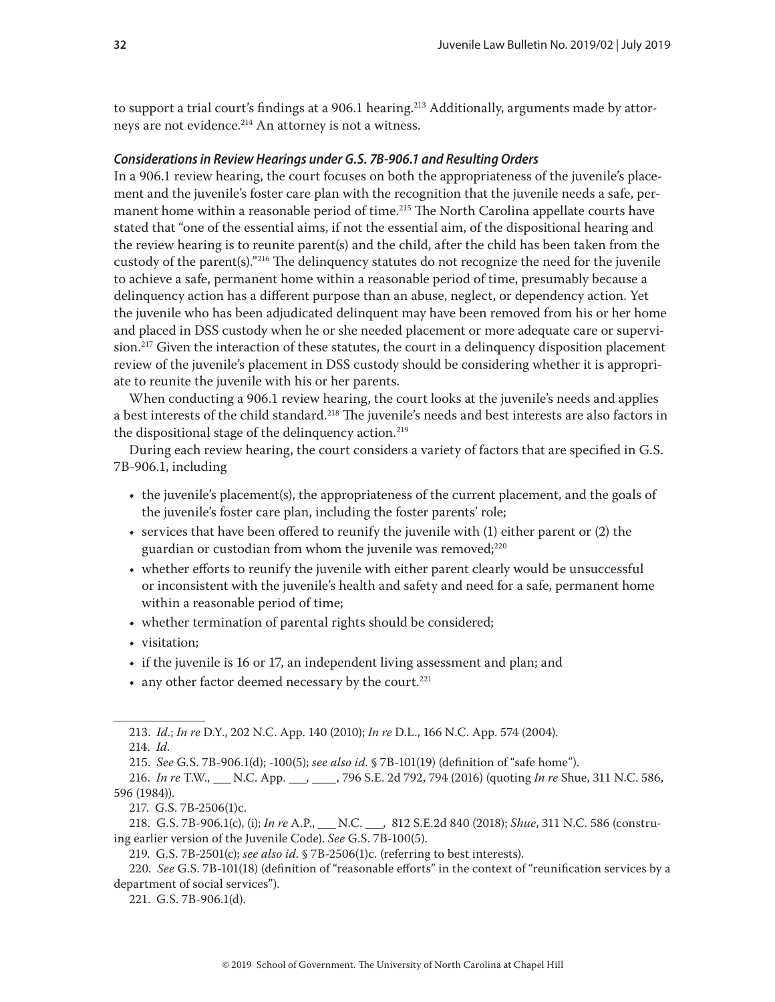to support a trial court's findings at a 906.1 hearing.<sup>213</sup> Additionally, arguments made by attorneys are not evidence.<sup>214</sup> An attorney is not a witness.

## *Considerations in Review Hearings under G.S. 7B-906.1 and Resulting Orders*

In a 906.1 review hearing, the court focuses on both the appropriateness of the juvenile's placement and the juvenile's foster care plan with the recognition that the juvenile needs a safe, permanent home within a reasonable period of time.<sup>215</sup> The North Carolina appellate courts have stated that "one of the essential aims, if not the essential aim, of the dispositional hearing and the review hearing is to reunite parent(s) and the child, after the child has been taken from the custody of the parent(s)."216 The delinquency statutes do not recognize the need for the juvenile to achieve a safe, permanent home within a reasonable period of time, presumably because a delinquency action has a different purpose than an abuse, neglect, or dependency action. Yet the juvenile who has been adjudicated delinquent may have been removed from his or her home and placed in DSS custody when he or she needed placement or more adequate care or supervision.<sup>217</sup> Given the interaction of these statutes, the court in a delinquency disposition placement review of the juvenile's placement in DSS custody should be considering whether it is appropriate to reunite the juvenile with his or her parents.

When conducting a 906.1 review hearing, the court looks at the juvenile's needs and applies a best interests of the child standard.<sup>218</sup> The juvenile's needs and best interests are also factors in the dispositional stage of the delinquency action.<sup>219</sup>

During each review hearing, the court considers a variety of factors that are specified in G.S. 7B-906.1, including

- the juvenile's placement(s), the appropriateness of the current placement, and the goals of the juvenile's foster care plan, including the foster parents' role;
- services that have been offered to reunify the juvenile with (1) either parent or (2) the guardian or custodian from whom the juvenile was removed;<sup>220</sup>
- whether efforts to reunify the juvenile with either parent clearly would be unsuccessful or inconsistent with the juvenile's health and safety and need for a safe, permanent home within a reasonable period of time;
- whether termination of parental rights should be considered;
- visitation;
- if the juvenile is 16 or 17, an independent living assessment and plan; and
- $\bullet$  any other factor deemed necessary by the court.<sup>221</sup>

217. G.S. 7B-2506(1)c.

218. G.S. 7B-906.1(c), (i); *In re* A.P., \_\_\_ N.C. \_\_\_, 812 S.E.2d 840 (2018); *Shue*, 311 N.C. 586 (construing earlier version of the Juvenile Code). *See* G.S. 7B-100(5).

219. G.S. 7B-2501(c); *see also id.* § 7B-2506(1)c. (referring to best interests).

220. *See* G.S. 7B-101(18) (definition of "reasonable efforts" in the context of "reunification services by a department of social services").

221. G.S. 7B-906.1(d).

<sup>213.</sup> *Id.*; *In re* D.Y., 202 N.C. App. 140 (2010); *In re* D.L., 166 N.C. App. 574 (2004).

<sup>214.</sup> *Id.*

<sup>215.</sup> *See* G.S. 7B-906.1(d); -100(5); *see also id.* § 7B-101(19) (definition of "safe home").

<sup>216.</sup> *In re* T.W., \_\_\_ N.C. App. \_\_\_, \_\_\_\_, 796 S.E. 2d 792, 794 (2016) (quoting *In re* Shue, 311 N.C. 586, 596 (1984)).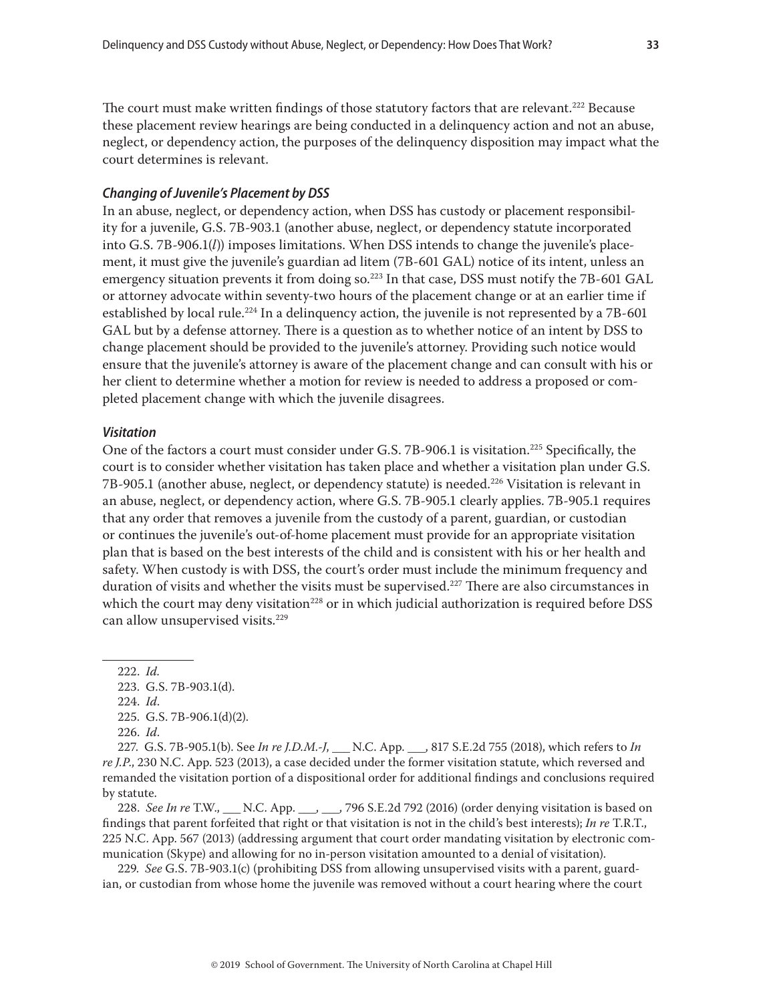The court must make written findings of those statutory factors that are relevant.<sup>222</sup> Because these placement review hearings are being conducted in a delinquency action and not an abuse, neglect, or dependency action, the purposes of the delinquency disposition may impact what the court determines is relevant.

#### *Changing of Juvenile's Placement by DSS*

In an abuse, neglect, or dependency action, when DSS has custody or placement responsibility for a juvenile, G.S. 7B-903.1 (another abuse, neglect, or dependency statute incorporated into G.S. 7B-906.1(*l*)) imposes limitations. When DSS intends to change the juvenile's placement, it must give the juvenile's guardian ad litem (7B-601 GAL) notice of its intent, unless an emergency situation prevents it from doing so.<sup>223</sup> In that case, DSS must notify the 7B-601 GAL or attorney advocate within seventy-two hours of the placement change or at an earlier time if established by local rule.<sup>224</sup> In a delinquency action, the juvenile is not represented by a 7B-601 GAL but by a defense attorney. There is a question as to whether notice of an intent by DSS to change placement should be provided to the juvenile's attorney. Providing such notice would ensure that the juvenile's attorney is aware of the placement change and can consult with his or her client to determine whether a motion for review is needed to address a proposed or completed placement change with which the juvenile disagrees.

#### *Visitation*

One of the factors a court must consider under G.S. 7B-906.1 is visitation.<sup>225</sup> Specifically, the court is to consider whether visitation has taken place and whether a visitation plan under G.S. 7B-905.1 (another abuse, neglect, or dependency statute) is needed.<sup>226</sup> Visitation is relevant in an abuse, neglect, or dependency action, where G.S. 7B-905.1 clearly applies. 7B-905.1 requires that any order that removes a juvenile from the custody of a parent, guardian, or custodian or continues the juvenile's out-of-home placement must provide for an appropriate visitation plan that is based on the best interests of the child and is consistent with his or her health and safety. When custody is with DSS, the court's order must include the minimum frequency and duration of visits and whether the visits must be supervised.<sup>227</sup> There are also circumstances in which the court may deny visitation<sup>228</sup> or in which judicial authorization is required before DSS can allow unsupervised visits.<sup>229</sup>

227. G.S. 7B-905.1(b). See *In re J.D.M.-J*, \_\_\_ N.C. App. \_\_\_, 817 S.E.2d 755 (2018), which refers to *In re J.P*., 230 N.C. App. 523 (2013), a case decided under the former visitation statute, which reversed and remanded the visitation portion of a dispositional order for additional findings and conclusions required by statute.

228. *See In re* T.W., \_\_\_ N.C. App. \_\_\_, \_\_, 796 S.E.2d 792 (2016) (order denying visitation is based on findings that parent forfeited that right or that visitation is not in the child's best interests); *In re* T.R.T., 225 N.C. App. 567 (2013) (addressing argument that court order mandating visitation by electronic communication (Skype) and allowing for no in-person visitation amounted to a denial of visitation).

229. *See* G.S. 7B-903.1(c) (prohibiting DSS from allowing unsupervised visits with a parent, guardian, or custodian from whose home the juvenile was removed without a court hearing where the court

<sup>222.</sup> *Id.* 

<sup>223.</sup> G.S. 7B-903.1(d).

<sup>224.</sup> *Id*.

<sup>225.</sup> G.S. 7B-906.1(d)(2).

<sup>226.</sup> *Id*.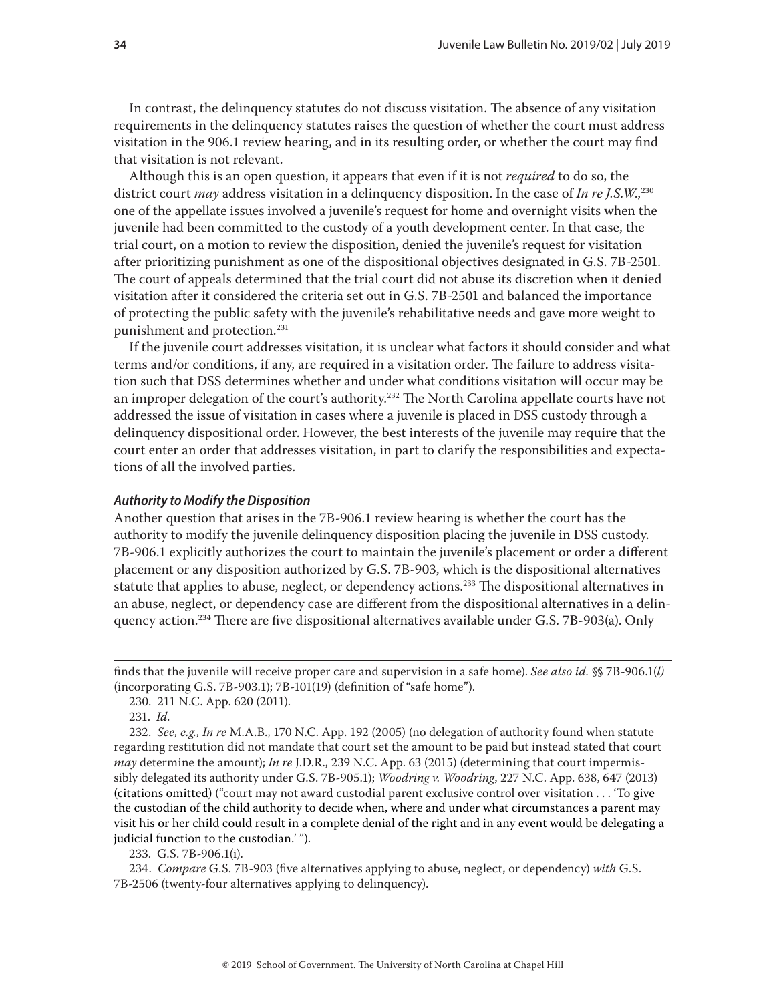In contrast, the delinquency statutes do not discuss visitation. The absence of any visitation requirements in the delinquency statutes raises the question of whether the court must address visitation in the 906.1 review hearing, and in its resulting order, or whether the court may find that visitation is not relevant.

Although this is an open question, it appears that even if it is not *required* to do so, the district court *may* address visitation in a delinquency disposition. In the case of *In re J.S.W.*,<sup>230</sup> one of the appellate issues involved a juvenile's request for home and overnight visits when the juvenile had been committed to the custody of a youth development center. In that case, the trial court, on a motion to review the disposition, denied the juvenile's request for visitation after prioritizing punishment as one of the dispositional objectives designated in G.S. 7B-2501. The court of appeals determined that the trial court did not abuse its discretion when it denied visitation after it considered the criteria set out in G.S. 7B-2501 and balanced the importance of protecting the public safety with the juvenile's rehabilitative needs and gave more weight to punishment and protection.<sup>231</sup>

If the juvenile court addresses visitation, it is unclear what factors it should consider and what terms and/or conditions, if any, are required in a visitation order. The failure to address visitation such that DSS determines whether and under what conditions visitation will occur may be an improper delegation of the court's authority.<sup>232</sup> The North Carolina appellate courts have not addressed the issue of visitation in cases where a juvenile is placed in DSS custody through a delinquency dispositional order. However, the best interests of the juvenile may require that the court enter an order that addresses visitation, in part to clarify the responsibilities and expectations of all the involved parties.

#### *Authority to Modify the Disposition*

Another question that arises in the 7B-906.1 review hearing is whether the court has the authority to modify the juvenile delinquency disposition placing the juvenile in DSS custody. 7B-906.1 explicitly authorizes the court to maintain the juvenile's placement or order a different placement or any disposition authorized by G.S. 7B-903, which is the dispositional alternatives statute that applies to abuse, neglect, or dependency actions.<sup>233</sup> The dispositional alternatives in an abuse, neglect, or dependency case are different from the dispositional alternatives in a delinquency action.234 There are five dispositional alternatives available under G.S. 7B-903(a). Only

233. G.S. 7B-906.1(i).

234. *Compare* G.S. 7B-903 (five alternatives applying to abuse, neglect, or dependency) *with* G.S. 7B-2506 (twenty-four alternatives applying to delinquency).

finds that the juvenile will receive proper care and supervision in a safe home). *See also id.* §§ 7B-906.1(*l)*  (incorporating G.S. 7B-903.1); 7B-101(19) (definition of "safe home").

<sup>230. 211</sup> N.C. App. 620 (2011).

<sup>231.</sup> *Id.*

<sup>232.</sup> *See, e.g., In re* M.A.B., 170 N.C. App. 192 (2005) (no delegation of authority found when statute regarding restitution did not mandate that court set the amount to be paid but instead stated that court *may* determine the amount); *In re* J.D.R., 239 N.C. App. 63 (2015) (determining that court impermissibly delegated its authority under G.S. 7B-905.1); *Woodring v. Woodring*, 227 N.C. App. 638, 647 (2013) (citations omitted) ("court may not award custodial parent exclusive control over visitation . . . 'To give the custodian of the child authority to decide when, where and under what circumstances a parent may visit his or her child could result in a complete denial of the right and in any event would be delegating a judicial function to the custodian.' ").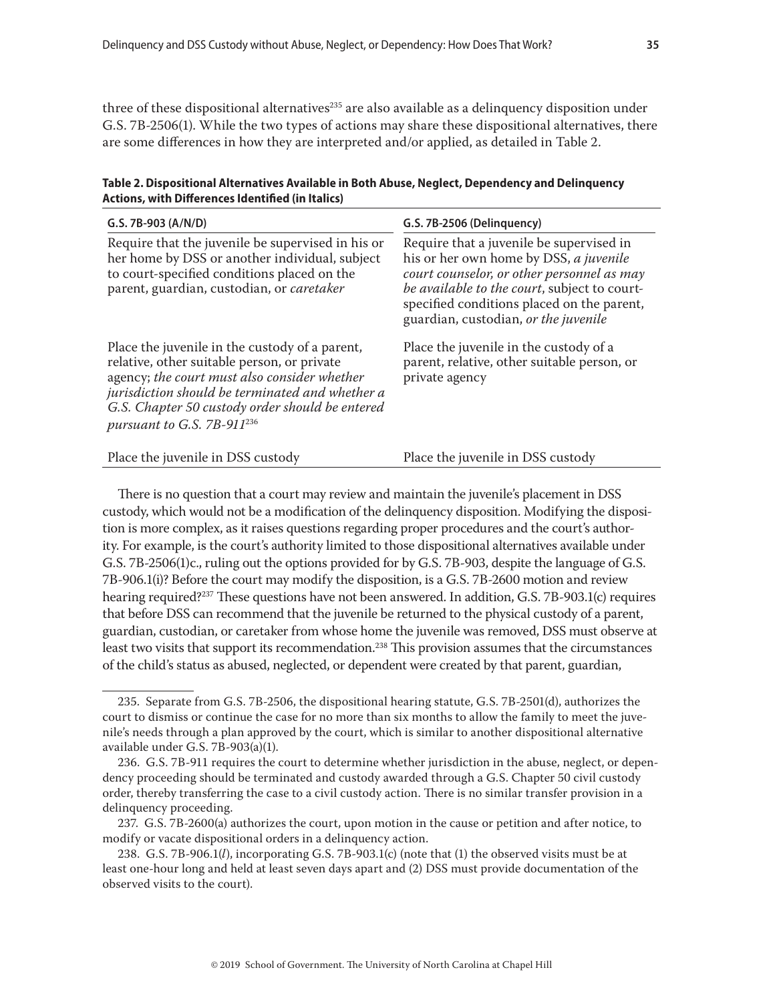three of these dispositional alternatives<sup>235</sup> are also available as a delinquency disposition under G.S. 7B-2506(1). While the two types of actions may share these dispositional alternatives, there are some differences in how they are interpreted and/or applied, as detailed in Table 2.

| Table 2. Dispositional Alternatives Available in Both Abuse, Neglect, Dependency and Delinquency |
|--------------------------------------------------------------------------------------------------|
| Actions, with Differences Identified (in Italics)                                                |

| G.S. 7B-903 (A/N/D)                                                                                                                                                                                                                                                                           | G.S. 7B-2506 (Delinquency)                                                                                                                                                                                                                                             |  |
|-----------------------------------------------------------------------------------------------------------------------------------------------------------------------------------------------------------------------------------------------------------------------------------------------|------------------------------------------------------------------------------------------------------------------------------------------------------------------------------------------------------------------------------------------------------------------------|--|
| Require that the juvenile be supervised in his or<br>her home by DSS or another individual, subject<br>to court-specified conditions placed on the<br>parent, guardian, custodian, or caretaker                                                                                               | Require that a juvenile be supervised in<br>his or her own home by DSS, a juvenile<br>court counselor, or other personnel as may<br>be available to the court, subject to court-<br>specified conditions placed on the parent,<br>guardian, custodian, or the juvenile |  |
| Place the juvenile in the custody of a parent,<br>relative, other suitable person, or private<br>agency; the court must also consider whether<br>jurisdiction should be terminated and whether a<br>G.S. Chapter 50 custody order should be entered<br>pursuant to G.S. 7B-911 <sup>236</sup> | Place the juvenile in the custody of a<br>parent, relative, other suitable person, or<br>private agency                                                                                                                                                                |  |
| Place the juvenile in DSS custody                                                                                                                                                                                                                                                             | Place the juvenile in DSS custody                                                                                                                                                                                                                                      |  |

There is no question that a court may review and maintain the juvenile's placement in DSS custody, which would not be a modification of the delinquency disposition. Modifying the disposition is more complex, as it raises questions regarding proper procedures and the court's authority. For example, is the court's authority limited to those dispositional alternatives available under G.S. 7B-2506(1)c., ruling out the options provided for by G.S. 7B-903, despite the language of G.S. 7B-906.1(i)? Before the court may modify the disposition, is a G.S. 7B-2600 motion and review hearing required?<sup>237</sup> These questions have not been answered. In addition, G.S. 7B-903.1(c) requires that before DSS can recommend that the juvenile be returned to the physical custody of a parent, guardian, custodian, or caretaker from whose home the juvenile was removed, DSS must observe at least two visits that support its recommendation.<sup>238</sup> This provision assumes that the circumstances of the child's status as abused, neglected, or dependent were created by that parent, guardian,

<sup>235.</sup> Separate from G.S. 7B-2506, the dispositional hearing statute, G.S. 7B-2501(d), authorizes the court to dismiss or continue the case for no more than six months to allow the family to meet the juvenile's needs through a plan approved by the court, which is similar to another dispositional alternative available under G.S. 7B-903(a)(1).

<sup>236.</sup> G.S. 7B-911 requires the court to determine whether jurisdiction in the abuse, neglect, or dependency proceeding should be terminated and custody awarded through a G.S. Chapter 50 civil custody order, thereby transferring the case to a civil custody action. There is no similar transfer provision in a delinquency proceeding.

<sup>237.</sup> G.S. 7B-2600(a) authorizes the court, upon motion in the cause or petition and after notice, to modify or vacate dispositional orders in a delinquency action.

<sup>238.</sup> G.S. 7B-906.1(*l*), incorporating G.S. 7B-903.1(c) (note that (1) the observed visits must be at least one-hour long and held at least seven days apart and (2) DSS must provide documentation of the observed visits to the court).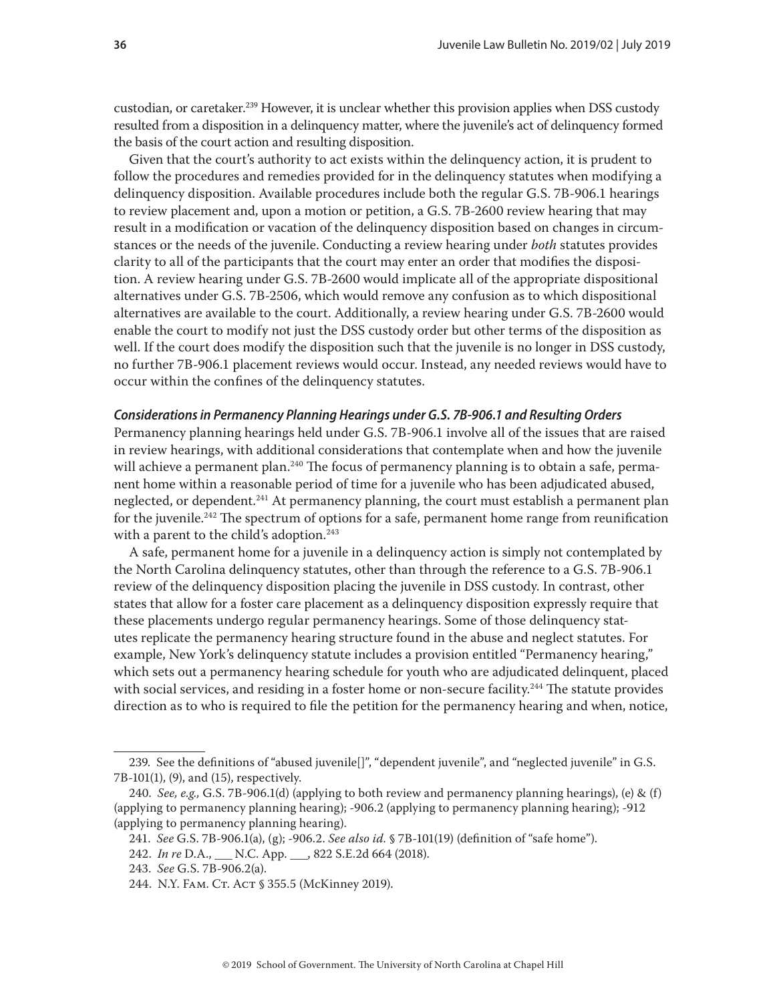custodian, or caretaker.<sup>239</sup> However, it is unclear whether this provision applies when DSS custody resulted from a disposition in a delinquency matter, where the juvenile's act of delinquency formed the basis of the court action and resulting disposition.

Given that the court's authority to act exists within the delinquency action, it is prudent to follow the procedures and remedies provided for in the delinquency statutes when modifying a delinquency disposition. Available procedures include both the regular G.S. 7B-906.1 hearings to review placement and, upon a motion or petition, a G.S. 7B-2600 review hearing that may result in a modification or vacation of the delinquency disposition based on changes in circumstances or the needs of the juvenile. Conducting a review hearing under *both* statutes provides clarity to all of the participants that the court may enter an order that modifies the disposition. A review hearing under G.S. 7B-2600 would implicate all of the appropriate dispositional alternatives under G.S. 7B-2506, which would remove any confusion as to which dispositional alternatives are available to the court. Additionally, a review hearing under G.S. 7B-2600 would enable the court to modify not just the DSS custody order but other terms of the disposition as well. If the court does modify the disposition such that the juvenile is no longer in DSS custody, no further 7B-906.1 placement reviews would occur. Instead, any needed reviews would have to occur within the confines of the delinquency statutes.

#### *Considerations in Permanency Planning Hearings under G.S. 7B-906.1 and Resulting Orders*

Permanency planning hearings held under G.S. 7B-906.1 involve all of the issues that are raised in review hearings, with additional considerations that contemplate when and how the juvenile will achieve a permanent plan.<sup>240</sup> The focus of permanency planning is to obtain a safe, permanent home within a reasonable period of time for a juvenile who has been adjudicated abused, neglected, or dependent.<sup>241</sup> At permanency planning, the court must establish a permanent plan for the juvenile.<sup>242</sup> The spectrum of options for a safe, permanent home range from reunification with a parent to the child's adoption.<sup>243</sup>

A safe, permanent home for a juvenile in a delinquency action is simply not contemplated by the North Carolina delinquency statutes, other than through the reference to a G.S. 7B-906.1 review of the delinquency disposition placing the juvenile in DSS custody. In contrast, other states that allow for a foster care placement as a delinquency disposition expressly require that these placements undergo regular permanency hearings. Some of those delinquency statutes replicate the permanency hearing structure found in the abuse and neglect statutes. For example, New York's delinquency statute includes a provision entitled "Permanency hearing," which sets out a permanency hearing schedule for youth who are adjudicated delinquent, placed with social services, and residing in a foster home or non-secure facility.<sup>244</sup> The statute provides direction as to who is required to file the petition for the permanency hearing and when, notice,

<sup>239.</sup> See the definitions of "abused juvenile[]", "dependent juvenile", and "neglected juvenile" in G.S. 7B-101(1), (9), and (15), respectively.

<sup>240.</sup> *See, e.g.,* G.S. 7B-906.1(d) (applying to both review and permanency planning hearings), (e) & (f) (applying to permanency planning hearing); -906.2 (applying to permanency planning hearing); -912 (applying to permanency planning hearing).

<sup>241.</sup> *See* G.S. 7B-906.1(a), (g); -906.2. *See also id.* § 7B-101(19) (definition of "safe home").

<sup>242.</sup> *In re* D.A., \_\_\_ N.C. App. \_\_\_, 822 S.E.2d 664 (2018).

<sup>243.</sup> *See* G.S. 7B-906.2(a).

<sup>244.</sup> N.Y. FAM. Ст. Аст § 355.5 (McKinney 2019).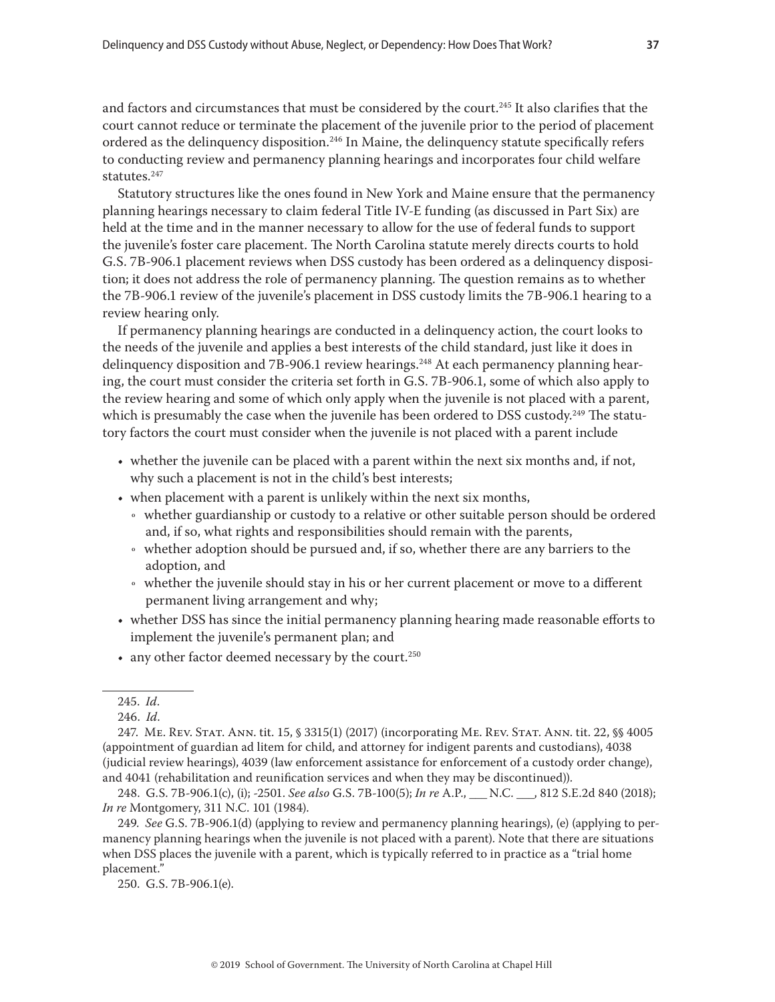and factors and circumstances that must be considered by the court.<sup>245</sup> It also clarifies that the court cannot reduce or terminate the placement of the juvenile prior to the period of placement ordered as the delinquency disposition.<sup>246</sup> In Maine, the delinquency statute specifically refers to conducting review and permanency planning hearings and incorporates four child welfare statutes.<sup>247</sup>

Statutory structures like the ones found in New York and Maine ensure that the permanency planning hearings necessary to claim federal Title IV-E funding (as discussed in Part Six) are held at the time and in the manner necessary to allow for the use of federal funds to support the juvenile's foster care placement. The North Carolina statute merely directs courts to hold G.S. 7B-906.1 placement reviews when DSS custody has been ordered as a delinquency disposition; it does not address the role of permanency planning. The question remains as to whether the 7B-906.1 review of the juvenile's placement in DSS custody limits the 7B-906.1 hearing to a review hearing only.

If permanency planning hearings are conducted in a delinquency action, the court looks to the needs of the juvenile and applies a best interests of the child standard, just like it does in delinquency disposition and 7B-906.1 review hearings.<sup>248</sup> At each permanency planning hearing, the court must consider the criteria set forth in G.S. 7B-906.1, some of which also apply to the review hearing and some of which only apply when the juvenile is not placed with a parent, which is presumably the case when the juvenile has been ordered to DSS custody.<sup>249</sup> The statutory factors the court must consider when the juvenile is not placed with a parent include

- whether the juvenile can be placed with a parent within the next six months and, if not, why such a placement is not in the child's best interests;
- when placement with a parent is unlikely within the next six months,
	- Ǟ whether guardianship or custody to a relative or other suitable person should be ordered and, if so, what rights and responsibilities should remain with the parents,
	- Ǟ whether adoption should be pursued and, if so, whether there are any barriers to the adoption, and
	- Ǟ whether the juvenile should stay in his or her current placement or move to a different permanent living arrangement and why;
- whether DSS has since the initial permanency planning hearing made reasonable efforts to implement the juvenile's permanent plan; and
- any other factor deemed necessary by the court.<sup>250</sup>

247. Me. Rev. Stat. Ann. tit. 15, § 3315(1) (2017) (incorporating Me. Rev. Stat. Ann. tit. 22, §§ 4005 (appointment of guardian ad litem for child, and attorney for indigent parents and custodians), 4038 (judicial review hearings), 4039 (law enforcement assistance for enforcement of a custody order change), and 4041 (rehabilitation and reunification services and when they may be discontinued)).

248. G.S. 7B-906.1(c), (i); -2501. *See also* G.S. 7B-100(5); *In re* A.P., \_\_\_ N.C. \_\_\_, 812 S.E.2d 840 (2018); *In re* Montgomery, 311 N.C. 101 (1984).

249. *See* G.S. 7B-906.1(d) (applying to review and permanency planning hearings), (e) (applying to permanency planning hearings when the juvenile is not placed with a parent). Note that there are situations when DSS places the juvenile with a parent, which is typically referred to in practice as a "trial home placement."

250. G.S. 7B-906.1(e).

<sup>245.</sup> *Id*.

<sup>246.</sup> *Id*.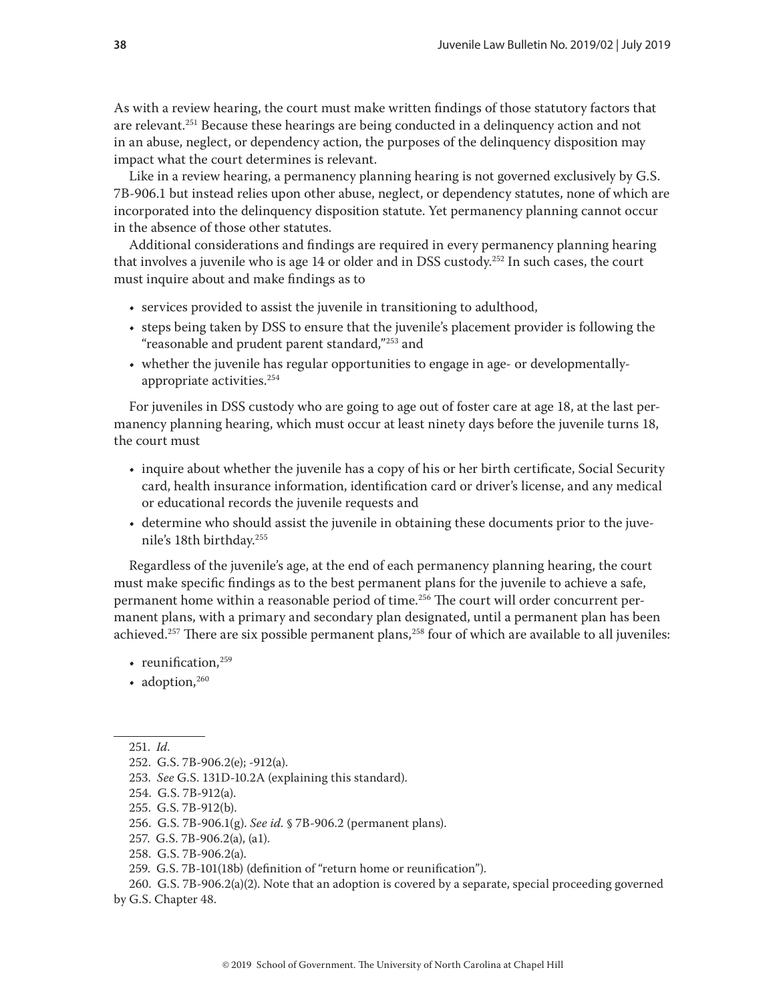As with a review hearing, the court must make written findings of those statutory factors that are relevant.<sup>251</sup> Because these hearings are being conducted in a delinquency action and not in an abuse, neglect, or dependency action, the purposes of the delinquency disposition may impact what the court determines is relevant.

Like in a review hearing, a permanency planning hearing is not governed exclusively by G.S. 7B-906.1 but instead relies upon other abuse, neglect, or dependency statutes, none of which are incorporated into the delinquency disposition statute. Yet permanency planning cannot occur in the absence of those other statutes.

Additional considerations and findings are required in every permanency planning hearing that involves a juvenile who is age 14 or older and in DSS custody.252 In such cases, the court must inquire about and make findings as to

- services provided to assist the juvenile in transitioning to adulthood,
- steps being taken by DSS to ensure that the juvenile's placement provider is following the "reasonable and prudent parent standard,"253 and
- whether the juvenile has regular opportunities to engage in age- or developmentallyappropriate activities.254

For juveniles in DSS custody who are going to age out of foster care at age 18, at the last permanency planning hearing, which must occur at least ninety days before the juvenile turns 18, the court must

- inquire about whether the juvenile has a copy of his or her birth certificate, Social Security card, health insurance information, identification card or driver's license, and any medical or educational records the juvenile requests and
- determine who should assist the juvenile in obtaining these documents prior to the juvenile's 18th birthday.255

Regardless of the juvenile's age, at the end of each permanency planning hearing, the court must make specific findings as to the best permanent plans for the juvenile to achieve a safe, permanent home within a reasonable period of time.256 The court will order concurrent permanent plans, with a primary and secondary plan designated, until a permanent plan has been achieved.<sup>257</sup> There are six possible permanent plans,<sup>258</sup> four of which are available to all juveniles:

- reunification, $259$
- adoption, $260$

- 253. *See* G.S. 131D-10.2A (explaining this standard).
- 254. G.S. 7B-912(a).

- 256. G.S. 7B-906.1(g). *See id.* § 7B-906.2 (permanent plans).
- 257. G.S. 7B-906.2(a), (a1).
- 258. G.S. 7B-906.2(a).
- 259. G.S. 7B-101(18b) (definition of "return home or reunification").

260. G.S. 7B-906.2(a)(2). Note that an adoption is covered by a separate, special proceeding governed by G.S. Chapter 48.

<sup>251.</sup> *Id.*

<sup>252.</sup> G.S. 7B-906.2(e); -912(a).

<sup>255.</sup> G.S. 7B-912(b).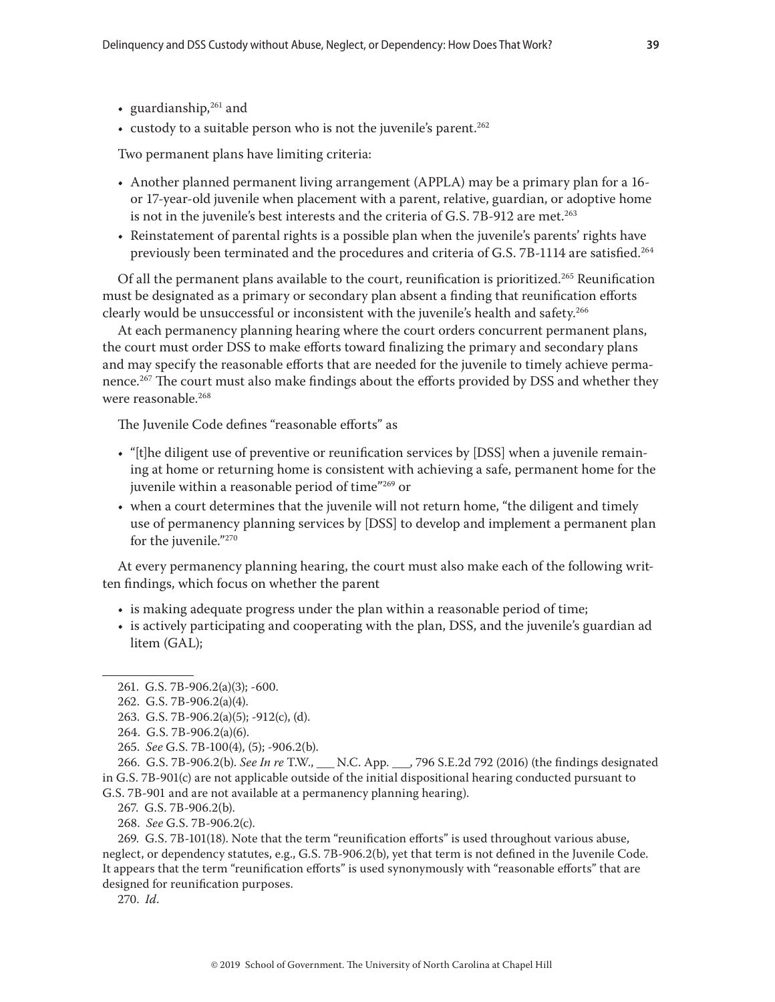- guardianship, $261$  and
- custody to a suitable person who is not the juvenile's parent.<sup>262</sup>

Two permanent plans have limiting criteria:

- Another planned permanent living arrangement (APPLA) may be a primary plan for a 16 or 17-year-old juvenile when placement with a parent, relative, guardian, or adoptive home is not in the juvenile's best interests and the criteria of G.S. 7B-912 are met.<sup>263</sup>
- Reinstatement of parental rights is a possible plan when the juvenile's parents' rights have previously been terminated and the procedures and criteria of G.S. 7B-1114 are satisfied.264

Of all the permanent plans available to the court, reunification is prioritized.265 Reunification must be designated as a primary or secondary plan absent a finding that reunification efforts clearly would be unsuccessful or inconsistent with the juvenile's health and safety.<sup>266</sup>

At each permanency planning hearing where the court orders concurrent permanent plans, the court must order DSS to make efforts toward finalizing the primary and secondary plans and may specify the reasonable efforts that are needed for the juvenile to timely achieve permanence.<sup>267</sup> The court must also make findings about the efforts provided by DSS and whether they were reasonable.<sup>268</sup>

The Juvenile Code defines "reasonable efforts" as

- "[t]he diligent use of preventive or reunification services by [DSS] when a juvenile remaining at home or returning home is consistent with achieving a safe, permanent home for the juvenile within a reasonable period of time"269 or
- when a court determines that the juvenile will not return home, "the diligent and timely use of permanency planning services by [DSS] to develop and implement a permanent plan for the juvenile."270

At every permanency planning hearing, the court must also make each of the following written findings, which focus on whether the parent

- is making adequate progress under the plan within a reasonable period of time;
- is actively participating and cooperating with the plan, DSS, and the juvenile's guardian ad litem (GAL);

269. G.S. 7B-101(18). Note that the term "reunification efforts" is used throughout various abuse, neglect, or dependency statutes, e.g., G.S. 7B-906.2(b), yet that term is not defined in the Juvenile Code. It appears that the term "reunification efforts" is used synonymously with "reasonable efforts" that are designed for reunification purposes.

270. *Id*.

<sup>261.</sup> G.S. 7B-906.2(a)(3); -600.

<sup>262.</sup> G.S. 7B-906.2(a)(4).

<sup>263.</sup> G.S. 7B-906.2(a)(5); -912(c), (d).

<sup>264.</sup> G.S. 7B-906.2(a)(6).

<sup>265.</sup> *See* G.S. 7B-100(4), (5); -906.2(b).

<sup>266.</sup> G.S. 7B-906.2(b). *See In re* T.W., \_\_\_ N.C. App. \_\_\_, 796 S.E.2d 792 (2016) (the findings designated in G.S. 7B-901(c) are not applicable outside of the initial dispositional hearing conducted pursuant to G.S. 7B-901 and are not available at a permanency planning hearing).

<sup>267.</sup> G.S. 7B-906.2(b).

<sup>268.</sup> *See* G.S. 7B-906.2(c).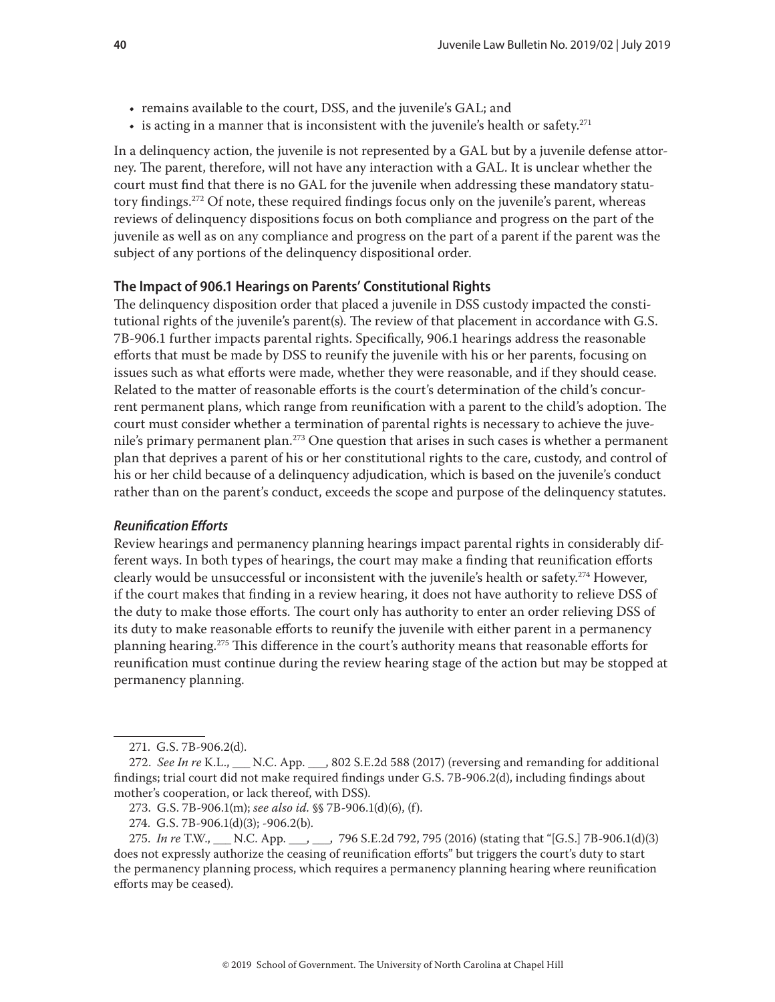- <span id="page-39-0"></span>• remains available to the court, DSS, and the juvenile's GAL; and
- $\bullet$  is acting in a manner that is inconsistent with the juvenile's health or safety.<sup>271</sup>

In a delinquency action, the juvenile is not represented by a GAL but by a juvenile defense attorney. The parent, therefore, will not have any interaction with a GAL. It is unclear whether the court must find that there is no GAL for the juvenile when addressing these mandatory statutory findings.<sup>272</sup> Of note, these required findings focus only on the juvenile's parent, whereas reviews of delinquency dispositions focus on both compliance and progress on the part of the juvenile as well as on any compliance and progress on the part of a parent if the parent was the subject of any portions of the delinquency dispositional order.

#### **The Impact of 906.1 Hearings on Parents' Constitutional Rights**

The delinquency disposition order that placed a juvenile in DSS custody impacted the constitutional rights of the juvenile's parent(s). The review of that placement in accordance with G.S. 7B-906.1 further impacts parental rights. Specifically, 906.1 hearings address the reasonable efforts that must be made by DSS to reunify the juvenile with his or her parents, focusing on issues such as what efforts were made, whether they were reasonable, and if they should cease. Related to the matter of reasonable efforts is the court's determination of the child's concurrent permanent plans, which range from reunification with a parent to the child's adoption. The court must consider whether a termination of parental rights is necessary to achieve the juvenile's primary permanent plan.<sup>273</sup> One question that arises in such cases is whether a permanent plan that deprives a parent of his or her constitutional rights to the care, custody, and control of his or her child because of a delinquency adjudication, which is based on the juvenile's conduct rather than on the parent's conduct, exceeds the scope and purpose of the delinquency statutes.

#### *Reunification Efforts*

Review hearings and permanency planning hearings impact parental rights in considerably different ways. In both types of hearings, the court may make a finding that reunification efforts clearly would be unsuccessful or inconsistent with the juvenile's health or safety.<sup>274</sup> However, if the court makes that finding in a review hearing, it does not have authority to relieve DSS of the duty to make those efforts. The court only has authority to enter an order relieving DSS of its duty to make reasonable efforts to reunify the juvenile with either parent in a permanency planning hearing.275 This difference in the court's authority means that reasonable efforts for reunification must continue during the review hearing stage of the action but may be stopped at permanency planning.

<sup>271.</sup> G.S. 7B-906.2(d).

<sup>272.</sup> *See In re* K.L., \_\_\_ N.C. App. \_\_\_, 802 S.E.2d 588 (2017) (reversing and remanding for additional findings; trial court did not make required findings under G.S. 7B-906.2(d), including findings about mother's cooperation, or lack thereof, with DSS).

<sup>273.</sup> G.S. 7B-906.1(m); *see also id.* §§ 7B-906.1(d)(6), (f).

<sup>274.</sup> G.S. 7B-906.1(d)(3); -906.2(b).

<sup>275.</sup> *In re* T.W., \_\_\_ N.C. App. \_\_\_, \_\_\_, 796 S.E.2d 792, 795 (2016) (stating that "[G.S.] 7B-906.1(d)(3) does not expressly authorize the ceasing of reunification efforts" but triggers the court's duty to start the permanency planning process, which requires a permanency planning hearing where reunification efforts may be ceased).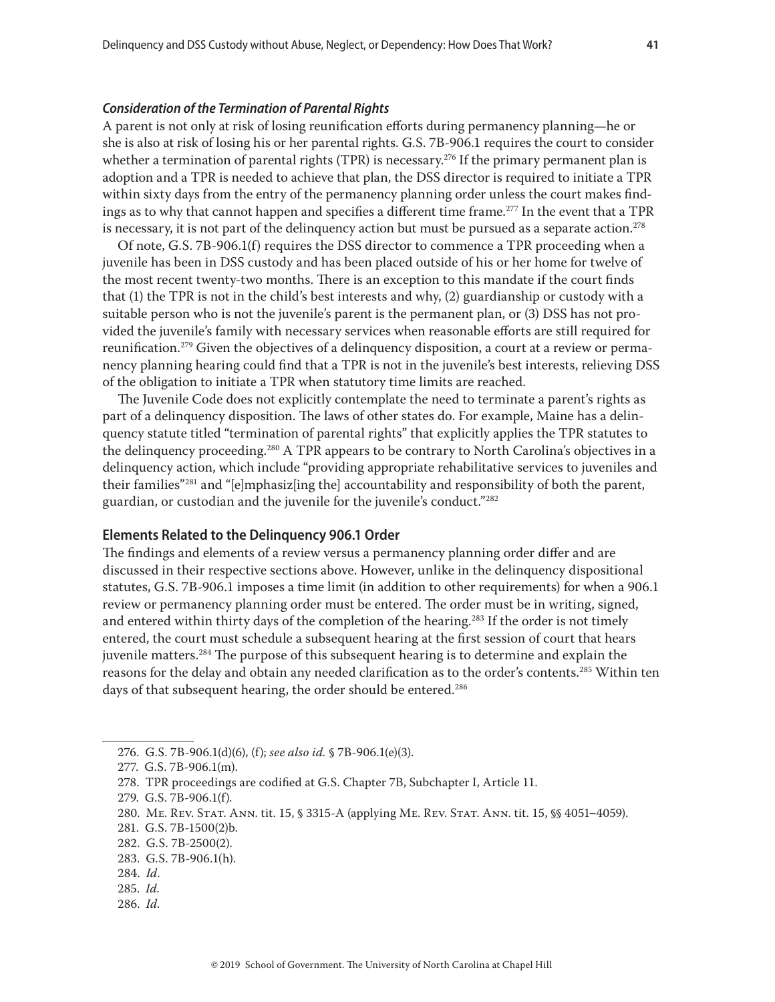#### <span id="page-40-0"></span>*Consideration of the Termination of Parental Rights*

A parent is not only at risk of losing reunification efforts during permanency planning—he or she is also at risk of losing his or her parental rights. G.S. 7B-906.1 requires the court to consider whether a termination of parental rights (TPR) is necessary.<sup>276</sup> If the primary permanent plan is adoption and a TPR is needed to achieve that plan, the DSS director is required to initiate a TPR within sixty days from the entry of the permanency planning order unless the court makes findings as to why that cannot happen and specifies a different time frame.<sup>277</sup> In the event that a TPR is necessary, it is not part of the delinquency action but must be pursued as a separate action.<sup>278</sup>

Of note, G.S. 7B-906.1(f) requires the DSS director to commence a TPR proceeding when a juvenile has been in DSS custody and has been placed outside of his or her home for twelve of the most recent twenty-two months. There is an exception to this mandate if the court finds that (1) the TPR is not in the child's best interests and why, (2) guardianship or custody with a suitable person who is not the juvenile's parent is the permanent plan, or (3) DSS has not provided the juvenile's family with necessary services when reasonable efforts are still required for reunification.<sup>279</sup> Given the objectives of a delinquency disposition, a court at a review or permanency planning hearing could find that a TPR is not in the juvenile's best interests, relieving DSS of the obligation to initiate a TPR when statutory time limits are reached.

The Juvenile Code does not explicitly contemplate the need to terminate a parent's rights as part of a delinquency disposition. The laws of other states do. For example, Maine has a delinquency statute titled "termination of parental rights" that explicitly applies the TPR statutes to the delinquency proceeding. $^{280}$  A TPR appears to be contrary to North Carolina's objectives in a delinquency action, which include "providing appropriate rehabilitative services to juveniles and their families"281 and "[e]mphasiz[ing the] accountability and responsibility of both the parent, guardian, or custodian and the juvenile for the juvenile's conduct."282

#### **Elements Related to the Delinquency 906.1 Order**

The findings and elements of a review versus a permanency planning order differ and are discussed in their respective sections above. However, unlike in the delinquency dispositional statutes, G.S. 7B-906.1 imposes a time limit (in addition to other requirements) for when a 906.1 review or permanency planning order must be entered. The order must be in writing, signed, and entered within thirty days of the completion of the hearing.<sup>283</sup> If the order is not timely entered, the court must schedule a subsequent hearing at the first session of court that hears juvenile matters.284 The purpose of this subsequent hearing is to determine and explain the reasons for the delay and obtain any needed clarification as to the order's contents.<sup>285</sup> Within ten days of that subsequent hearing, the order should be entered.<sup>286</sup>

- 280. ME. REV. STAT. ANN. tit. 15, § 3315-A (applying ME. REV. STAT. ANN. tit. 15, \$\$ 4051-4059).
- 281. G.S. 7B-1500(2)b.

286. *Id*.

<sup>276.</sup> G.S. 7B-906.1(d)(6), (f); *see also id.* § 7B-906.1(e)(3).

<sup>277.</sup> G.S. 7B-906.1(m).

<sup>278.</sup> TPR proceedings are codified at G.S. Chapter 7B, Subchapter I, Article 11.

<sup>279.</sup> G.S. 7B-906.1(f)*.*

<sup>282.</sup> G.S. 7B-2500(2).

<sup>283.</sup> G.S. 7B-906.1(h).

<sup>284.</sup> *Id*.

<sup>285.</sup> *Id.*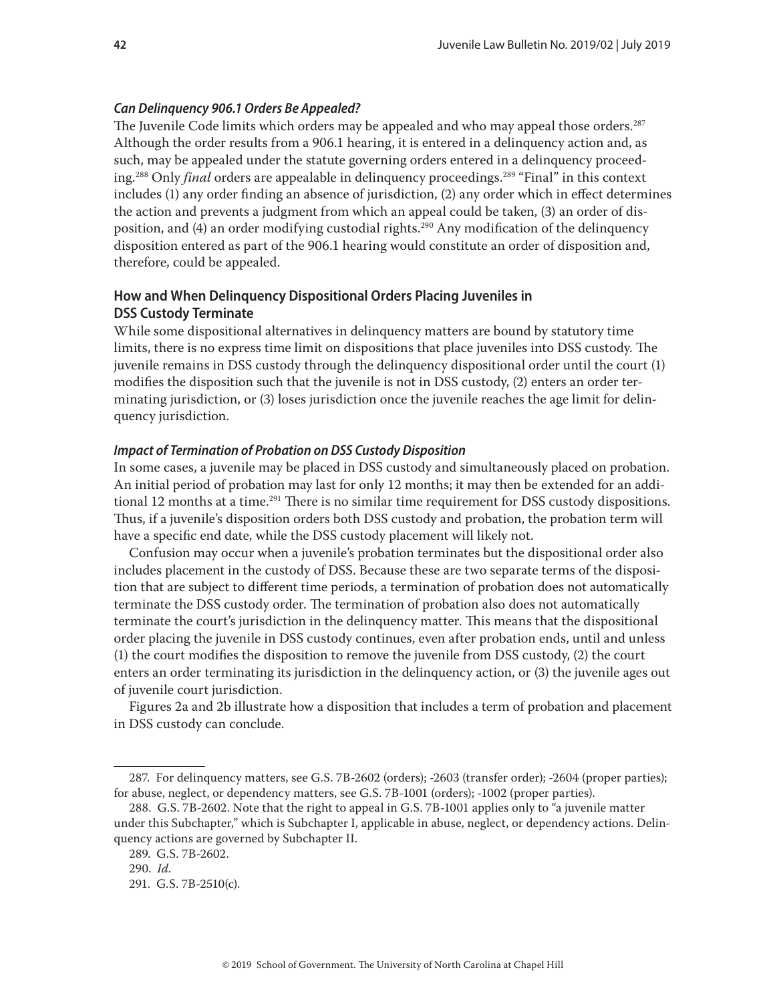#### <span id="page-41-0"></span>*Can Delinquency 906.1 Orders Be Appealed?*

The Juvenile Code limits which orders may be appealed and who may appeal those orders.287 Although the order results from a 906.1 hearing, it is entered in a delinquency action and, as such, may be appealed under the statute governing orders entered in a delinquency proceeding.<sup>288</sup> Only *final* orders are appealable in delinquency proceedings.<sup>289</sup> "Final" in this context includes (1) any order finding an absence of jurisdiction, (2) any order which in effect determines the action and prevents a judgment from which an appeal could be taken, (3) an order of disposition, and (4) an order modifying custodial rights.<sup>290</sup> Any modification of the delinquency disposition entered as part of the 906.1 hearing would constitute an order of disposition and, therefore, could be appealed.

# **How and When Delinquency Dispositional Orders Placing Juveniles in DSS Custody Terminate**

While some dispositional alternatives in delinquency matters are bound by statutory time limits, there is no express time limit on dispositions that place juveniles into DSS custody. The juvenile remains in DSS custody through the delinquency dispositional order until the court (1) modifies the disposition such that the juvenile is not in DSS custody, (2) enters an order terminating jurisdiction, or (3) loses jurisdiction once the juvenile reaches the age limit for delinquency jurisdiction.

#### *Impact of Termination of Probation on DSS Custody Disposition*

In some cases, a juvenile may be placed in DSS custody and simultaneously placed on probation. An initial period of probation may last for only 12 months; it may then be extended for an additional 12 months at a time.<sup>291</sup> There is no similar time requirement for DSS custody dispositions. Thus, if a juvenile's disposition orders both DSS custody and probation, the probation term will have a specific end date, while the DSS custody placement will likely not.

Confusion may occur when a juvenile's probation terminates but the dispositional order also includes placement in the custody of DSS. Because these are two separate terms of the disposition that are subject to different time periods, a termination of probation does not automatically terminate the DSS custody order. The termination of probation also does not automatically terminate the court's jurisdiction in the delinquency matter. This means that the dispositional order placing the juvenile in DSS custody continues, even after probation ends, until and unless (1) the court modifies the disposition to remove the juvenile from DSS custody, (2) the court enters an order terminating its jurisdiction in the delinquency action, or (3) the juvenile ages out of juvenile court jurisdiction.

Figures 2a and 2b illustrate how a disposition that includes a term of probation and placement in DSS custody can conclude.

<sup>287.</sup> For delinquency matters, see G.S. 7B-2602 (orders); -2603 (transfer order); -2604 (proper parties); for abuse, neglect, or dependency matters, see G.S. 7B-1001 (orders); -1002 (proper parties).

<sup>288.</sup> G.S. 7B-2602. Note that the right to appeal in G.S. 7B-1001 applies only to "a juvenile matter under this Subchapter," which is Subchapter I, applicable in abuse, neglect, or dependency actions. Delinquency actions are governed by Subchapter II.

<sup>289.</sup> G.S. 7B-2602.

<sup>290.</sup> *Id*.

<sup>291.</sup> G.S. 7B-2510(c).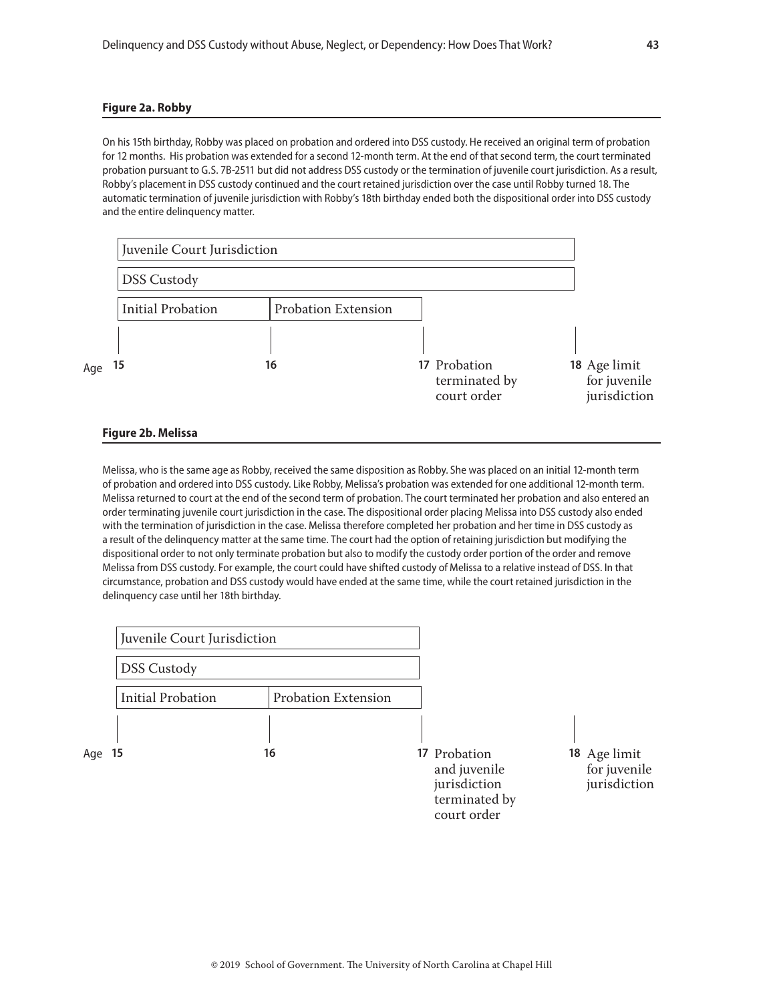#### **Figure 2a. Robby**

On his 15th birthday, Robby was placed on probation and ordered into DSS custody. He received an original term of probation for 12 months. His probation was extended for a second 12-month term. At the end of that second term, the court terminated probation pursuant to G.S. 7B-2511 but did not address DSS custody or the termination of juvenile court jurisdiction. As a result, Robby's placement in DSS custody continued and the court retained jurisdiction over the case until Robby turned 18. The automatic termination of juvenile jurisdiction with Robby's 18th birthday ended both the dispositional order into DSS custody and the entire delinquency matter.

|     | Juvenile Court Jurisdiction |                            |                                              |                                              |
|-----|-----------------------------|----------------------------|----------------------------------------------|----------------------------------------------|
|     | <b>DSS Custody</b>          |                            |                                              |                                              |
|     | <b>Initial Probation</b>    | <b>Probation Extension</b> |                                              |                                              |
|     |                             |                            |                                              |                                              |
| Age | 15                          | 16                         | 17 Probation<br>terminated by<br>court order | 18 Age limit<br>for juvenile<br>jurisdiction |

#### **Figure 2b. Melissa**

Melissa, who is the same age as Robby, received the same disposition as Robby. She was placed on an initial 12-month term of probation and ordered into DSS custody. Like Robby, Melissa's probation was extended for one additional 12-month term. Melissa returned to court at the end of the second term of probation. The court terminated her probation and also entered an order terminating juvenile court jurisdiction in the case. The dispositional order placing Melissa into DSS custody also ended with the termination of jurisdiction in the case. Melissa therefore completed her probation and her time in DSS custody as a result of the delinquency matter at the same time. The court had the option of retaining jurisdiction but modifying the dispositional order to not only terminate probation but also to modify the custody order portion of the order and remove Melissa from DSS custody. For example, the court could have shifted custody of Melissa to a relative instead of DSS. In that circumstance, probation and DSS custody would have ended at the same time, while the court retained jurisdiction in the delinquency case until her 18th birthday.

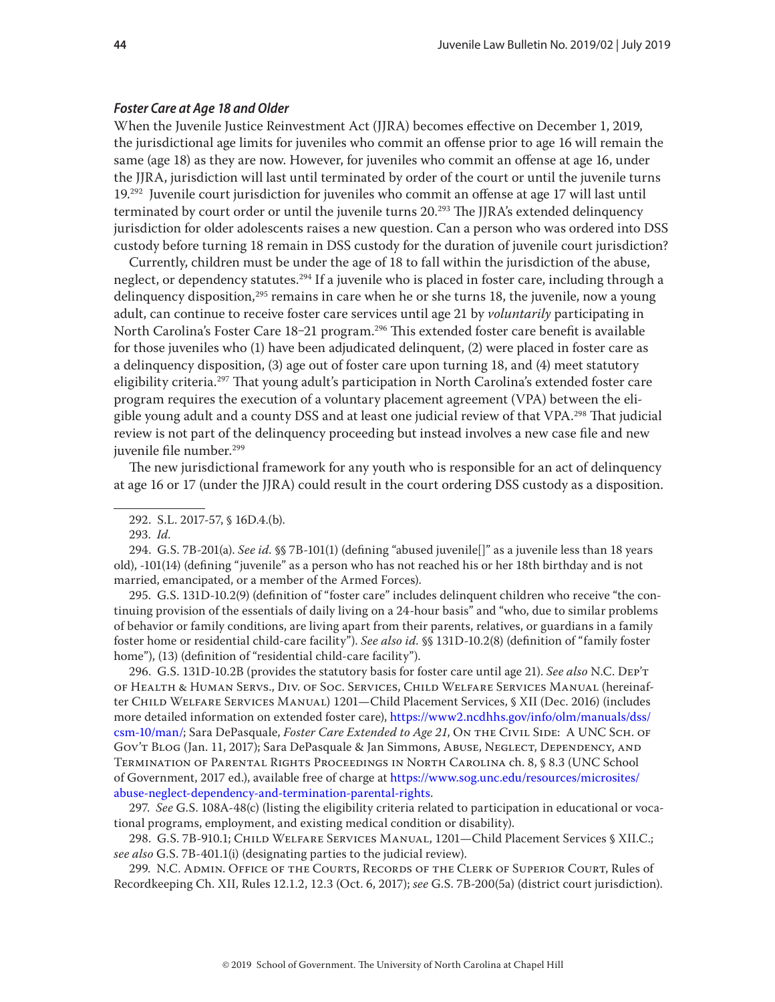#### *Foster Care at Age 18 and Older*

When the Juvenile Justice Reinvestment Act (JJRA) becomes effective on December 1, 2019, the jurisdictional age limits for juveniles who commit an offense prior to age 16 will remain the same (age 18) as they are now. However, for juveniles who commit an offense at age 16, under the JJRA, jurisdiction will last until terminated by order of the court or until the juvenile turns 19.292 Juvenile court jurisdiction for juveniles who commit an offense at age 17 will last until terminated by court order or until the juvenile turns  $20.^{293}$  The JJRA's extended delinquency jurisdiction for older adolescents raises a new question. Can a person who was ordered into DSS custody before turning 18 remain in DSS custody for the duration of juvenile court jurisdiction?

Currently, children must be under the age of 18 to fall within the jurisdiction of the abuse, neglect, or dependency statutes.<sup>294</sup> If a juvenile who is placed in foster care, including through a delinquency disposition,<sup>295</sup> remains in care when he or she turns 18, the juvenile, now a young adult, can continue to receive foster care services until age 21 by *voluntarily* participating in North Carolina's Foster Care 18-21 program.<sup>296</sup> This extended foster care benefit is available for those juveniles who (1) have been adjudicated delinquent, (2) were placed in foster care as a delinquency disposition, (3) age out of foster care upon turning 18, and (4) meet statutory eligibility criteria.<sup>297</sup> That young adult's participation in North Carolina's extended foster care program requires the execution of a voluntary placement agreement (VPA) between the eligible young adult and a county DSS and at least one judicial review of that VPA.<sup>298</sup> That judicial review is not part of the delinquency proceeding but instead involves a new case file and new juvenile file number.<sup>299</sup>

The new jurisdictional framework for any youth who is responsible for an act of delinquency at age 16 or 17 (under the JJRA) could result in the court ordering DSS custody as a disposition.

293. *Id.*

294. G.S. 7B-201(a). *See id.* §§ 7B-101(1) (defining "abused juvenile[]" as a juvenile less than 18 years old), -101(14) (defining "juvenile" as a person who has not reached his or her 18th birthday and is not married, emancipated, or a member of the Armed Forces).

295. G.S. 131D-10.2(9) (definition of "foster care" includes delinquent children who receive "the continuing provision of the essentials of daily living on a 24-hour basis" and "who, due to similar problems of behavior or family conditions, are living apart from their parents, relatives, or guardians in a family foster home or residential child-care facility"). *See also id.* §§ 131D-10.2(8) (definition of "family foster home"), (13) (definition of "residential child-care facility").

296. G.S. 131D-10.2B (provides the statutory basis for foster care until age 21). *See also* N.C. Dep't of Health & Human Servs., Div. of Soc. Services, Child Welfare Services Manual (hereinafter Child Welfare Services Manual) 1201—Child Placement Services, § XII (Dec. 2016) (includes more detailed information on extended foster care), [https://www2.ncdhhs.gov/info/olm/manuals/dss/](https://www2.ncdhhs.gov/info/olm/manuals/dss/csm-10/man/) [csm-10/man/;](https://www2.ncdhhs.gov/info/olm/manuals/dss/csm-10/man/) Sara DePasquale, *[Foster Care Extended to Age 21](https://civil.sog.unc.edu/foster-care-extended-to-age-21/)*, On THE CIVIL SIDE: A UNC SCH. OF Gov't Blog (Jan. 11, 2017); Sara DePasquale & Jan Simmons, Abuse, Neglect, Dependency, and Termination of Parental Rights Proceedings in North Carolina ch. 8, § 8.3 (UNC School of Government, 2017 ed.), available free of charge at [https://www.sog.unc.edu/resources/microsites/](https://www.sog.unc.edu/resources/microsites/abuse-neglect-dependency-and-termination-parental-rights) [abuse-neglect-dependency-and-termination-parental-rights](https://www.sog.unc.edu/resources/microsites/abuse-neglect-dependency-and-termination-parental-rights).

297. *See* G.S. 108A-48(c) (listing the eligibility criteria related to participation in educational or vocational programs, employment, and existing medical condition or disability).

298. G.S. 7B-910.1; Child Welfare Services Manual, 1201—Child Placement Services § XII.C.; *see also* G.S. 7B-401.1(i) (designating parties to the judicial review).

299. N.C. Admin. Office of the Courts, Records of the Clerk of Superior Court, Rules of Recordkeeping Ch. XII, Rules 12.1.2, 12.3 (Oct. 6, 2017); *see* G.S. 7B-200(5a) (district court jurisdiction).

<sup>292.</sup> S.L. 2017-57, § 16D.4.(b).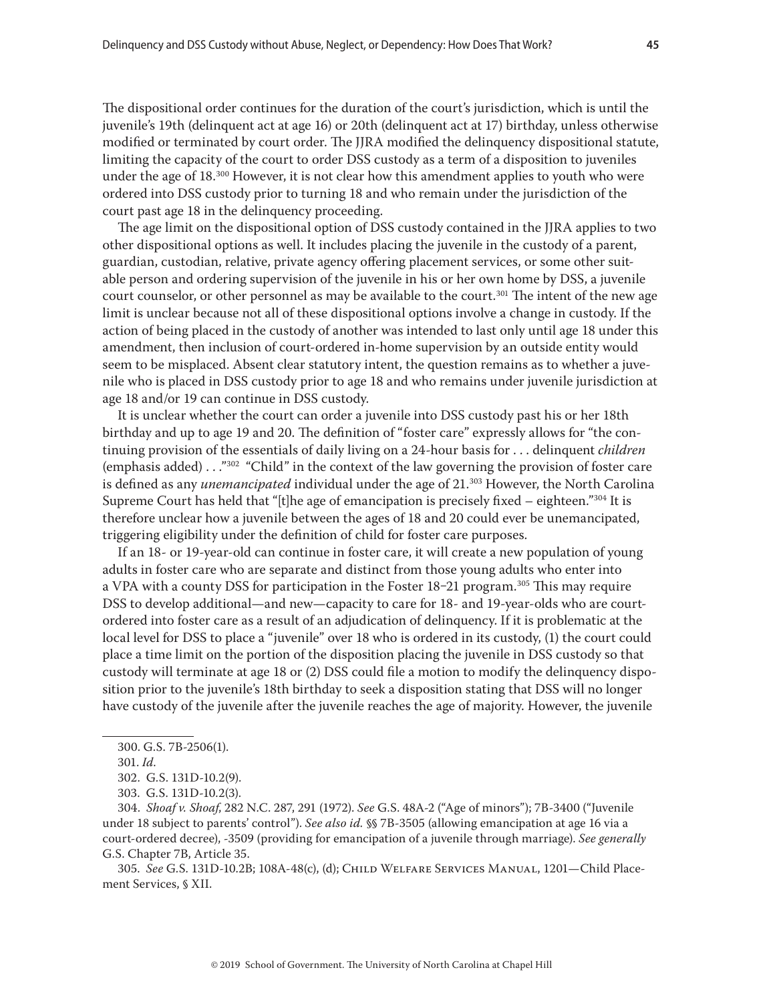The dispositional order continues for the duration of the court's jurisdiction, which is until the juvenile's 19th (delinquent act at age 16) or 20th (delinquent act at 17) birthday, unless otherwise modified or terminated by court order. The JJRA modified the delinquency dispositional statute, limiting the capacity of the court to order DSS custody as a term of a disposition to juveniles under the age of  $18^{,300}$  However, it is not clear how this amendment applies to youth who were ordered into DSS custody prior to turning 18 and who remain under the jurisdiction of the court past age 18 in the delinquency proceeding.

The age limit on the dispositional option of DSS custody contained in the JJRA applies to two other dispositional options as well. It includes placing the juvenile in the custody of a parent, guardian, custodian, relative, private agency offering placement services, or some other suitable person and ordering supervision of the juvenile in his or her own home by DSS, a juvenile court counselor, or other personnel as may be available to the court.<sup>301</sup> The intent of the new age limit is unclear because not all of these dispositional options involve a change in custody. If the action of being placed in the custody of another was intended to last only until age 18 under this amendment, then inclusion of court-ordered in-home supervision by an outside entity would seem to be misplaced. Absent clear statutory intent, the question remains as to whether a juvenile who is placed in DSS custody prior to age 18 and who remains under juvenile jurisdiction at age 18 and/or 19 can continue in DSS custody.

It is unclear whether the court can order a juvenile into DSS custody past his or her 18th birthday and up to age 19 and 20. The definition of "foster care" expressly allows for "the continuing provision of the essentials of daily living on a 24-hour basis for . . . delinquent *children* (emphasis added) . . ."<sup>302</sup> "Child" in the context of the law governing the provision of foster care is defined as any *unemancipated* individual under the age of 21.<sup>303</sup> However, the North Carolina Supreme Court has held that "[t]he age of emancipation is precisely fixed  $-$  eighteen."<sup>304</sup> It is therefore unclear how a juvenile between the ages of 18 and 20 could ever be unemancipated, triggering eligibility under the definition of child for foster care purposes.

If an 18- or 19-year-old can continue in foster care, it will create a new population of young adults in foster care who are separate and distinct from those young adults who enter into a VPA with a county DSS for participation in the Foster  $18-21$  program.<sup>305</sup> This may require DSS to develop additional—and new—capacity to care for 18- and 19-year-olds who are courtordered into foster care as a result of an adjudication of delinquency. If it is problematic at the local level for DSS to place a "juvenile" over 18 who is ordered in its custody, (1) the court could place a time limit on the portion of the disposition placing the juvenile in DSS custody so that custody will terminate at age 18 or (2) DSS could file a motion to modify the delinquency disposition prior to the juvenile's 18th birthday to seek a disposition stating that DSS will no longer have custody of the juvenile after the juvenile reaches the age of majority. However, the juvenile

304. *Shoaf v. Shoaf*, 282 N.C. 287, 291 (1972). *See* G.S. 48A-2 ("Age of minors"); 7B-3400 ("Juvenile under 18 subject to parents' control"). *See also id.* §§ 7B-3505 (allowing emancipation at age 16 via a court-ordered decree), -3509 (providing for emancipation of a juvenile through marriage). *See generally*  G.S. Chapter 7B, Article 35.

305. *See* G.S. 131D-10.2B; 108A-48(c), (d); Child Welfare Services Manual, 1201—Child Placement Services, § XII.

<sup>300.</sup> G.S. 7B-2506(1).

<sup>301.</sup> *Id*.

<sup>302.</sup> G.S. 131D-10.2(9).

<sup>303.</sup> G.S. 131D-10.2(3).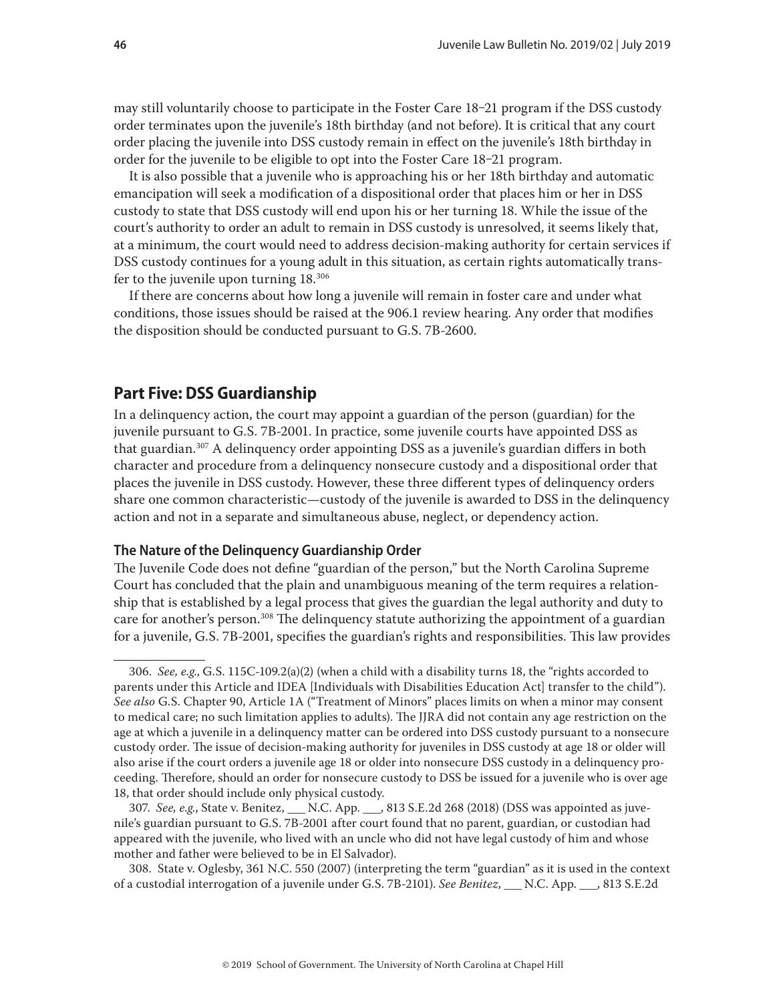<span id="page-45-0"></span>may still voluntarily choose to participate in the Foster Care 18–21 program if the DSS custody order terminates upon the juvenile's 18th birthday (and not before). It is critical that any court order placing the juvenile into DSS custody remain in effect on the juvenile's 18th birthday in order for the juvenile to be eligible to opt into the Foster Care 18-21 program.

It is also possible that a juvenile who is approaching his or her 18th birthday and automatic emancipation will seek a modification of a dispositional order that places him or her in DSS custody to state that DSS custody will end upon his or her turning 18. While the issue of the court's authority to order an adult to remain in DSS custody is unresolved, it seems likely that, at a minimum, the court would need to address decision-making authority for certain services if DSS custody continues for a young adult in this situation, as certain rights automatically transfer to the juvenile upon turning 18.306

If there are concerns about how long a juvenile will remain in foster care and under what conditions, those issues should be raised at the 906.1 review hearing. Any order that modifies the disposition should be conducted pursuant to G.S. 7B-2600.

# **Part Five: DSS Guardianship**

In a delinquency action, the court may appoint a guardian of the person (guardian) for the juvenile pursuant to G.S. 7B-2001. In practice, some juvenile courts have appointed DSS as that guardian.307 A delinquency order appointing DSS as a juvenile's guardian differs in both character and procedure from a delinquency nonsecure custody and a dispositional order that places the juvenile in DSS custody. However, these three different types of delinquency orders share one common characteristic—custody of the juvenile is awarded to DSS in the delinquency action and not in a separate and simultaneous abuse, neglect, or dependency action.

#### **The Nature of the Delinquency Guardianship Order**

The Juvenile Code does not define "guardian of the person," but the North Carolina Supreme Court has concluded that the plain and unambiguous meaning of the term requires a relationship that is established by a legal process that gives the guardian the legal authority and duty to care for another's person.<sup>308</sup> The delinquency statute authorizing the appointment of a guardian for a juvenile, G.S. 7B-2001, specifies the guardian's rights and responsibilities. This law provides

307. *See, e.g.*, State v. Benitez, \_\_\_ N.C. App. \_\_\_, 813 S.E.2d 268 (2018) (DSS was appointed as juvenile's guardian pursuant to G.S. 7B-2001 after court found that no parent, guardian, or custodian had appeared with the juvenile, who lived with an uncle who did not have legal custody of him and whose mother and father were believed to be in El Salvador).

308. State v. Oglesby, 361 N.C. 550 (2007) (interpreting the term "guardian" as it is used in the context of a custodial interrogation of a juvenile under G.S. 7B-2101). *See Benitez*, \_\_\_ N.C. App. \_\_\_, 813 S.E.2d

<sup>306.</sup> *See, e.g*., G.S. 115C-109.2(a)(2) (when a child with a disability turns 18, the "rights accorded to parents under this Article and IDEA [Individuals with Disabilities Education Act] transfer to the child"). *See also* G.S. Chapter 90, Article 1A ("Treatment of Minors" places limits on when a minor may consent to medical care; no such limitation applies to adults). The JJRA did not contain any age restriction on the age at which a juvenile in a delinquency matter can be ordered into DSS custody pursuant to a nonsecure custody order. The issue of decision-making authority for juveniles in DSS custody at age 18 or older will also arise if the court orders a juvenile age 18 or older into nonsecure DSS custody in a delinquency proceeding. Therefore, should an order for nonsecure custody to DSS be issued for a juvenile who is over age 18, that order should include only physical custody.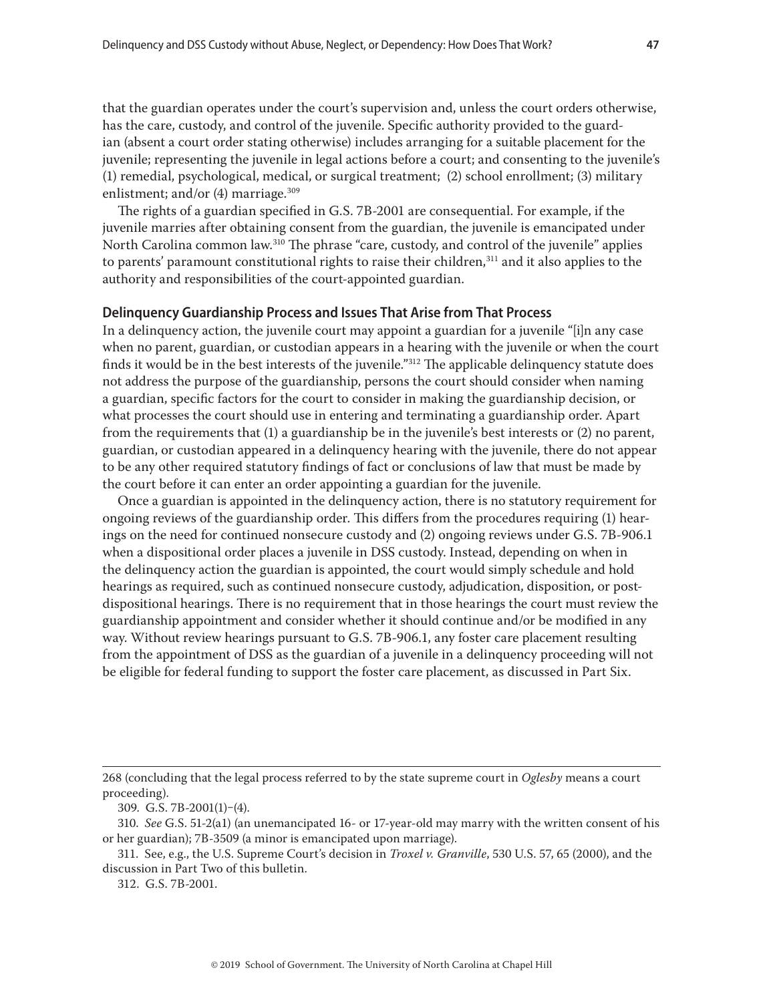<span id="page-46-0"></span>that the guardian operates under the court's supervision and, unless the court orders otherwise, has the care, custody, and control of the juvenile. Specific authority provided to the guardian (absent a court order stating otherwise) includes arranging for a suitable placement for the juvenile; representing the juvenile in legal actions before a court; and consenting to the juvenile's (1) remedial, psychological, medical, or surgical treatment; (2) school enrollment; (3) military enlistment; and/or  $(4)$  marriage.<sup>309</sup>

The rights of a guardian specified in G.S. 7B-2001 are consequential. For example, if the juvenile marries after obtaining consent from the guardian, the juvenile is emancipated under North Carolina common law.310 The phrase "care, custody, and control of the juvenile" applies to parents' paramount constitutional rights to raise their children,<sup>311</sup> and it also applies to the authority and responsibilities of the court-appointed guardian.

#### **Delinquency Guardianship Process and Issues That Arise from That Process**

In a delinquency action, the juvenile court may appoint a guardian for a juvenile "[i]n any case when no parent, guardian, or custodian appears in a hearing with the juvenile or when the court finds it would be in the best interests of the juvenile."312 The applicable delinquency statute does not address the purpose of the guardianship, persons the court should consider when naming a guardian, specific factors for the court to consider in making the guardianship decision, or what processes the court should use in entering and terminating a guardianship order. Apart from the requirements that (1) a guardianship be in the juvenile's best interests or (2) no parent, guardian, or custodian appeared in a delinquency hearing with the juvenile, there do not appear to be any other required statutory findings of fact or conclusions of law that must be made by the court before it can enter an order appointing a guardian for the juvenile.

Once a guardian is appointed in the delinquency action, there is no statutory requirement for ongoing reviews of the guardianship order. This differs from the procedures requiring (1) hearings on the need for continued nonsecure custody and (2) ongoing reviews under G.S. 7B-906.1 when a dispositional order places a juvenile in DSS custody. Instead, depending on when in the delinquency action the guardian is appointed, the court would simply schedule and hold hearings as required, such as continued nonsecure custody, adjudication, disposition, or postdispositional hearings. There is no requirement that in those hearings the court must review the guardianship appointment and consider whether it should continue and/or be modified in any way. Without review hearings pursuant to G.S. 7B-906.1, any foster care placement resulting from the appointment of DSS as the guardian of a juvenile in a delinquency proceeding will not be eligible for federal funding to support the foster care placement, as discussed in Part Six.

312. G.S. 7B-2001.

<sup>268 (</sup>concluding that the legal process referred to by the state supreme court in *Oglesby* means a court proceeding).

<sup>309.</sup> G.S. 7B-2001(1)‒(4).

<sup>310.</sup> *See* G.S. 51-2(a1) (an unemancipated 16- or 17-year-old may marry with the written consent of his or her guardian); 7B-3509 (a minor is emancipated upon marriage).

<sup>311.</sup> See, e.g., the U.S. Supreme Court's decision in *Troxel v. Granville*, 530 U.S. 57, 65 (2000), and the discussion in Part Two of this bulletin.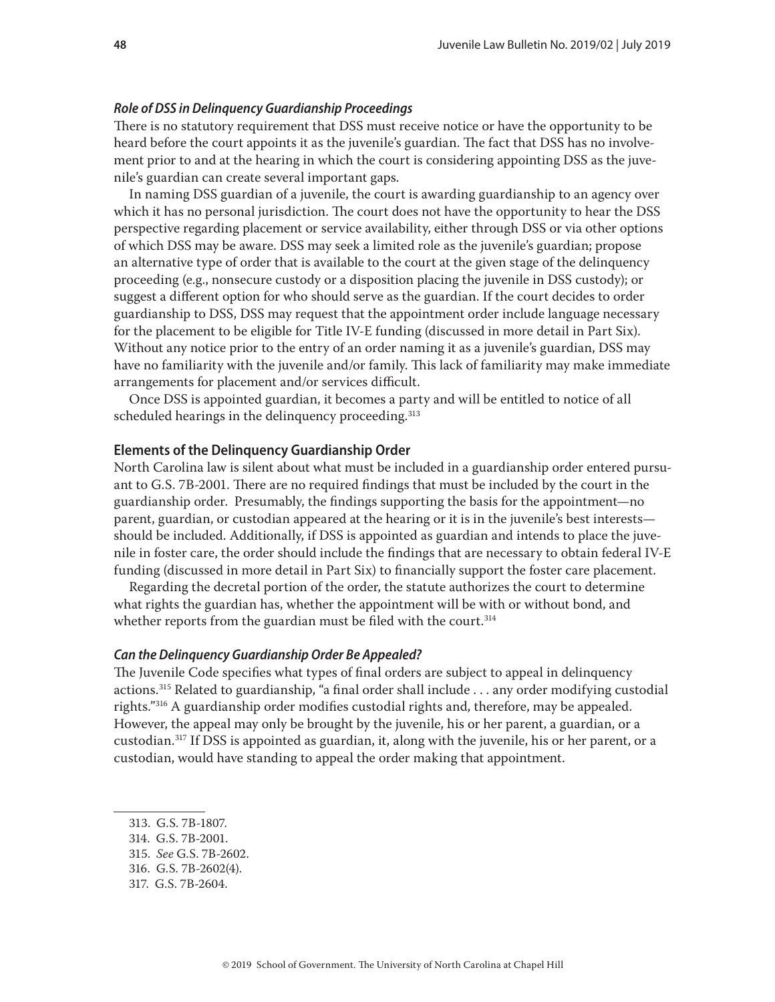#### <span id="page-47-0"></span>*Role of DSS in Delinquency Guardianship Proceedings*

There is no statutory requirement that DSS must receive notice or have the opportunity to be heard before the court appoints it as the juvenile's guardian. The fact that DSS has no involvement prior to and at the hearing in which the court is considering appointing DSS as the juvenile's guardian can create several important gaps.

In naming DSS guardian of a juvenile, the court is awarding guardianship to an agency over which it has no personal jurisdiction. The court does not have the opportunity to hear the DSS perspective regarding placement or service availability, either through DSS or via other options of which DSS may be aware. DSS may seek a limited role as the juvenile's guardian; propose an alternative type of order that is available to the court at the given stage of the delinquency proceeding (e.g., nonsecure custody or a disposition placing the juvenile in DSS custody); or suggest a different option for who should serve as the guardian. If the court decides to order guardianship to DSS, DSS may request that the appointment order include language necessary for the placement to be eligible for Title IV-E funding (discussed in more detail in Part Six). Without any notice prior to the entry of an order naming it as a juvenile's guardian, DSS may have no familiarity with the juvenile and/or family. This lack of familiarity may make immediate arrangements for placement and/or services difficult.

Once DSS is appointed guardian, it becomes a party and will be entitled to notice of all scheduled hearings in the delinquency proceeding.<sup>313</sup>

#### **Elements of the Delinquency Guardianship Order**

North Carolina law is silent about what must be included in a guardianship order entered pursuant to G.S. 7B-2001. There are no required findings that must be included by the court in the guardianship order. Presumably, the findings supporting the basis for the appointment—no parent, guardian, or custodian appeared at the hearing or it is in the juvenile's best interests should be included. Additionally, if DSS is appointed as guardian and intends to place the juvenile in foster care, the order should include the findings that are necessary to obtain federal IV-E funding (discussed in more detail in Part Six) to financially support the foster care placement.

Regarding the decretal portion of the order, the statute authorizes the court to determine what rights the guardian has, whether the appointment will be with or without bond, and whether reports from the guardian must be filed with the court.<sup>314</sup>

#### *Can the Delinquency Guardianship Order Be Appealed?*

The Juvenile Code specifies what types of final orders are subject to appeal in delinquency actions.<sup>315</sup> Related to guardianship, "a final order shall include  $\dots$  any order modifying custodial rights."316 A guardianship order modifies custodial rights and, therefore, may be appealed. However, the appeal may only be brought by the juvenile, his or her parent, a guardian, or a custodian.317 If DSS is appointed as guardian, it, along with the juvenile, his or her parent, or a custodian, would have standing to appeal the order making that appointment.

- 314. G.S. 7B-2001.
- 315. *See* G.S. 7B-2602.
- 316. G.S. 7B-2602(4).
- 317. G.S. 7B-2604.

<sup>313.</sup> G.S. 7B-1807.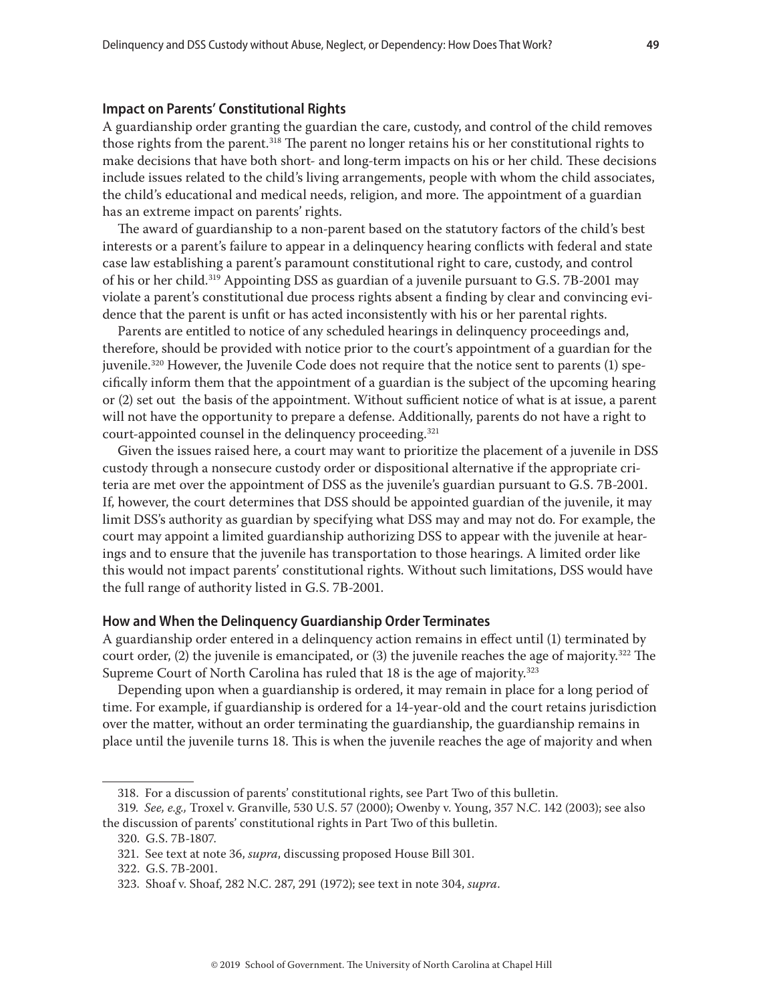#### <span id="page-48-0"></span>**Impact on Parents' Constitutional Rights**

A guardianship order granting the guardian the care, custody, and control of the child removes those rights from the parent.<sup>318</sup> The parent no longer retains his or her constitutional rights to make decisions that have both short- and long-term impacts on his or her child. These decisions include issues related to the child's living arrangements, people with whom the child associates, the child's educational and medical needs, religion, and more. The appointment of a guardian has an extreme impact on parents' rights.

The award of guardianship to a non-parent based on the statutory factors of the child's best interests or a parent's failure to appear in a delinquency hearing conflicts with federal and state case law establishing a parent's paramount constitutional right to care, custody, and control of his or her child.319 Appointing DSS as guardian of a juvenile pursuant to G.S. 7B-2001 may violate a parent's constitutional due process rights absent a finding by clear and convincing evidence that the parent is unfit or has acted inconsistently with his or her parental rights.

Parents are entitled to notice of any scheduled hearings in delinquency proceedings and, therefore, should be provided with notice prior to the court's appointment of a guardian for the juvenile.320 However, the Juvenile Code does not require that the notice sent to parents (1) specifically inform them that the appointment of a guardian is the subject of the upcoming hearing or (2) set out the basis of the appointment. Without sufficient notice of what is at issue, a parent will not have the opportunity to prepare a defense. Additionally, parents do not have a right to court-appointed counsel in the delinquency proceeding.321

Given the issues raised here, a court may want to prioritize the placement of a juvenile in DSS custody through a nonsecure custody order or dispositional alternative if the appropriate criteria are met over the appointment of DSS as the juvenile's guardian pursuant to G.S. 7B-2001. If, however, the court determines that DSS should be appointed guardian of the juvenile, it may limit DSS's authority as guardian by specifying what DSS may and may not do. For example, the court may appoint a limited guardianship authorizing DSS to appear with the juvenile at hearings and to ensure that the juvenile has transportation to those hearings. A limited order like this would not impact parents' constitutional rights. Without such limitations, DSS would have the full range of authority listed in G.S. 7B-2001.

#### **How and When the Delinquency Guardianship Order Terminates**

A guardianship order entered in a delinquency action remains in effect until (1) terminated by court order, (2) the juvenile is emancipated, or (3) the juvenile reaches the age of majority.<sup>322</sup> The Supreme Court of North Carolina has ruled that 18 is the age of majority.<sup>323</sup>

Depending upon when a guardianship is ordered, it may remain in place for a long period of time. For example, if guardianship is ordered for a 14-year-old and the court retains jurisdiction over the matter, without an order terminating the guardianship, the guardianship remains in place until the juvenile turns 18. This is when the juvenile reaches the age of majority and when

<sup>318.</sup> For a discussion of parents' constitutional rights, see Part Two of this bulletin.

<sup>319.</sup> *See, e.g.,* Troxel v. Granville, 530 U.S. 57 (2000); Owenby v. Young, 357 N.C. 142 (2003); see also the discussion of parents' constitutional rights in Part Two of this bulletin.

<sup>320.</sup> G.S. 7B-1807.

<sup>321.</sup> See text at note 36, *supra*, discussing proposed House Bill 301.

<sup>322.</sup> G.S. 7B-2001.

<sup>323.</sup> Shoaf v. Shoaf, 282 N.C. 287, 291 (1972); see text in note 304, *supra*.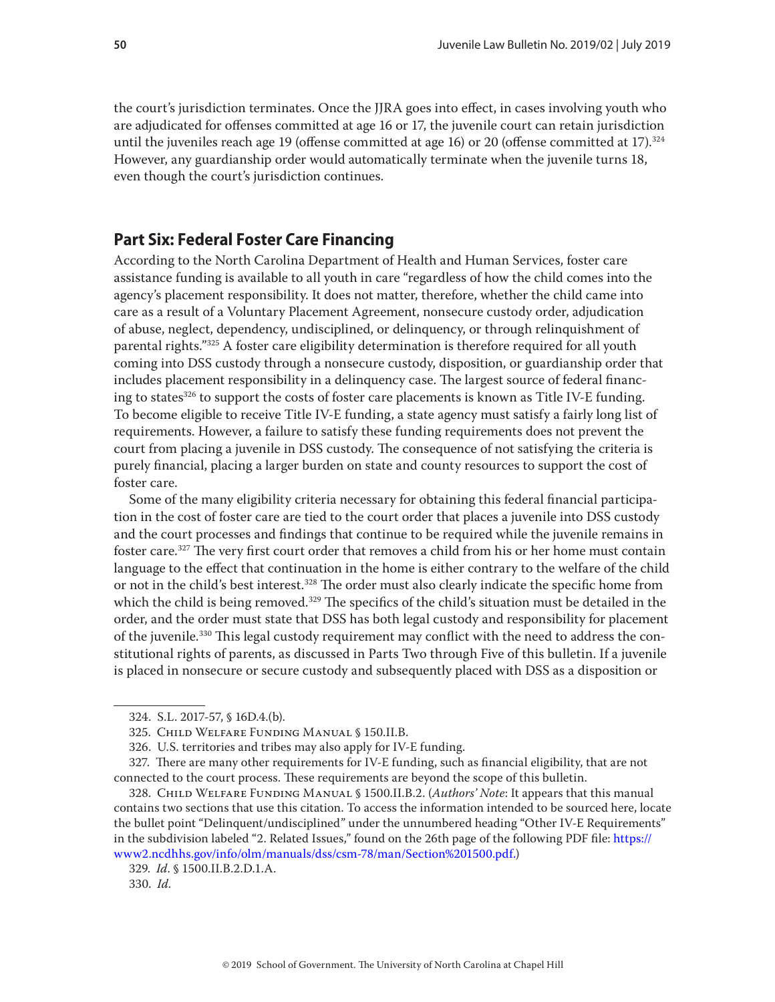<span id="page-49-0"></span>the court's jurisdiction terminates. Once the JJRA goes into effect, in cases involving youth who are adjudicated for offenses committed at age 16 or 17, the juvenile court can retain jurisdiction until the juveniles reach age 19 (offense committed at age 16) or 20 (offense committed at 17).<sup>324</sup> However, any guardianship order would automatically terminate when the juvenile turns 18, even though the court's jurisdiction continues.

# **Part Six: Federal Foster Care Financing**

According to the North Carolina Department of Health and Human Services, foster care assistance funding is available to all youth in care "regardless of how the child comes into the agency's placement responsibility. It does not matter, therefore, whether the child came into care as a result of a Voluntary Placement Agreement, nonsecure custody order, adjudication of abuse, neglect, dependency, undisciplined, or delinquency, or through relinquishment of parental rights."325 A foster care eligibility determination is therefore required for all youth coming into DSS custody through a nonsecure custody, disposition, or guardianship order that includes placement responsibility in a delinquency case. The largest source of federal financing to states<sup>326</sup> to support the costs of foster care placements is known as Title IV-E funding. To become eligible to receive Title IV-E funding, a state agency must satisfy a fairly long list of requirements. However, a failure to satisfy these funding requirements does not prevent the court from placing a juvenile in DSS custody. The consequence of not satisfying the criteria is purely financial, placing a larger burden on state and county resources to support the cost of foster care.

Some of the many eligibility criteria necessary for obtaining this federal financial participation in the cost of foster care are tied to the court order that places a juvenile into DSS custody and the court processes and findings that continue to be required while the juvenile remains in foster care.327 The very first court order that removes a child from his or her home must contain language to the effect that continuation in the home is either contrary to the welfare of the child or not in the child's best interest.<sup>328</sup> The order must also clearly indicate the specific home from which the child is being removed.<sup>329</sup> The specifics of the child's situation must be detailed in the order, and the order must state that DSS has both legal custody and responsibility for placement of the juvenile.330 This legal custody requirement may conflict with the need to address the constitutional rights of parents, as discussed in Parts Two through Five of this bulletin. If a juvenile is placed in nonsecure or secure custody and subsequently placed with DSS as a disposition or

<sup>324.</sup> S.L. 2017-57, § 16D.4.(b).

<sup>325.</sup> Child Welfare Funding Manual § 150.II.B.

<sup>326.</sup> U.S. territories and tribes may also apply for IV-E funding.

<sup>327.</sup> There are many other requirements for IV-E funding, such as financial eligibility, that are not connected to the court process. These requirements are beyond the scope of this bulletin.

<sup>328.</sup> Child Welfare Funding Manual § 1500.II.B.2. (*Authors' Note*: It appears that this manual contains two sections that use this citation. To access the information intended to be sourced here, locate the bullet point "Delinquent/undisciplined" under the unnumbered heading "Other IV-E Requirements" in the subdivision labeled "2. Related Issues," found on the 26th page of the following PDF file: [https://](https://www2.ncdhhs.gov/info/olm/manuals/dss/csm-78/man/Section%201500.pdf) [www2.ncdhhs.gov/info/olm/manuals/dss/csm-78/man/Section%201500.pdf.](https://www2.ncdhhs.gov/info/olm/manuals/dss/csm-78/man/Section%201500.pdf))

<sup>329.</sup> *Id*. § 1500.II.B.2.D.1.A.

<sup>330.</sup> *Id*.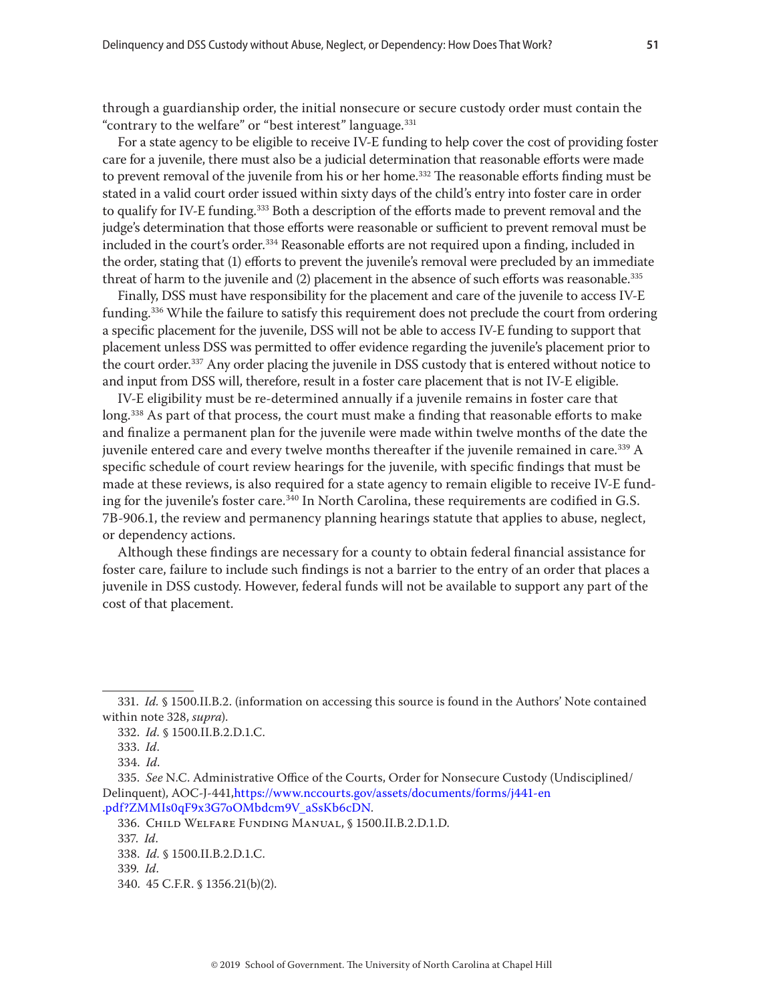through a guardianship order, the initial nonsecure or secure custody order must contain the "contrary to the welfare" or "best interest" language.<sup>331</sup>

For a state agency to be eligible to receive IV-E funding to help cover the cost of providing foster care for a juvenile, there must also be a judicial determination that reasonable efforts were made to prevent removal of the juvenile from his or her home.<sup>332</sup> The reasonable efforts finding must be stated in a valid court order issued within sixty days of the child's entry into foster care in order to qualify for IV-E funding.<sup>333</sup> Both a description of the efforts made to prevent removal and the judge's determination that those efforts were reasonable or sufficient to prevent removal must be included in the court's order.334 Reasonable efforts are not required upon a finding, included in the order, stating that (1) efforts to prevent the juvenile's removal were precluded by an immediate threat of harm to the juvenile and (2) placement in the absence of such efforts was reasonable.<sup>335</sup>

Finally, DSS must have responsibility for the placement and care of the juvenile to access IV-E funding.<sup>336</sup> While the failure to satisfy this requirement does not preclude the court from ordering a specific placement for the juvenile, DSS will not be able to access IV-E funding to support that placement unless DSS was permitted to offer evidence regarding the juvenile's placement prior to the court order.337 Any order placing the juvenile in DSS custody that is entered without notice to and input from DSS will, therefore, result in a foster care placement that is not IV-E eligible.

IV-E eligibility must be re-determined annually if a juvenile remains in foster care that long.<sup>338</sup> As part of that process, the court must make a finding that reasonable efforts to make and finalize a permanent plan for the juvenile were made within twelve months of the date the juvenile entered care and every twelve months thereafter if the juvenile remained in care.<sup>339</sup> A specific schedule of court review hearings for the juvenile, with specific findings that must be made at these reviews, is also required for a state agency to remain eligible to receive IV-E funding for the juvenile's foster care.<sup>340</sup> In North Carolina, these requirements are codified in G.S. 7B-906.1, the review and permanency planning hearings statute that applies to abuse, neglect, or dependency actions.

Although these findings are necessary for a county to obtain federal financial assistance for foster care, failure to include such findings is not a barrier to the entry of an order that places a juvenile in DSS custody. However, federal funds will not be available to support any part of the cost of that placement.

<sup>331.</sup> *Id.* § 1500.II.B.2. (information on accessing this source is found in the Authors' Note contained within note 328, *supra*).

<sup>332.</sup> *Id.* § 1500.II.B.2.D.1.C.

<sup>333.</sup> *Id*.

<sup>334.</sup> *Id*.

<sup>335.</sup> *See* N.C. Administrative Office of the Courts, Order for Nonsecure Custody (Undisciplined/ Delinquent), AOC-J-441,[https://www.nccourts.gov/assets/documents/forms/j441-en](https://www.nccourts.gov/assets/documents/forms/j441-en.pdf?ZMMIs0qF9x3G7oOMbdcm9V_aSsKb6cDN) [.pdf?ZMMIs0qF9x3G7oOMbdcm9V\\_aSsKb6cDN.](https://www.nccourts.gov/assets/documents/forms/j441-en.pdf?ZMMIs0qF9x3G7oOMbdcm9V_aSsKb6cDN)

<sup>336.</sup> Child Welfare Funding Manual, § 1500.II.B.2.D.1.D.

<sup>337.</sup> *Id*.

<sup>338.</sup> *Id.* § 1500.II.B.2.D.1.C.

<sup>339.</sup> *Id*.

<sup>340. 45</sup> C.F.R. § 1356.21(b)(2).